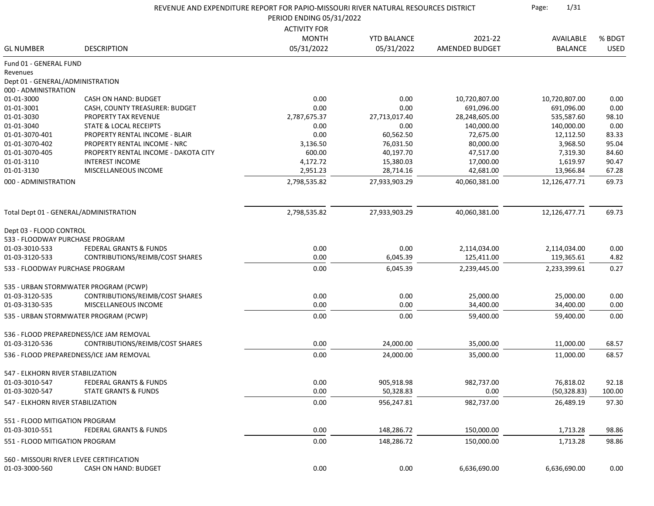|                                    | REVENUE AND EXPENDITURE REPORT FOR PAPIO-MISSOURI RIVER NATURAL RESOURCES DISTRICT<br>PERIOD ENDING 05/31/2022 |                            |                                  |                           | 1/31<br>Page:               |                       |
|------------------------------------|----------------------------------------------------------------------------------------------------------------|----------------------------|----------------------------------|---------------------------|-----------------------------|-----------------------|
|                                    |                                                                                                                |                            |                                  |                           |                             |                       |
|                                    |                                                                                                                | <b>ACTIVITY FOR</b>        |                                  |                           |                             |                       |
| <b>GL NUMBER</b>                   | <b>DESCRIPTION</b>                                                                                             | <b>MONTH</b><br>05/31/2022 | <b>YTD BALANCE</b><br>05/31/2022 | 2021-22<br>AMENDED BUDGET | AVAILABLE<br><b>BALANCE</b> | % BDGT<br><b>USED</b> |
|                                    |                                                                                                                |                            |                                  |                           |                             |                       |
| Fund 01 - GENERAL FUND<br>Revenues |                                                                                                                |                            |                                  |                           |                             |                       |
| Dept 01 - GENERAL/ADMINISTRATION   |                                                                                                                |                            |                                  |                           |                             |                       |
| 000 - ADMINISTRATION               |                                                                                                                |                            |                                  |                           |                             |                       |
| 01-01-3000                         | CASH ON HAND: BUDGET                                                                                           | 0.00                       | 0.00                             | 10,720,807.00             | 10,720,807.00               | 0.00                  |
| 01-01-3001                         | CASH, COUNTY TREASURER: BUDGET                                                                                 | 0.00                       | 0.00                             | 691,096.00                | 691,096.00                  | 0.00                  |
| 01-01-3030                         | PROPERTY TAX REVENUE                                                                                           | 2,787,675.37               | 27,713,017.40                    | 28,248,605.00             | 535,587.60                  | 98.10                 |
| 01-01-3040                         | <b>STATE &amp; LOCAL RECEIPTS</b>                                                                              | 0.00                       | 0.00                             | 140,000.00                | 140,000.00                  | 0.00                  |
| 01-01-3070-401                     | PROPERTY RENTAL INCOME - BLAIR                                                                                 | 0.00                       | 60,562.50                        | 72,675.00                 | 12,112.50                   | 83.33                 |
| 01-01-3070-402                     | PROPERTY RENTAL INCOME - NRC                                                                                   | 3,136.50                   | 76,031.50                        | 80,000.00                 | 3,968.50                    | 95.04                 |
| 01-01-3070-405                     | PROPERTY RENTAL INCOME - DAKOTA CITY                                                                           | 600.00                     | 40,197.70                        | 47,517.00                 | 7,319.30                    | 84.60                 |
| 01-01-3110                         | <b>INTEREST INCOME</b>                                                                                         | 4,172.72                   | 15,380.03                        | 17,000.00                 | 1,619.97                    | 90.47                 |
| 01-01-3130                         | MISCELLANEOUS INCOME                                                                                           | 2,951.23                   | 28,714.16                        | 42,681.00                 | 13,966.84                   | 67.28                 |
| 000 - ADMINISTRATION               |                                                                                                                | 2,798,535.82               | 27,933,903.29                    | 40,060,381.00             | 12,126,477.71               | 69.73                 |
|                                    |                                                                                                                |                            |                                  |                           |                             |                       |
|                                    | Total Dept 01 - GENERAL/ADMINISTRATION                                                                         | 2,798,535.82               | 27,933,903.29                    | 40,060,381.00             | 12,126,477.71               | 69.73                 |
| Dept 03 - FLOOD CONTROL            |                                                                                                                |                            |                                  |                           |                             |                       |
| 533 - FLOODWAY PURCHASE PROGRAM    |                                                                                                                |                            |                                  |                           |                             |                       |
| 01-03-3010-533                     | <b>FEDERAL GRANTS &amp; FUNDS</b>                                                                              | 0.00                       | 0.00                             | 2,114,034.00              | 2,114,034.00                | 0.00                  |
| 01-03-3120-533                     | CONTRIBUTIONS/REIMB/COST SHARES                                                                                | 0.00                       | 6,045.39                         | 125,411.00                | 119,365.61                  | 4.82                  |
| 533 - FLOODWAY PURCHASE PROGRAM    |                                                                                                                | 0.00                       | 6,045.39                         | 2,239,445.00              | 2,233,399.61                | 0.27                  |
|                                    | 535 - URBAN STORMWATER PROGRAM (PCWP)                                                                          |                            |                                  |                           |                             |                       |
| 01-03-3120-535                     | CONTRIBUTIONS/REIMB/COST SHARES                                                                                | 0.00                       | 0.00                             | 25,000.00                 | 25,000.00                   | 0.00                  |
| 01-03-3130-535                     | MISCELLANEOUS INCOME                                                                                           | 0.00                       | 0.00                             | 34,400.00                 | 34,400.00                   | 0.00                  |
|                                    | 535 - URBAN STORMWATER PROGRAM (PCWP)                                                                          | 0.00                       | 0.00                             | 59,400.00                 | 59,400.00                   | 0.00                  |
|                                    |                                                                                                                |                            |                                  |                           |                             |                       |
| 01-03-3120-536                     | 536 - FLOOD PREPAREDNESS/ICE JAM REMOVAL<br>CONTRIBUTIONS/REIMB/COST SHARES                                    | 0.00                       | 24,000.00                        | 35,000.00                 | 11,000.00                   | 68.57                 |
|                                    | 536 - FLOOD PREPAREDNESS/ICE JAM REMOVAL                                                                       | 0.00                       | 24,000.00                        | 35,000.00                 | 11,000.00                   | 68.57                 |
|                                    |                                                                                                                |                            |                                  |                           |                             |                       |
| 547 - ELKHORN RIVER STABILIZATION  |                                                                                                                |                            |                                  |                           |                             |                       |
| 01-03-3010-547                     | <b>FEDERAL GRANTS &amp; FUNDS</b>                                                                              | 0.00                       | 905,918.98                       | 982,737.00                | 76,818.02                   | 92.18                 |
| 01-03-3020-547                     | <b>STATE GRANTS &amp; FUNDS</b>                                                                                | 0.00                       | 50,328.83                        | 0.00                      | (50, 328.83)                | 100.00                |
| 547 - ELKHORN RIVER STABILIZATION  |                                                                                                                | 0.00                       | 956,247.81                       | 982,737.00                | 26,489.19                   | 97.30                 |
| 551 - FLOOD MITIGATION PROGRAM     |                                                                                                                |                            |                                  |                           |                             |                       |
| 01-03-3010-551                     | <b>FEDERAL GRANTS &amp; FUNDS</b>                                                                              | 0.00                       | 148,286.72                       | 150,000.00                | 1,713.28                    | 98.86                 |
| 551 - FLOOD MITIGATION PROGRAM     |                                                                                                                | 0.00                       | 148,286.72                       | 150,000.00                | 1,713.28                    | 98.86                 |
|                                    | 560 - MISSOURI RIVER LEVEE CERTIFICATION                                                                       |                            |                                  |                           |                             |                       |
| 01-03-3000-560                     | <b>CASH ON HAND: BUDGET</b>                                                                                    | 0.00                       | 0.00                             | 6,636,690.00              | 6,636,690.00                | 0.00                  |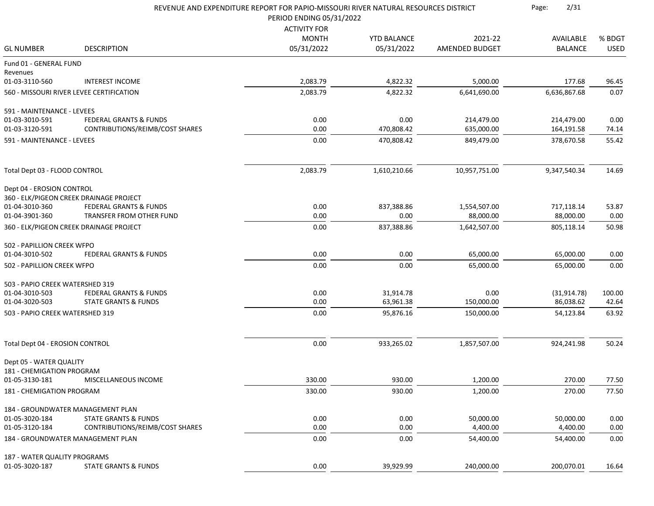|                                 | REVENUE AND EXPENDITURE REPORT FOR PAPIO-MISSOURI RIVER NATURAL RESOURCES DISTRICT<br>PERIOD ENDING 05/31/2022 |                     |                    |                |                |             |
|---------------------------------|----------------------------------------------------------------------------------------------------------------|---------------------|--------------------|----------------|----------------|-------------|
|                                 |                                                                                                                | <b>ACTIVITY FOR</b> |                    |                |                |             |
|                                 |                                                                                                                | <b>MONTH</b>        | <b>YTD BALANCE</b> | 2021-22        | AVAILABLE      | % BDGT      |
| <b>GL NUMBER</b>                | <b>DESCRIPTION</b>                                                                                             | 05/31/2022          | 05/31/2022         | AMENDED BUDGET | <b>BALANCE</b> | <b>USED</b> |
| Fund 01 - GENERAL FUND          |                                                                                                                |                     |                    |                |                |             |
| Revenues<br>01-03-3110-560      | <b>INTEREST INCOME</b>                                                                                         | 2,083.79            | 4,822.32           | 5,000.00       | 177.68         | 96.45       |
|                                 | 560 - MISSOURI RIVER LEVEE CERTIFICATION                                                                       | 2,083.79            | 4,822.32           | 6,641,690.00   | 6,636,867.68   | 0.07        |
| 591 - MAINTENANCE - LEVEES      |                                                                                                                |                     |                    |                |                |             |
| 01-03-3010-591                  | FEDERAL GRANTS & FUNDS                                                                                         | 0.00                | 0.00               | 214,479.00     | 214,479.00     | 0.00        |
| 01-03-3120-591                  | CONTRIBUTIONS/REIMB/COST SHARES                                                                                | 0.00                | 470,808.42         | 635,000.00     | 164,191.58     | 74.14       |
| 591 - MAINTENANCE - LEVEES      |                                                                                                                | 0.00                | 470,808.42         | 849,479.00     | 378,670.58     | 55.42       |
|                                 |                                                                                                                |                     |                    |                |                |             |
| Total Dept 03 - FLOOD CONTROL   |                                                                                                                | 2,083.79            | 1,610,210.66       | 10,957,751.00  | 9,347,540.34   | 14.69       |
| Dept 04 - EROSION CONTROL       |                                                                                                                |                     |                    |                |                |             |
|                                 | 360 - ELK/PIGEON CREEK DRAINAGE PROJECT                                                                        |                     |                    |                |                |             |
| 01-04-3010-360                  | <b>FEDERAL GRANTS &amp; FUNDS</b>                                                                              | 0.00                | 837,388.86         | 1,554,507.00   | 717,118.14     | 53.87       |
| 01-04-3901-360                  | TRANSFER FROM OTHER FUND                                                                                       | 0.00                | 0.00               | 88,000.00      | 88,000.00      | 0.00        |
|                                 | 360 - ELK/PIGEON CREEK DRAINAGE PROJECT                                                                        | 0.00                | 837,388.86         | 1,642,507.00   | 805,118.14     | 50.98       |
| 502 - PAPILLION CREEK WFPO      |                                                                                                                |                     |                    |                |                |             |
| 01-04-3010-502                  | <b>FEDERAL GRANTS &amp; FUNDS</b>                                                                              | 0.00                | 0.00               | 65,000.00      | 65,000.00      | 0.00        |
| 502 - PAPILLION CREEK WFPO      |                                                                                                                | 0.00                | 0.00               | 65,000.00      | 65,000.00      | 0.00        |
| 503 - PAPIO CREEK WATERSHED 319 |                                                                                                                |                     |                    |                |                |             |
| 01-04-3010-503                  | FEDERAL GRANTS & FUNDS                                                                                         | 0.00                | 31,914.78          | 0.00           | (31, 914.78)   | 100.00      |
| 01-04-3020-503                  | <b>STATE GRANTS &amp; FUNDS</b>                                                                                | 0.00                | 63,961.38          | 150,000.00     | 86,038.62      | 42.64       |
| 503 - PAPIO CREEK WATERSHED 319 |                                                                                                                | 0.00                | 95,876.16          | 150,000.00     | 54,123.84      | 63.92       |
| Total Dept 04 - EROSION CONTROL |                                                                                                                | 0.00                | 933,265.02         | 1,857,507.00   | 924,241.98     | 50.24       |
|                                 |                                                                                                                |                     |                    |                |                |             |
| Dept 05 - WATER QUALITY         |                                                                                                                |                     |                    |                |                |             |
| 181 - CHEMIGATION PROGRAM       |                                                                                                                |                     |                    |                |                |             |
| 01-05-3130-181                  | MISCELLANEOUS INCOME                                                                                           | 330.00              | 930.00             | 1,200.00       | 270.00         | 77.50       |
| 181 - CHEMIGATION PROGRAM       |                                                                                                                | 330.00              | 930.00             | 1,200.00       | 270.00         | 77.50       |
|                                 | 184 - GROUNDWATER MANAGEMENT PLAN                                                                              |                     |                    |                |                |             |
| 01-05-3020-184                  | <b>STATE GRANTS &amp; FUNDS</b>                                                                                | 0.00                | 0.00               | 50,000.00      | 50,000.00      | 0.00        |
| 01-05-3120-184                  | CONTRIBUTIONS/REIMB/COST SHARES                                                                                | 0.00                | 0.00               | 4,400.00       | 4,400.00       | 0.00        |
|                                 | 184 - GROUNDWATER MANAGEMENT PLAN                                                                              | 0.00                | 0.00               | 54,400.00      | 54,400.00      | 0.00        |
| 187 - WATER QUALITY PROGRAMS    |                                                                                                                |                     |                    |                |                |             |
| 01-05-3020-187                  | <b>STATE GRANTS &amp; FUNDS</b>                                                                                | 0.00                | 39,929.99          | 240,000.00     | 200,070.01     | 16.64       |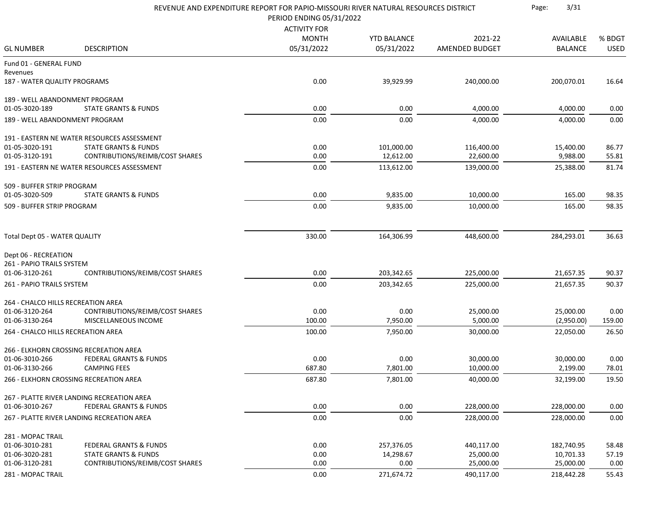|                                          |                                             | REVENUE AND EXPENDITURE REPORT FOR PAPIO-MISSOURI RIVER NATURAL RESOURCES DISTRICT<br>PERIOD ENDING 05/31/2022 |                    |                | 3/31<br>Page:  |             |
|------------------------------------------|---------------------------------------------|----------------------------------------------------------------------------------------------------------------|--------------------|----------------|----------------|-------------|
|                                          |                                             | <b>ACTIVITY FOR</b>                                                                                            |                    |                |                |             |
|                                          |                                             | <b>MONTH</b>                                                                                                   | <b>YTD BALANCE</b> | 2021-22        | AVAILABLE      | % BDGT      |
| <b>GL NUMBER</b>                         | <b>DESCRIPTION</b>                          | 05/31/2022                                                                                                     | 05/31/2022         | AMENDED BUDGET | <b>BALANCE</b> | <b>USED</b> |
| Fund 01 - GENERAL FUND                   |                                             |                                                                                                                |                    |                |                |             |
| Revenues<br>187 - WATER QUALITY PROGRAMS |                                             | 0.00                                                                                                           | 39,929.99          | 240,000.00     | 200,070.01     | 16.64       |
| 189 - WELL ABANDONMENT PROGRAM           |                                             |                                                                                                                |                    |                |                |             |
| 01-05-3020-189                           | <b>STATE GRANTS &amp; FUNDS</b>             | 0.00                                                                                                           | 0.00               | 4,000.00       | 4,000.00       | 0.00        |
| 189 - WELL ABANDONMENT PROGRAM           |                                             | 0.00                                                                                                           | 0.00               | 4,000.00       | 4,000.00       | 0.00        |
|                                          | 191 - EASTERN NE WATER RESOURCES ASSESSMENT |                                                                                                                |                    |                |                |             |
| 01-05-3020-191                           | <b>STATE GRANTS &amp; FUNDS</b>             | 0.00                                                                                                           | 101,000.00         | 116,400.00     | 15,400.00      | 86.77       |
| 01-05-3120-191                           | CONTRIBUTIONS/REIMB/COST SHARES             | 0.00                                                                                                           | 12,612.00          | 22,600.00      | 9,988.00       | 55.81       |
|                                          | 191 - EASTERN NE WATER RESOURCES ASSESSMENT | 0.00                                                                                                           | 113,612.00         | 139,000.00     | 25,388.00      | 81.74       |
| 509 - BUFFER STRIP PROGRAM               |                                             |                                                                                                                |                    |                |                |             |
| 01-05-3020-509                           | <b>STATE GRANTS &amp; FUNDS</b>             | 0.00                                                                                                           | 9,835.00           | 10,000.00      | 165.00         | 98.35       |
| 509 - BUFFER STRIP PROGRAM               |                                             | 0.00                                                                                                           | 9,835.00           | 10,000.00      | 165.00         | 98.35       |
| Total Dept 05 - WATER QUALITY            |                                             | 330.00                                                                                                         | 164,306.99         | 448,600.00     | 284,293.01     | 36.63       |
| Dept 06 - RECREATION                     |                                             |                                                                                                                |                    |                |                |             |
| 261 - PAPIO TRAILS SYSTEM                |                                             |                                                                                                                |                    |                |                |             |
| 01-06-3120-261                           | CONTRIBUTIONS/REIMB/COST SHARES             | 0.00                                                                                                           | 203,342.65         | 225,000.00     | 21,657.35      | 90.37       |
| 261 - PAPIO TRAILS SYSTEM                |                                             | 0.00                                                                                                           | 203,342.65         | 225,000.00     | 21,657.35      | 90.37       |
| 264 - CHALCO HILLS RECREATION AREA       |                                             |                                                                                                                |                    |                |                |             |
| 01-06-3120-264                           | CONTRIBUTIONS/REIMB/COST SHARES             | 0.00                                                                                                           | 0.00               | 25,000.00      | 25,000.00      | 0.00        |
| 01-06-3130-264                           | MISCELLANEOUS INCOME                        | 100.00                                                                                                         | 7,950.00           | 5,000.00       | (2,950.00)     | 159.00      |
| 264 - CHALCO HILLS RECREATION AREA       |                                             | 100.00                                                                                                         | 7,950.00           | 30,000.00      | 22,050.00      | 26.50       |
|                                          | 266 - ELKHORN CROSSING RECREATION AREA      |                                                                                                                |                    |                |                |             |
| 01-06-3010-266                           | FEDERAL GRANTS & FUNDS                      | 0.00                                                                                                           | 0.00               | 30,000.00      | 30,000.00      | 0.00        |
| 01-06-3130-266                           | <b>CAMPING FEES</b>                         | 687.80                                                                                                         | 7,801.00           | 10,000.00      | 2,199.00       | 78.01       |
|                                          | 266 - ELKHORN CROSSING RECREATION AREA      | 687.80                                                                                                         | 7,801.00           | 40,000.00      | 32,199.00      | 19.50       |
|                                          | 267 - PLATTE RIVER LANDING RECREATION AREA  |                                                                                                                |                    |                |                |             |
| 01-06-3010-267                           | <b>FEDERAL GRANTS &amp; FUNDS</b>           | 0.00                                                                                                           | 0.00               | 228,000.00     | 228,000.00     | 0.00        |
|                                          | 267 - PLATTE RIVER LANDING RECREATION AREA  | 0.00                                                                                                           | 0.00               | 228,000.00     | 228,000.00     | 0.00        |
| 281 - MOPAC TRAIL                        |                                             |                                                                                                                |                    |                |                |             |
| 01-06-3010-281                           | <b>FEDERAL GRANTS &amp; FUNDS</b>           | 0.00                                                                                                           | 257,376.05         | 440,117.00     | 182,740.95     | 58.48       |
| 01-06-3020-281                           | STATE GRANTS & FUNDS                        | 0.00                                                                                                           | 14,298.67          | 25,000.00      | 10,701.33      | 57.19       |
| 01-06-3120-281                           | CONTRIBUTIONS/REIMB/COST SHARES             | 0.00                                                                                                           | 0.00               | 25,000.00      | 25,000.00      | 0.00        |
| 281 - MOPAC TRAIL                        |                                             | 0.00                                                                                                           | 271,674.72         | 490,117.00     | 218,442.28     | 55.43       |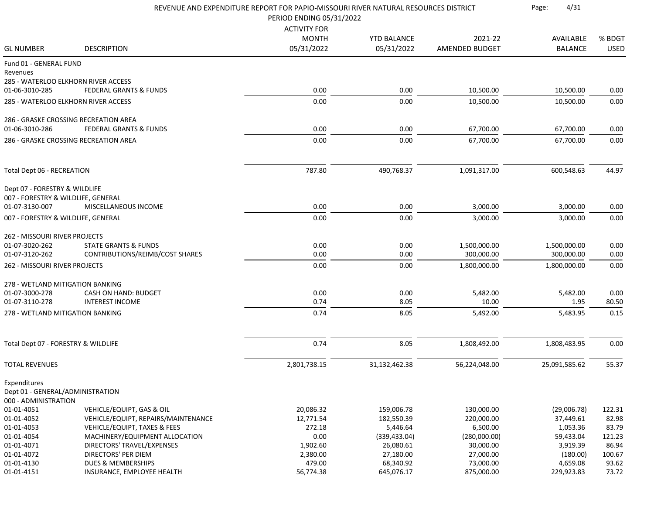|                                     | REVENUE AND EXPENDITURE REPORT FOR PAPIO-MISSOURI RIVER NATURAL RESOURCES DISTRICT | 4/31<br>Page:          |                          |                          |                          |                 |
|-------------------------------------|------------------------------------------------------------------------------------|------------------------|--------------------------|--------------------------|--------------------------|-----------------|
|                                     |                                                                                    | <b>ACTIVITY FOR</b>    |                          |                          |                          |                 |
|                                     |                                                                                    | <b>MONTH</b>           | <b>YTD BALANCE</b>       | 2021-22                  | AVAILABLE                | % BDGT          |
| <b>GL NUMBER</b>                    | <b>DESCRIPTION</b>                                                                 | 05/31/2022             | 05/31/2022               | AMENDED BUDGET           | <b>BALANCE</b>           | <b>USED</b>     |
| Fund 01 - GENERAL FUND              |                                                                                    |                        |                          |                          |                          |                 |
| Revenues                            | 285 - WATERLOO ELKHORN RIVER ACCESS                                                |                        |                          |                          |                          |                 |
| 01-06-3010-285                      | <b>FEDERAL GRANTS &amp; FUNDS</b>                                                  | 0.00                   | 0.00                     | 10,500.00                | 10,500.00                | 0.00            |
|                                     |                                                                                    |                        |                          |                          |                          |                 |
|                                     | 285 - WATERLOO ELKHORN RIVER ACCESS                                                | 0.00                   | 0.00                     | 10,500.00                | 10,500.00                | 0.00            |
|                                     | 286 - GRASKE CROSSING RECREATION AREA                                              |                        |                          |                          |                          |                 |
| 01-06-3010-286                      | <b>FEDERAL GRANTS &amp; FUNDS</b>                                                  | 0.00                   | 0.00                     | 67,700.00                | 67,700.00                | 0.00            |
|                                     | 286 - GRASKE CROSSING RECREATION AREA                                              | 0.00                   | 0.00                     | 67,700.00                | 67,700.00                | 0.00            |
|                                     |                                                                                    |                        |                          |                          |                          |                 |
| <b>Total Dept 06 - RECREATION</b>   |                                                                                    | 787.80                 | 490,768.37               | 1,091,317.00             | 600,548.63               | 44.97           |
| Dept 07 - FORESTRY & WILDLIFE       |                                                                                    |                        |                          |                          |                          |                 |
| 007 - FORESTRY & WILDLIFE, GENERAL  |                                                                                    | 0.00                   | 0.00                     |                          |                          |                 |
| 01-07-3130-007                      | MISCELLANEOUS INCOME                                                               |                        |                          | 3,000.00                 | 3,000.00                 | 0.00            |
| 007 - FORESTRY & WILDLIFE, GENERAL  |                                                                                    | 0.00                   | 0.00                     | 3,000.00                 | 3,000.00                 | 0.00            |
| 262 - MISSOURI RIVER PROJECTS       |                                                                                    |                        |                          |                          |                          |                 |
| 01-07-3020-262                      | <b>STATE GRANTS &amp; FUNDS</b>                                                    | 0.00                   | 0.00                     | 1,500,000.00             | 1,500,000.00             | 0.00            |
| 01-07-3120-262                      | CONTRIBUTIONS/REIMB/COST SHARES                                                    | 0.00                   | 0.00                     | 300,000.00               | 300,000.00               | 0.00            |
| 262 - MISSOURI RIVER PROJECTS       |                                                                                    | 0.00                   | 0.00                     | 1,800,000.00             | 1,800,000.00             | 0.00            |
| 278 - WETLAND MITIGATION BANKING    |                                                                                    |                        |                          |                          |                          |                 |
| 01-07-3000-278                      | <b>CASH ON HAND: BUDGET</b>                                                        | 0.00                   | 0.00                     | 5,482.00                 | 5,482.00                 | 0.00            |
| 01-07-3110-278                      | <b>INTEREST INCOME</b>                                                             | 0.74                   | 8.05                     | 10.00                    | 1.95                     | 80.50           |
| 278 - WETLAND MITIGATION BANKING    |                                                                                    | 0.74                   | 8.05                     | 5,492.00                 | 5,483.95                 | 0.15            |
|                                     |                                                                                    |                        |                          |                          |                          |                 |
| Total Dept 07 - FORESTRY & WILDLIFE |                                                                                    | 0.74                   | 8.05                     | 1,808,492.00             | 1,808,483.95             | 0.00            |
| <b>TOTAL REVENUES</b>               |                                                                                    | 2,801,738.15           | 31,132,462.38            | 56,224,048.00            | 25,091,585.62            | 55.37           |
| Expenditures                        |                                                                                    |                        |                          |                          |                          |                 |
| Dept 01 - GENERAL/ADMINISTRATION    |                                                                                    |                        |                          |                          |                          |                 |
| 000 - ADMINISTRATION                |                                                                                    |                        |                          |                          |                          |                 |
| 01-01-4051<br>01-01-4052            | VEHICLE/EQUIPT, GAS & OIL<br>VEHICLE/EQUIPT, REPAIRS/MAINTENANCE                   | 20,086.32<br>12,771.54 | 159,006.78<br>182,550.39 | 130,000.00<br>220,000.00 | (29,006.78)<br>37,449.61 | 122.31<br>82.98 |
| 01-01-4053                          | VEHICLE/EQUIPT, TAXES & FEES                                                       | 272.18                 | 5,446.64                 | 6,500.00                 | 1,053.36                 | 83.79           |
| 01-01-4054                          | MACHINERY/EQUIPMENT ALLOCATION                                                     | 0.00                   | (339, 433.04)            | (280,000.00)             | 59,433.04                | 121.23          |
| 01-01-4071                          | DIRECTORS' TRAVEL/EXPENSES                                                         | 1,902.60               | 26,080.61                | 30,000.00                | 3,919.39                 | 86.94           |
| 01-01-4072                          | <b>DIRECTORS' PER DIEM</b>                                                         | 2,380.00               | 27,180.00                | 27,000.00                | (180.00)                 | 100.67          |
| 01-01-4130                          | <b>DUES &amp; MEMBERSHIPS</b>                                                      | 479.00                 | 68,340.92                | 73,000.00                | 4,659.08                 | 93.62           |
| 01-01-4151                          | INSURANCE, EMPLOYEE HEALTH                                                         | 56,774.38              | 645,076.17               | 875,000.00               | 229,923.83               | 73.72           |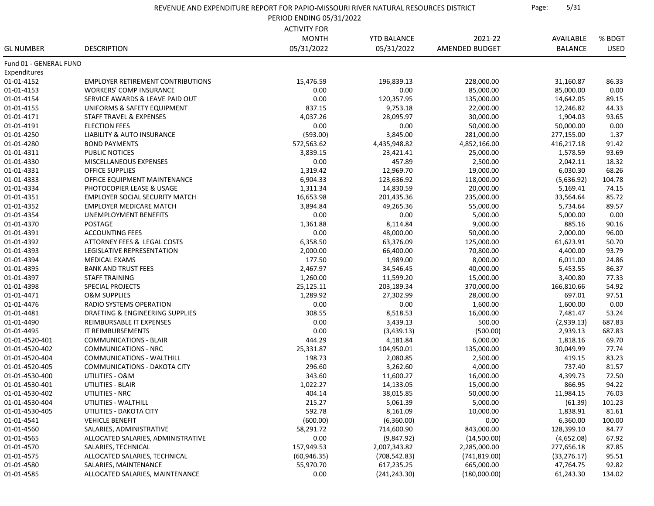| REVENUE AND EXPENDITURE REPORT FOR PAPIO-MISSOURI RIVER NATURAL RESOURCES DISTRICT | Page: | 5/31 |
|------------------------------------------------------------------------------------|-------|------|
|------------------------------------------------------------------------------------|-------|------|

PERIOD ENDING 05/31/2022

|                                  |                                                   | <b>ACTIVITY FOR</b> |                    |                |                |                 |
|----------------------------------|---------------------------------------------------|---------------------|--------------------|----------------|----------------|-----------------|
|                                  |                                                   | <b>MONTH</b>        | <b>YTD BALANCE</b> | 2021-22        | AVAILABLE      | % BDGT          |
| <b>GL NUMBER</b>                 | <b>DESCRIPTION</b>                                | 05/31/2022          | 05/31/2022         | AMENDED BUDGET | <b>BALANCE</b> | <b>USED</b>     |
| Fund 01 - GENERAL FUND           |                                                   |                     |                    |                |                |                 |
| Expenditures                     |                                                   |                     |                    |                |                |                 |
| 01-01-4152                       | <b>EMPLOYER RETIREMENT CONTRIBUTIONS</b>          | 15,476.59           | 196,839.13         | 228,000.00     | 31,160.87      | 86.33           |
| 01-01-4153                       | <b>WORKERS' COMP INSURANCE</b>                    | 0.00                | 0.00               | 85,000.00      | 85,000.00      | 0.00            |
| 01-01-4154                       | SERVICE AWARDS & LEAVE PAID OUT                   | 0.00                | 120,357.95         | 135,000.00     | 14,642.05      | 89.15           |
| 01-01-4155                       | UNIFORMS & SAFETY EQUIPMENT                       | 837.15              | 9,753.18           | 22,000.00      | 12,246.82      | 44.33           |
| 01-01-4171                       | STAFF TRAVEL & EXPENSES                           | 4,037.26            | 28,095.97          | 30,000.00      | 1,904.03       | 93.65           |
| 01-01-4191                       | <b>ELECTION FEES</b>                              | 0.00                | 0.00               | 50,000.00      | 50,000.00      | 0.00            |
| 01-01-4250                       | LIABILITY & AUTO INSURANCE                        | (593.00)            | 3,845.00           | 281,000.00     | 277,155.00     | 1.37            |
| 01-01-4280                       | <b>BOND PAYMENTS</b>                              | 572,563.62          | 4,435,948.82       | 4,852,166.00   | 416,217.18     | 91.42           |
| 01-01-4311                       | PUBLIC NOTICES                                    | 3,839.15            | 23,421.41          | 25,000.00      | 1,578.59       | 93.69           |
| 01-01-4330                       | MISCELLANEOUS EXPENSES                            | 0.00                | 457.89             | 2,500.00       | 2,042.11       | 18.32           |
| 01-01-4331                       | <b>OFFICE SUPPLIES</b>                            | 1,319.42            | 12,969.70          | 19,000.00      | 6,030.30       | 68.26           |
| 01-01-4333                       | OFFICE EQUIPMENT MAINTENANCE                      | 6,904.33            | 123,636.92         | 118,000.00     | (5,636.92)     | 104.78          |
| 01-01-4334                       | PHOTOCOPIER LEASE & USAGE                         | 1,311.34            | 14,830.59          | 20,000.00      | 5,169.41       | 74.15           |
| 01-01-4351                       | <b>EMPLOYER SOCIAL SECURITY MATCH</b>             | 16,653.98           | 201,435.36         | 235,000.00     | 33,564.64      | 85.72           |
| 01-01-4352                       | <b>EMPLOYER MEDICARE MATCH</b>                    | 3,894.84            | 49,265.36          | 55,000.00      | 5,734.64       | 89.57           |
| 01-01-4354                       | UNEMPLOYMENT BENEFITS                             | 0.00                | 0.00               | 5,000.00       | 5,000.00       | 0.00            |
| 01-01-4370                       | <b>POSTAGE</b>                                    | 1,361.88            | 8,114.84           | 9,000.00       | 885.16         | 90.16           |
| 01-01-4391                       | <b>ACCOUNTING FEES</b>                            | 0.00                | 48,000.00          | 50,000.00      | 2,000.00       | 96.00           |
| 01-01-4392                       | ATTORNEY FEES & LEGAL COSTS                       | 6,358.50            | 63,376.09          | 125,000.00     | 61,623.91      | 50.70           |
| 01-01-4393                       | LEGISLATIVE REPRESENTATION                        | 2,000.00            | 66,400.00          | 70,800.00      | 4,400.00       | 93.79           |
| 01-01-4394                       | MEDICAL EXAMS                                     | 177.50              | 1,989.00           | 8,000.00       | 6,011.00       | 24.86           |
| 01-01-4395                       | <b>BANK AND TRUST FEES</b>                        | 2,467.97            | 34,546.45          | 40,000.00      | 5,453.55       | 86.37           |
| 01-01-4397                       | <b>STAFF TRAINING</b>                             | 1,260.00            | 11,599.20          | 15,000.00      | 3,400.80       | 77.33           |
| 01-01-4398                       | <b>SPECIAL PROJECTS</b>                           | 25,125.11           | 203,189.34         | 370,000.00     | 166,810.66     | 54.92           |
| 01-01-4471                       | <b>O&amp;M SUPPLIES</b>                           | 1,289.92            | 27,302.99          | 28,000.00      | 697.01         | 97.51           |
| 01-01-4476                       | RADIO SYSTEMS OPERATION                           | 0.00                | 0.00               | 1,600.00       | 1,600.00       | 0.00            |
| 01-01-4481                       | DRAFTING & ENGINEERING SUPPLIES                   | 308.55              | 8,518.53           | 16,000.00      | 7,481.47       | 53.24           |
| 01-01-4490                       | REIMBURSABLE IT EXPENSES                          | 0.00                | 3,439.13           | 500.00         | (2,939.13)     | 687.83          |
| 01-01-4495                       | IT REIMBURSEMENTS                                 | 0.00                | (3,439.13)         | (500.00)       | 2,939.13       | 687.83          |
| 01-01-4520-401                   | COMMUNICATIONS - BLAIR                            | 444.29              | 4,181.84           | 6,000.00       | 1,818.16       | 69.70           |
| 01-01-4520-402                   | <b>COMMUNICATIONS - NRC</b>                       | 25,331.87           | 104,950.01         | 135,000.00     | 30,049.99      | 77.74           |
| 01-01-4520-404                   | COMMUNICATIONS - WALTHILL                         | 198.73              | 2,080.85           | 2,500.00       | 419.15         | 83.23           |
| 01-01-4520-405                   | COMMUNICATIONS - DAKOTA CITY                      | 296.60              | 3,262.60           | 4,000.00       | 737.40         | 81.57           |
| 01-01-4530-400                   | UTILITIES - O&M                                   | 343.60              | 11,600.27          | 16,000.00      | 4,399.73       | 72.50           |
| 01-01-4530-401                   | UTILITIES - BLAIR                                 | 1,022.27            | 14,133.05          | 15,000.00      | 866.95         | 94.22           |
| 01-01-4530-402                   | UTILITIES - NRC                                   | 404.14              | 38,015.85          | 50,000.00      | 11,984.15      | 76.03           |
|                                  |                                                   | 215.27              | 5,061.39           |                |                |                 |
| 01-01-4530-404<br>01-01-4530-405 | UTILITIES - WALTHILL                              | 592.78              |                    | 5,000.00       | (61.39)        | 101.23<br>81.61 |
|                                  | UTILITIES - DAKOTA CITY<br><b>VEHICLE BENEFIT</b> |                     | 8,161.09           | 10,000.00      | 1,838.91       |                 |
| 01-01-4541                       |                                                   | (600.00)            | (6,360.00)         | 0.00           | 6,360.00       | 100.00          |
| 01-01-4560                       | SALARIES, ADMINISTRATIVE                          | 58,291.72           | 714,600.90         | 843,000.00     | 128,399.10     | 84.77           |
| 01-01-4565                       | ALLOCATED SALARIES, ADMINISTRATIVE                | 0.00                | (9,847.92)         | (14,500.00)    | (4,652.08)     | 67.92           |
| 01-01-4570                       | SALARIES, TECHNICAL                               | 157,949.53          | 2,007,343.82       | 2,285,000.00   | 277,656.18     | 87.85           |
| 01-01-4575                       | ALLOCATED SALARIES, TECHNICAL                     | (60, 946.35)        | (708, 542.83)      | (741, 819.00)  | (33, 276.17)   | 95.51           |
| 01-01-4580                       | SALARIES, MAINTENANCE                             | 55,970.70           | 617,235.25         | 665,000.00     | 47,764.75      | 92.82           |
| 01-01-4585                       | ALLOCATED SALARIES, MAINTENANCE                   | 0.00                | (241, 243.30)      | (180,000.00)   | 61,243.30      | 134.02          |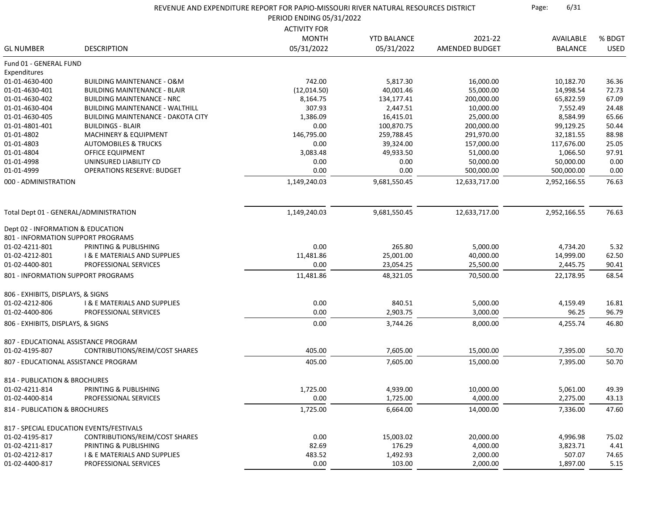|                                   |                                           | REVENUE AND EXPENDITURE REPORT FOR PAPIO-MISSOURI RIVER NATURAL RESOURCES DISTRICT |                    |                | 6/31<br>Page:  |             |  |
|-----------------------------------|-------------------------------------------|------------------------------------------------------------------------------------|--------------------|----------------|----------------|-------------|--|
|                                   |                                           | PERIOD ENDING 05/31/2022                                                           |                    |                |                |             |  |
|                                   |                                           | <b>ACTIVITY FOR</b>                                                                |                    |                |                |             |  |
|                                   |                                           | <b>MONTH</b>                                                                       | <b>YTD BALANCE</b> | 2021-22        | AVAILABLE      | % BDGT      |  |
| <b>GL NUMBER</b>                  | <b>DESCRIPTION</b>                        | 05/31/2022                                                                         | 05/31/2022         | AMENDED BUDGET | <b>BALANCE</b> | <b>USED</b> |  |
| Fund 01 - GENERAL FUND            |                                           |                                                                                    |                    |                |                |             |  |
| Expenditures                      |                                           |                                                                                    |                    |                |                |             |  |
| 01-01-4630-400                    | <b>BUILDING MAINTENANCE - O&amp;M</b>     | 742.00                                                                             | 5,817.30           | 16,000.00      | 10,182.70      | 36.36       |  |
| 01-01-4630-401                    | <b>BUILDING MAINTENANCE - BLAIR</b>       | (12, 014.50)                                                                       | 40,001.46          | 55,000.00      | 14,998.54      | 72.73       |  |
| 01-01-4630-402                    | <b>BUILDING MAINTENANCE - NRC</b>         | 8,164.75                                                                           | 134,177.41         | 200,000.00     | 65,822.59      | 67.09       |  |
| 01-01-4630-404                    | <b>BUILDING MAINTENANCE - WALTHILL</b>    | 307.93                                                                             | 2,447.51           | 10,000.00      | 7,552.49       | 24.48       |  |
| 01-01-4630-405                    | <b>BUILDING MAINTENANCE - DAKOTA CITY</b> | 1,386.09                                                                           | 16,415.01          | 25,000.00      | 8,584.99       | 65.66       |  |
| 01-01-4801-401                    | <b>BUILDINGS - BLAIR</b>                  | 0.00                                                                               | 100,870.75         | 200,000.00     | 99,129.25      | 50.44       |  |
| 01-01-4802                        | <b>MACHINERY &amp; EQUIPMENT</b>          | 146,795.00                                                                         | 259,788.45         | 291,970.00     | 32,181.55      | 88.98       |  |
| 01-01-4803                        | <b>AUTOMOBILES &amp; TRUCKS</b>           | 0.00                                                                               | 39,324.00          | 157,000.00     | 117,676.00     | 25.05       |  |
| 01-01-4804                        | OFFICE EQUIPMENT                          | 3,083.48                                                                           | 49,933.50          | 51,000.00      | 1,066.50       | 97.91       |  |
| 01-01-4998                        | UNINSURED LIABILITY CD                    | 0.00                                                                               | 0.00               | 50,000.00      | 50,000.00      | 0.00        |  |
| 01-01-4999                        | <b>OPERATIONS RESERVE: BUDGET</b>         | 0.00                                                                               | 0.00               | 500,000.00     | 500,000.00     | 0.00        |  |
| 000 - ADMINISTRATION              |                                           | 1,149,240.03                                                                       | 9,681,550.45       | 12,633,717.00  | 2,952,166.55   | 76.63       |  |
|                                   | Total Dept 01 - GENERAL/ADMINISTRATION    | 1,149,240.03                                                                       | 9,681,550.45       | 12,633,717.00  | 2,952,166.55   | 76.63       |  |
|                                   |                                           |                                                                                    |                    |                |                |             |  |
| Dept 02 - INFORMATION & EDUCATION |                                           |                                                                                    |                    |                |                |             |  |
|                                   | 801 - INFORMATION SUPPORT PROGRAMS        |                                                                                    |                    |                |                |             |  |
| 01-02-4211-801                    | PRINTING & PUBLISHING                     | 0.00                                                                               | 265.80             | 5,000.00       | 4,734.20       | 5.32        |  |
| 01-02-4212-801                    | <b>I &amp; E MATERIALS AND SUPPLIES</b>   | 11,481.86                                                                          | 25,001.00          | 40,000.00      | 14,999.00      | 62.50       |  |
| 01-02-4400-801                    | PROFESSIONAL SERVICES                     | 0.00                                                                               | 23,054.25          | 25,500.00      | 2,445.75       | 90.41       |  |
|                                   | 801 - INFORMATION SUPPORT PROGRAMS        | 11,481.86                                                                          | 48,321.05          | 70,500.00      | 22,178.95      | 68.54       |  |
| 806 - EXHIBITS, DISPLAYS, & SIGNS |                                           |                                                                                    |                    |                |                |             |  |
| 01-02-4212-806                    | <b>I &amp; E MATERIALS AND SUPPLIES</b>   | 0.00                                                                               | 840.51             | 5,000.00       | 4,159.49       | 16.81       |  |
| 01-02-4400-806                    | PROFESSIONAL SERVICES                     | 0.00                                                                               | 2,903.75           | 3,000.00       | 96.25          | 96.79       |  |
| 806 - EXHIBITS, DISPLAYS, & SIGNS |                                           | 0.00                                                                               | 3,744.26           | 8,000.00       | 4,255.74       | 46.80       |  |
|                                   | 807 - EDUCATIONAL ASSISTANCE PROGRAM      |                                                                                    |                    |                |                |             |  |
| 01-02-4195-807                    | CONTRIBUTIONS/REIM/COST SHARES            | 405.00                                                                             | 7,605.00           | 15,000.00      | 7,395.00       | 50.70       |  |
|                                   | 807 - EDUCATIONAL ASSISTANCE PROGRAM      | 405.00                                                                             | 7,605.00           | 15,000.00      | 7,395.00       | 50.70       |  |
| 814 - PUBLICATION & BROCHURES     |                                           |                                                                                    |                    |                |                |             |  |
| 01-02-4211-814                    | PRINTING & PUBLISHING                     | 1,725.00                                                                           | 4,939.00           | 10,000.00      | 5,061.00       | 49.39       |  |
| 01-02-4400-814                    | PROFESSIONAL SERVICES                     | 0.00                                                                               | 1,725.00           | 4,000.00       | 2,275.00       | 43.13       |  |
| 814 - PUBLICATION & BROCHURES     |                                           | 1,725.00                                                                           | 6,664.00           | 14,000.00      | 7,336.00       | 47.60       |  |
|                                   | 817 - SPECIAL EDUCATION EVENTS/FESTIVALS  |                                                                                    |                    |                |                |             |  |
| 01-02-4195-817                    | CONTRIBUTIONS/REIM/COST SHARES            | 0.00                                                                               | 15,003.02          | 20,000.00      | 4,996.98       | 75.02       |  |
| 01-02-4211-817                    | PRINTING & PUBLISHING                     | 82.69                                                                              | 176.29             | 4,000.00       | 3,823.71       | 4.41        |  |
| 01-02-4212-817                    | <b>I &amp; E MATERIALS AND SUPPLIES</b>   | 483.52                                                                             | 1,492.93           | 2,000.00       | 507.07         | 74.65       |  |
| 01-02-4400-817                    | PROFESSIONAL SERVICES                     | 0.00                                                                               | 103.00             | 2,000.00       | 1,897.00       | 5.15        |  |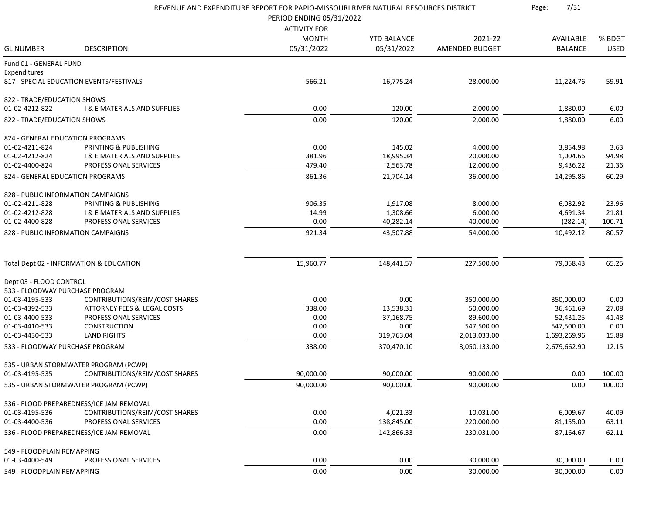|                                    |                                          | REVENUE AND EXPENDITURE REPORT FOR PAPIO-MISSOURI RIVER NATURAL RESOURCES DISTRICT |                    |                | 7/31<br>Page:  |             |
|------------------------------------|------------------------------------------|------------------------------------------------------------------------------------|--------------------|----------------|----------------|-------------|
|                                    |                                          | PERIOD ENDING 05/31/2022                                                           |                    |                |                |             |
|                                    |                                          | <b>ACTIVITY FOR</b>                                                                |                    |                |                |             |
|                                    |                                          | <b>MONTH</b>                                                                       | <b>YTD BALANCE</b> | 2021-22        | AVAILABLE      | % BDGT      |
| <b>GL NUMBER</b>                   | <b>DESCRIPTION</b>                       | 05/31/2022                                                                         | 05/31/2022         | AMENDED BUDGET | <b>BALANCE</b> | <b>USED</b> |
| Fund 01 - GENERAL FUND             |                                          |                                                                                    |                    |                |                |             |
| Expenditures                       |                                          |                                                                                    |                    |                |                |             |
|                                    | 817 - SPECIAL EDUCATION EVENTS/FESTIVALS | 566.21                                                                             | 16,775.24          | 28,000.00      | 11,224.76      | 59.91       |
| 822 - TRADE/EDUCATION SHOWS        |                                          |                                                                                    |                    |                |                |             |
| 01-02-4212-822                     | <b>I &amp; E MATERIALS AND SUPPLIES</b>  | 0.00                                                                               | 120.00             | 2,000.00       | 1,880.00       | 6.00        |
| 822 - TRADE/EDUCATION SHOWS        |                                          | 0.00                                                                               | 120.00             | 2,000.00       | 1,880.00       | 6.00        |
| 824 - GENERAL EDUCATION PROGRAMS   |                                          |                                                                                    |                    |                |                |             |
| 01-02-4211-824                     | PRINTING & PUBLISHING                    | 0.00                                                                               | 145.02             | 4,000.00       | 3,854.98       | 3.63        |
| 01-02-4212-824                     | <b>I &amp; E MATERIALS AND SUPPLIES</b>  | 381.96                                                                             | 18,995.34          | 20,000.00      | 1,004.66       | 94.98       |
| 01-02-4400-824                     | PROFESSIONAL SERVICES                    | 479.40                                                                             | 2,563.78           | 12,000.00      | 9,436.22       | 21.36       |
| 824 - GENERAL EDUCATION PROGRAMS   |                                          | 861.36                                                                             | 21,704.14          | 36,000.00      | 14,295.86      | 60.29       |
| 828 - PUBLIC INFORMATION CAMPAIGNS |                                          |                                                                                    |                    |                |                |             |
| 01-02-4211-828                     | PRINTING & PUBLISHING                    | 906.35                                                                             | 1,917.08           | 8,000.00       | 6,082.92       | 23.96       |
| 01-02-4212-828                     | <b>I &amp; E MATERIALS AND SUPPLIES</b>  | 14.99                                                                              | 1,308.66           | 6,000.00       | 4,691.34       | 21.81       |
| 01-02-4400-828                     | PROFESSIONAL SERVICES                    | 0.00                                                                               | 40,282.14          | 40,000.00      | (282.14)       | 100.71      |
| 828 - PUBLIC INFORMATION CAMPAIGNS |                                          | 921.34                                                                             | 43,507.88          | 54,000.00      | 10,492.12      | 80.57       |
|                                    |                                          |                                                                                    |                    |                |                |             |
|                                    | Total Dept 02 - INFORMATION & EDUCATION  | 15,960.77                                                                          | 148,441.57         | 227,500.00     | 79,058.43      | 65.25       |
| Dept 03 - FLOOD CONTROL            |                                          |                                                                                    |                    |                |                |             |
| 533 - FLOODWAY PURCHASE PROGRAM    |                                          |                                                                                    |                    |                |                |             |
| 01-03-4195-533                     | CONTRIBUTIONS/REIM/COST SHARES           | 0.00                                                                               | 0.00               | 350,000.00     | 350,000.00     | 0.00        |
| 01-03-4392-533                     | ATTORNEY FEES & LEGAL COSTS              | 338.00                                                                             | 13,538.31          | 50,000.00      | 36,461.69      | 27.08       |
| 01-03-4400-533                     | PROFESSIONAL SERVICES                    | 0.00                                                                               | 37,168.75          | 89,600.00      | 52,431.25      | 41.48       |
| 01-03-4410-533                     | <b>CONSTRUCTION</b>                      | 0.00                                                                               | 0.00               | 547,500.00     | 547,500.00     | 0.00        |
| 01-03-4430-533                     | <b>LAND RIGHTS</b>                       | 0.00                                                                               | 319,763.04         | 2,013,033.00   | 1,693,269.96   | 15.88       |
| 533 - FLOODWAY PURCHASE PROGRAM    |                                          | 338.00                                                                             | 370,470.10         | 3,050,133.00   | 2,679,662.90   | 12.15       |
|                                    | 535 - URBAN STORMWATER PROGRAM (PCWP)    |                                                                                    |                    |                |                |             |
| 01-03-4195-535                     | CONTRIBUTIONS/REIM/COST SHARES           | 90,000.00                                                                          | 90,000.00          | 90,000.00      | 0.00           | 100.00      |
|                                    | 535 - URBAN STORMWATER PROGRAM (PCWP)    | 90,000.00                                                                          | 90,000.00          | 90,000.00      | 0.00           | 100.00      |
|                                    | 536 - FLOOD PREPAREDNESS/ICE JAM REMOVAL |                                                                                    |                    |                |                |             |
| 01-03-4195-536                     | CONTRIBUTIONS/REIM/COST SHARES           | 0.00                                                                               | 4,021.33           | 10,031.00      | 6,009.67       | 40.09       |
| 01-03-4400-536                     | PROFESSIONAL SERVICES                    | 0.00                                                                               | 138,845.00         | 220,000.00     | 81,155.00      | 63.11       |
|                                    | 536 - FLOOD PREPAREDNESS/ICE JAM REMOVAL | 0.00                                                                               | 142,866.33         | 230,031.00     | 87,164.67      | 62.11       |
| 549 - FLOODPLAIN REMAPPING         |                                          |                                                                                    |                    |                |                |             |
| 01-03-4400-549                     | PROFESSIONAL SERVICES                    | 0.00                                                                               | 0.00               | 30,000.00      | 30,000.00      | 0.00        |
| 549 - FLOODPLAIN REMAPPING         |                                          | 0.00                                                                               | 0.00               | 30,000.00      | 30,000.00      | 0.00        |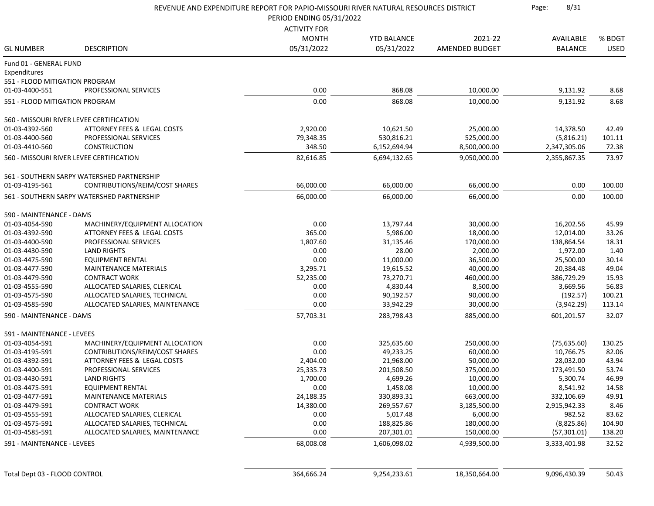|                                |                                            | REVENUE AND EXPENDITURE REPORT FOR PAPIO-MISSOURI RIVER NATURAL RESOURCES DISTRICT<br>PERIOD ENDING 05/31/2022 |                    |                | 8/31<br>Page:  |             |
|--------------------------------|--------------------------------------------|----------------------------------------------------------------------------------------------------------------|--------------------|----------------|----------------|-------------|
|                                |                                            | <b>ACTIVITY FOR</b>                                                                                            |                    |                |                |             |
|                                |                                            | <b>MONTH</b>                                                                                                   | <b>YTD BALANCE</b> | 2021-22        | AVAILABLE      | % BDGT      |
| <b>GL NUMBER</b>               | <b>DESCRIPTION</b>                         | 05/31/2022                                                                                                     | 05/31/2022         | AMENDED BUDGET | <b>BALANCE</b> | <b>USED</b> |
| Fund 01 - GENERAL FUND         |                                            |                                                                                                                |                    |                |                |             |
| Expenditures                   |                                            |                                                                                                                |                    |                |                |             |
| 551 - FLOOD MITIGATION PROGRAM |                                            |                                                                                                                |                    |                |                |             |
| 01-03-4400-551                 | PROFESSIONAL SERVICES                      | 0.00                                                                                                           | 868.08             | 10,000.00      | 9,131.92       | 8.68        |
| 551 - FLOOD MITIGATION PROGRAM |                                            | 0.00                                                                                                           | 868.08             | 10,000.00      | 9,131.92       | 8.68        |
|                                |                                            |                                                                                                                |                    |                |                |             |
|                                | 560 - MISSOURI RIVER LEVEE CERTIFICATION   |                                                                                                                |                    |                |                |             |
| 01-03-4392-560                 | ATTORNEY FEES & LEGAL COSTS                | 2,920.00                                                                                                       | 10,621.50          | 25,000.00      | 14,378.50      | 42.49       |
| 01-03-4400-560                 | PROFESSIONAL SERVICES                      | 79,348.35                                                                                                      | 530,816.21         | 525,000.00     | (5,816.21)     | 101.11      |
| 01-03-4410-560                 | <b>CONSTRUCTION</b>                        | 348.50                                                                                                         | 6,152,694.94       | 8,500,000.00   | 2,347,305.06   | 72.38       |
|                                | 560 - MISSOURI RIVER LEVEE CERTIFICATION   | 82,616.85                                                                                                      | 6,694,132.65       | 9,050,000.00   | 2,355,867.35   | 73.97       |
|                                | 561 - SOUTHERN SARPY WATERSHED PARTNERSHIP |                                                                                                                |                    |                |                |             |
| 01-03-4195-561                 | CONTRIBUTIONS/REIM/COST SHARES             | 66,000.00                                                                                                      | 66,000.00          | 66,000.00      | 0.00           | 100.00      |
|                                | 561 - SOUTHERN SARPY WATERSHED PARTNERSHIP | 66,000.00                                                                                                      | 66,000.00          | 66,000.00      | 0.00           | 100.00      |
| 590 - MAINTENANCE - DAMS       |                                            |                                                                                                                |                    |                |                |             |
| 01-03-4054-590                 | MACHINERY/EQUIPMENT ALLOCATION             | 0.00                                                                                                           | 13,797.44          | 30,000.00      | 16,202.56      | 45.99       |
| 01-03-4392-590                 | ATTORNEY FEES & LEGAL COSTS                | 365.00                                                                                                         | 5,986.00           | 18,000.00      | 12,014.00      | 33.26       |
| 01-03-4400-590                 | PROFESSIONAL SERVICES                      | 1,807.60                                                                                                       | 31,135.46          | 170,000.00     | 138,864.54     | 18.31       |
| 01-03-4430-590                 | <b>LAND RIGHTS</b>                         | 0.00                                                                                                           | 28.00              | 2,000.00       | 1,972.00       | 1.40        |
| 01-03-4475-590                 | <b>EQUIPMENT RENTAL</b>                    | 0.00                                                                                                           | 11,000.00          | 36,500.00      | 25,500.00      | 30.14       |
| 01-03-4477-590                 | <b>MAINTENANCE MATERIALS</b>               | 3,295.71                                                                                                       | 19,615.52          | 40,000.00      | 20,384.48      | 49.04       |
| 01-03-4479-590                 | <b>CONTRACT WORK</b>                       | 52,235.00                                                                                                      | 73,270.71          | 460,000.00     | 386,729.29     | 15.93       |
| 01-03-4555-590                 | ALLOCATED SALARIES, CLERICAL               | 0.00                                                                                                           | 4,830.44           | 8,500.00       | 3,669.56       | 56.83       |
| 01-03-4575-590                 | ALLOCATED SALARIES, TECHNICAL              | 0.00                                                                                                           | 90,192.57          | 90,000.00      | (192.57)       | 100.21      |
| 01-03-4585-590                 | ALLOCATED SALARIES, MAINTENANCE            | 0.00                                                                                                           | 33,942.29          | 30,000.00      | (3,942.29)     | 113.14      |
| 590 - MAINTENANCE - DAMS       |                                            | 57,703.31                                                                                                      | 283,798.43         | 885,000.00     | 601,201.57     | 32.07       |
|                                |                                            |                                                                                                                |                    |                |                |             |
| 591 - MAINTENANCE - LEVEES     |                                            |                                                                                                                |                    |                |                |             |
| 01-03-4054-591                 | MACHINERY/EQUIPMENT ALLOCATION             | 0.00                                                                                                           | 325,635.60         | 250,000.00     | (75, 635.60)   | 130.25      |
| 01-03-4195-591                 | CONTRIBUTIONS/REIM/COST SHARES             | 0.00                                                                                                           | 49,233.25          | 60,000.00      | 10,766.75      | 82.06       |
| 01-03-4392-591                 | ATTORNEY FEES & LEGAL COSTS                | 2,404.00                                                                                                       | 21,968.00          | 50,000.00      | 28,032.00      | 43.94       |
| 01-03-4400-591                 | PROFESSIONAL SERVICES                      | 25,335.73                                                                                                      | 201,508.50         | 375,000.00     | 173,491.50     | 53.74       |
| 01-03-4430-591                 | <b>LAND RIGHTS</b>                         | 1,700.00                                                                                                       | 4,699.26           | 10,000.00      | 5,300.74       | 46.99       |
| 01-03-4475-591                 | <b>EQUIPMENT RENTAL</b>                    | 0.00                                                                                                           | 1,458.08           | 10,000.00      | 8,541.92       | 14.58       |
| 01-03-4477-591                 | <b>MAINTENANCE MATERIALS</b>               | 24,188.35                                                                                                      | 330,893.31         | 663,000.00     | 332,106.69     | 49.91       |
| 01-03-4479-591                 | <b>CONTRACT WORK</b>                       | 14,380.00                                                                                                      | 269,557.67         | 3,185,500.00   | 2,915,942.33   | 8.46        |
| 01-03-4555-591                 | ALLOCATED SALARIES, CLERICAL               | 0.00                                                                                                           | 5,017.48           | 6,000.00       | 982.52         | 83.62       |
| 01-03-4575-591                 | ALLOCATED SALARIES, TECHNICAL              | 0.00                                                                                                           | 188,825.86         | 180,000.00     | (8,825.86)     | 104.90      |
| 01-03-4585-591                 | ALLOCATED SALARIES, MAINTENANCE            | 0.00                                                                                                           | 207,301.01         | 150,000.00     | (57, 301.01)   | 138.20      |
| 591 - MAINTENANCE - LEVEES     |                                            | 68,008.08                                                                                                      | 1,606,098.02       | 4,939,500.00   | 3,333,401.98   | 32.52       |
|                                |                                            |                                                                                                                |                    |                |                |             |
| Total Dept 03 - FLOOD CONTROL  |                                            | 364,666.24                                                                                                     | 9,254,233.61       | 18,350,664.00  | 9,096,430.39   | 50.43       |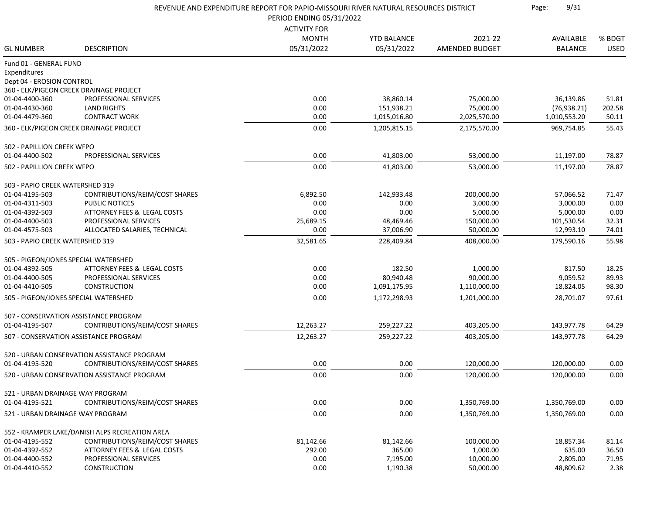|                                           |                                                | REVENUE AND EXPENDITURE REPORT FOR PAPIO-MISSOURI RIVER NATURAL RESOURCES DISTRICT<br>PERIOD ENDING 05/31/2022 |                    |                |                |             |
|-------------------------------------------|------------------------------------------------|----------------------------------------------------------------------------------------------------------------|--------------------|----------------|----------------|-------------|
|                                           |                                                | <b>ACTIVITY FOR</b>                                                                                            |                    |                |                |             |
|                                           |                                                | <b>MONTH</b>                                                                                                   | <b>YTD BALANCE</b> | 2021-22        | AVAILABLE      | % BDGT      |
| <b>GL NUMBER</b>                          | <b>DESCRIPTION</b>                             | 05/31/2022                                                                                                     | 05/31/2022         | AMENDED BUDGET | <b>BALANCE</b> | <b>USED</b> |
| Fund 01 - GENERAL FUND                    |                                                |                                                                                                                |                    |                |                |             |
| Expenditures<br>Dept 04 - EROSION CONTROL |                                                |                                                                                                                |                    |                |                |             |
|                                           | 360 - ELK/PIGEON CREEK DRAINAGE PROJECT        |                                                                                                                |                    |                |                |             |
| 01-04-4400-360                            | PROFESSIONAL SERVICES                          | 0.00                                                                                                           | 38,860.14          | 75,000.00      | 36,139.86      | 51.81       |
| 01-04-4430-360                            | <b>LAND RIGHTS</b>                             | 0.00                                                                                                           | 151,938.21         | 75,000.00      | (76, 938.21)   | 202.58      |
| 01-04-4479-360                            | <b>CONTRACT WORK</b>                           | 0.00                                                                                                           | 1,015,016.80       | 2,025,570.00   | 1,010,553.20   | 50.11       |
|                                           | 360 - ELK/PIGEON CREEK DRAINAGE PROJECT        | 0.00                                                                                                           | 1,205,815.15       | 2,175,570.00   | 969,754.85     | 55.43       |
| 502 - PAPILLION CREEK WFPO                |                                                |                                                                                                                |                    |                |                |             |
| 01-04-4400-502                            | PROFESSIONAL SERVICES                          | 0.00                                                                                                           | 41,803.00          | 53,000.00      | 11,197.00      | 78.87       |
| 502 - PAPILLION CREEK WFPO                |                                                | 0.00                                                                                                           | 41,803.00          | 53,000.00      | 11,197.00      | 78.87       |
| 503 - PAPIO CREEK WATERSHED 319           |                                                |                                                                                                                |                    |                |                |             |
| 01-04-4195-503                            | CONTRIBUTIONS/REIM/COST SHARES                 | 6,892.50                                                                                                       | 142,933.48         | 200,000.00     | 57,066.52      | 71.47       |
| 01-04-4311-503                            | PUBLIC NOTICES                                 | 0.00                                                                                                           | 0.00               | 3,000.00       | 3,000.00       | 0.00        |
| 01-04-4392-503                            | ATTORNEY FEES & LEGAL COSTS                    | 0.00                                                                                                           | 0.00               | 5,000.00       | 5,000.00       | 0.00        |
| 01-04-4400-503                            | PROFESSIONAL SERVICES                          | 25,689.15                                                                                                      | 48,469.46          | 150,000.00     | 101,530.54     | 32.31       |
| 01-04-4575-503                            | ALLOCATED SALARIES, TECHNICAL                  | 0.00                                                                                                           | 37,006.90          | 50,000.00      | 12,993.10      | 74.01       |
| 503 - PAPIO CREEK WATERSHED 319           |                                                | 32,581.65                                                                                                      | 228,409.84         | 408,000.00     | 179,590.16     | 55.98       |
|                                           | 505 - PIGEON/JONES SPECIAL WATERSHED           |                                                                                                                |                    |                |                |             |
| 01-04-4392-505                            | ATTORNEY FEES & LEGAL COSTS                    | 0.00                                                                                                           | 182.50             | 1,000.00       | 817.50         | 18.25       |
| 01-04-4400-505                            | PROFESSIONAL SERVICES                          | 0.00                                                                                                           | 80,940.48          | 90,000.00      | 9,059.52       | 89.93       |
| 01-04-4410-505                            | <b>CONSTRUCTION</b>                            | 0.00                                                                                                           | 1,091,175.95       | 1,110,000.00   | 18,824.05      | 98.30       |
|                                           | 505 - PIGEON/JONES SPECIAL WATERSHED           | 0.00                                                                                                           | 1,172,298.93       | 1,201,000.00   | 28,701.07      | 97.61       |
|                                           | 507 - CONSERVATION ASSISTANCE PROGRAM          |                                                                                                                |                    |                |                |             |
| 01-04-4195-507                            | CONTRIBUTIONS/REIM/COST SHARES                 | 12,263.27                                                                                                      | 259,227.22         | 403,205.00     | 143,977.78     | 64.29       |
|                                           | 507 - CONSERVATION ASSISTANCE PROGRAM          | 12,263.27                                                                                                      | 259,227.22         | 403,205.00     | 143,977.78     | 64.29       |
|                                           | 520 - URBAN CONSERVATION ASSISTANCE PROGRAM    |                                                                                                                |                    |                |                |             |
| 01-04-4195-520                            | CONTRIBUTIONS/REIM/COST SHARES                 | 0.00                                                                                                           | 0.00               | 120,000.00     | 120,000.00     | 0.00        |
|                                           | 520 - URBAN CONSERVATION ASSISTANCE PROGRAM    | 0.00                                                                                                           | 0.00               | 120,000.00     | 120,000.00     | 0.00        |
| 521 - URBAN DRAINAGE WAY PROGRAM          |                                                |                                                                                                                |                    |                |                |             |
| 01-04-4195-521                            | CONTRIBUTIONS/REIM/COST SHARES                 | 0.00                                                                                                           | 0.00               | 1,350,769.00   | 1,350,769.00   | 0.00        |
| 521 - URBAN DRAINAGE WAY PROGRAM          |                                                | 0.00                                                                                                           | 0.00               | 1,350,769.00   | 1,350,769.00   | 0.00        |
|                                           | 552 - KRAMPER LAKE/DANISH ALPS RECREATION AREA |                                                                                                                |                    |                |                |             |
| 01-04-4195-552                            | CONTRIBUTIONS/REIM/COST SHARES                 | 81,142.66                                                                                                      | 81,142.66          | 100,000.00     | 18,857.34      | 81.14       |
| 01-04-4392-552                            | ATTORNEY FEES & LEGAL COSTS                    | 292.00                                                                                                         | 365.00             | 1,000.00       | 635.00         | 36.50       |
| 01-04-4400-552                            | PROFESSIONAL SERVICES                          | 0.00                                                                                                           | 7,195.00           | 10,000.00      | 2,805.00       | 71.95       |
| 01-04-4410-552                            | CONSTRUCTION                                   | 0.00                                                                                                           | 1,190.38           | 50,000.00      | 48,809.62      | 2.38        |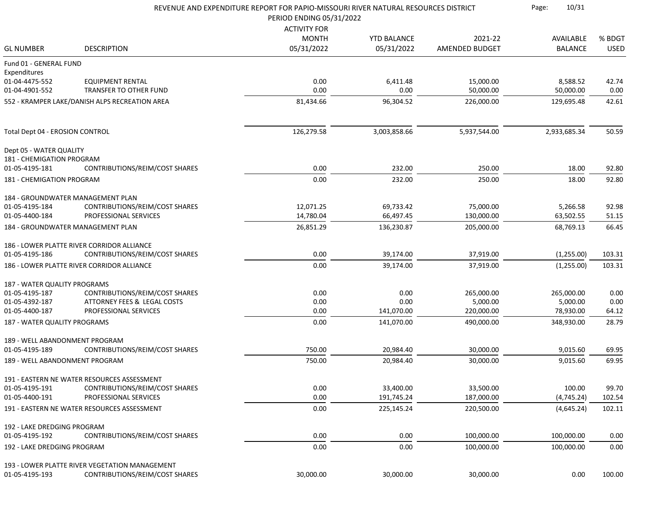|                                 | REVENUE AND EXPENDITURE REPORT FOR PAPIO-MISSOURI RIVER NATURAL RESOURCES DISTRICT<br>PERIOD ENDING 05/31/2022 |                     |                    |                        |                       |               |
|---------------------------------|----------------------------------------------------------------------------------------------------------------|---------------------|--------------------|------------------------|-----------------------|---------------|
|                                 |                                                                                                                | <b>ACTIVITY FOR</b> |                    |                        |                       |               |
|                                 |                                                                                                                | <b>MONTH</b>        | <b>YTD BALANCE</b> | 2021-22                | AVAILABLE             | % BDGT        |
| <b>GL NUMBER</b>                | <b>DESCRIPTION</b>                                                                                             | 05/31/2022          | 05/31/2022         | AMENDED BUDGET         | <b>BALANCE</b>        | <b>USED</b>   |
| Fund 01 - GENERAL FUND          |                                                                                                                |                     |                    |                        |                       |               |
| Expenditures<br>01-04-4475-552  | <b>EQUIPMENT RENTAL</b>                                                                                        | 0.00                |                    |                        |                       |               |
| 01-04-4901-552                  | <b>TRANSFER TO OTHER FUND</b>                                                                                  | 0.00                | 6,411.48<br>0.00   | 15,000.00<br>50,000.00 | 8,588.52<br>50,000.00 | 42.74<br>0.00 |
|                                 |                                                                                                                |                     |                    |                        |                       | 42.61         |
|                                 | 552 - KRAMPER LAKE/DANISH ALPS RECREATION AREA                                                                 | 81,434.66           | 96,304.52          | 226,000.00             | 129,695.48            |               |
| Total Dept 04 - EROSION CONTROL |                                                                                                                | 126,279.58          | 3,003,858.66       | 5,937,544.00           | 2,933,685.34          | 50.59         |
| Dept 05 - WATER QUALITY         |                                                                                                                |                     |                    |                        |                       |               |
| 181 - CHEMIGATION PROGRAM       |                                                                                                                |                     |                    |                        |                       |               |
| 01-05-4195-181                  | <b>CONTRIBUTIONS/REIM/COST SHARES</b>                                                                          | 0.00                | 232.00             | 250.00                 | 18.00                 | 92.80         |
| 181 - CHEMIGATION PROGRAM       |                                                                                                                | 0.00                | 232.00             | 250.00                 | 18.00                 | 92.80         |
|                                 | 184 - GROUNDWATER MANAGEMENT PLAN                                                                              |                     |                    |                        |                       |               |
| 01-05-4195-184                  | CONTRIBUTIONS/REIM/COST SHARES                                                                                 | 12,071.25           | 69,733.42          | 75,000.00              | 5,266.58              | 92.98         |
| 01-05-4400-184                  | PROFESSIONAL SERVICES                                                                                          | 14,780.04           | 66,497.45          | 130,000.00             | 63,502.55             | 51.15         |
|                                 | 184 - GROUNDWATER MANAGEMENT PLAN                                                                              | 26,851.29           | 136,230.87         | 205,000.00             | 68,769.13             | 66.45         |
|                                 | 186 - LOWER PLATTE RIVER CORRIDOR ALLIANCE                                                                     |                     |                    |                        |                       |               |
| 01-05-4195-186                  | CONTRIBUTIONS/REIM/COST SHARES                                                                                 | 0.00                | 39,174.00          | 37,919.00              | (1,255.00)            | 103.31        |
|                                 | 186 - LOWER PLATTE RIVER CORRIDOR ALLIANCE                                                                     | 0.00                | 39,174.00          | 37,919.00              | (1,255.00)            | 103.31        |
| 187 - WATER QUALITY PROGRAMS    |                                                                                                                |                     |                    |                        |                       |               |
| 01-05-4195-187                  | CONTRIBUTIONS/REIM/COST SHARES                                                                                 | 0.00                | 0.00               | 265,000.00             | 265,000.00            | 0.00          |
| 01-05-4392-187                  | ATTORNEY FEES & LEGAL COSTS                                                                                    | 0.00                | 0.00               | 5,000.00               | 5,000.00              | 0.00          |
| 01-05-4400-187                  | PROFESSIONAL SERVICES                                                                                          | 0.00                | 141,070.00         | 220,000.00             | 78,930.00             | 64.12         |
| 187 - WATER QUALITY PROGRAMS    |                                                                                                                | 0.00                | 141,070.00         | 490,000.00             | 348,930.00            | 28.79         |
| 189 - WELL ABANDONMENT PROGRAM  |                                                                                                                |                     |                    |                        |                       |               |
| 01-05-4195-189                  | CONTRIBUTIONS/REIM/COST SHARES                                                                                 | 750.00              | 20,984.40          | 30,000.00              | 9,015.60              | 69.95         |
| 189 - WELL ABANDONMENT PROGRAM  |                                                                                                                | 750.00              | 20,984.40          | 30,000.00              | 9,015.60              | 69.95         |
|                                 | 191 - EASTERN NE WATER RESOURCES ASSESSMENT                                                                    |                     |                    |                        |                       |               |
| 01-05-4195-191                  | CONTRIBUTIONS/REIM/COST SHARES                                                                                 | 0.00                | 33,400.00          | 33,500.00              | 100.00                | 99.70         |
| 01-05-4400-191                  | PROFESSIONAL SERVICES                                                                                          | 0.00                | 191,745.24         | 187,000.00             | (4, 745.24)           | 102.54        |
|                                 | 191 - EASTERN NE WATER RESOURCES ASSESSMENT                                                                    | 0.00                | 225,145.24         | 220,500.00             | (4,645.24)            | 102.11        |
|                                 |                                                                                                                |                     |                    |                        |                       |               |
| 192 - LAKE DREDGING PROGRAM     |                                                                                                                |                     |                    |                        |                       |               |
| 01-05-4195-192                  | <b>CONTRIBUTIONS/REIM/COST SHARES</b>                                                                          | 0.00                | 0.00               | 100,000.00             | 100,000.00            | 0.00          |
| 192 - LAKE DREDGING PROGRAM     |                                                                                                                | 0.00                | 0.00               | 100,000.00             | 100,000.00            | 0.00          |
|                                 | 193 - LOWER PLATTE RIVER VEGETATION MANAGEMENT                                                                 |                     |                    |                        |                       |               |
| 01-05-4195-193                  | CONTRIBUTIONS/REIM/COST SHARES                                                                                 | 30,000.00           | 30,000.00          | 30,000.00              | 0.00                  | 100.00        |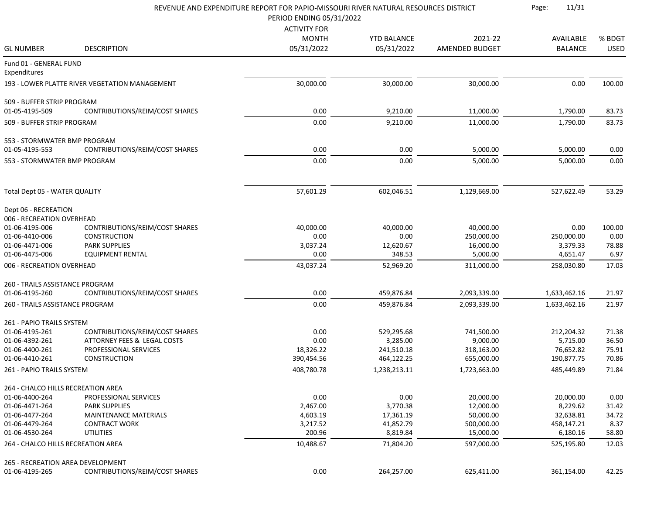|                                    |                                                | REVENUE AND EXPENDITURE REPORT FOR PAPIO-MISSOURI RIVER NATURAL RESOURCES DISTRICT<br>PERIOD ENDING 05/31/2022 | 11/31<br>Page:                   |                       |                |                       |
|------------------------------------|------------------------------------------------|----------------------------------------------------------------------------------------------------------------|----------------------------------|-----------------------|----------------|-----------------------|
|                                    |                                                | <b>ACTIVITY FOR</b>                                                                                            |                                  |                       |                |                       |
|                                    |                                                | <b>MONTH</b>                                                                                                   |                                  | 2021-22               | AVAILABLE      |                       |
| <b>GL NUMBER</b>                   | <b>DESCRIPTION</b>                             | 05/31/2022                                                                                                     | <b>YTD BALANCE</b><br>05/31/2022 | <b>AMENDED BUDGET</b> | <b>BALANCE</b> | % BDGT<br><b>USED</b> |
|                                    |                                                |                                                                                                                |                                  |                       |                |                       |
| Fund 01 - GENERAL FUND             |                                                |                                                                                                                |                                  |                       |                |                       |
| Expenditures                       |                                                |                                                                                                                |                                  |                       |                |                       |
|                                    | 193 - LOWER PLATTE RIVER VEGETATION MANAGEMENT | 30,000.00                                                                                                      | 30,000.00                        | 30,000.00             | 0.00           | 100.00                |
| 509 - BUFFER STRIP PROGRAM         |                                                |                                                                                                                |                                  |                       |                |                       |
| 01-05-4195-509                     | CONTRIBUTIONS/REIM/COST SHARES                 | 0.00                                                                                                           | 9,210.00                         | 11,000.00             | 1,790.00       | 83.73                 |
| 509 - BUFFER STRIP PROGRAM         |                                                | 0.00                                                                                                           | 9,210.00                         | 11,000.00             | 1,790.00       | 83.73                 |
| 553 - STORMWATER BMP PROGRAM       |                                                |                                                                                                                |                                  |                       |                |                       |
| 01-05-4195-553                     | CONTRIBUTIONS/REIM/COST SHARES                 | 0.00                                                                                                           | 0.00                             | 5,000.00              | 5,000.00       | 0.00                  |
| 553 - STORMWATER BMP PROGRAM       |                                                | 0.00                                                                                                           | 0.00                             | 5,000.00              | 5,000.00       | 0.00                  |
| Total Dept 05 - WATER QUALITY      |                                                | 57,601.29                                                                                                      | 602,046.51                       | 1,129,669.00          | 527,622.49     | 53.29                 |
|                                    |                                                |                                                                                                                |                                  |                       |                |                       |
| Dept 06 - RECREATION               |                                                |                                                                                                                |                                  |                       |                |                       |
| 006 - RECREATION OVERHEAD          |                                                |                                                                                                                |                                  |                       |                |                       |
| 01-06-4195-006                     | CONTRIBUTIONS/REIM/COST SHARES                 | 40,000.00                                                                                                      | 40,000.00                        | 40,000.00             | 0.00           | 100.00                |
| 01-06-4410-006                     | <b>CONSTRUCTION</b>                            | 0.00                                                                                                           | 0.00                             | 250,000.00            | 250,000.00     | 0.00                  |
| 01-06-4471-006                     | <b>PARK SUPPLIES</b>                           | 3,037.24                                                                                                       | 12,620.67                        | 16,000.00             | 3,379.33       | 78.88                 |
| 01-06-4475-006                     | <b>EQUIPMENT RENTAL</b>                        | 0.00                                                                                                           | 348.53                           | 5,000.00              | 4,651.47       | 6.97                  |
| 006 - RECREATION OVERHEAD          |                                                | 43,037.24                                                                                                      | 52,969.20                        | 311,000.00            | 258,030.80     | 17.03                 |
| 260 - TRAILS ASSISTANCE PROGRAM    |                                                |                                                                                                                |                                  |                       |                |                       |
| 01-06-4195-260                     | CONTRIBUTIONS/REIM/COST SHARES                 | 0.00                                                                                                           | 459,876.84                       | 2,093,339.00          | 1,633,462.16   | 21.97                 |
| 260 - TRAILS ASSISTANCE PROGRAM    |                                                | 0.00                                                                                                           | 459,876.84                       | 2,093,339.00          | 1,633,462.16   | 21.97                 |
| 261 - PAPIO TRAILS SYSTEM          |                                                |                                                                                                                |                                  |                       |                |                       |
| 01-06-4195-261                     | CONTRIBUTIONS/REIM/COST SHARES                 | 0.00                                                                                                           | 529,295.68                       | 741,500.00            | 212,204.32     | 71.38                 |
| 01-06-4392-261                     | ATTORNEY FEES & LEGAL COSTS                    | 0.00                                                                                                           | 3,285.00                         | 9,000.00              | 5,715.00       | 36.50                 |
| 01-06-4400-261                     | PROFESSIONAL SERVICES                          | 18,326.22                                                                                                      | 241,510.18                       | 318,163.00            | 76,652.82      | 75.91                 |
| 01-06-4410-261                     | CONSTRUCTION                                   | 390,454.56                                                                                                     | 464,122.25                       | 655,000.00            | 190,877.75     | 70.86                 |
| 261 - PAPIO TRAILS SYSTEM          |                                                | 408,780.78                                                                                                     | 1,238,213.11                     | 1,723,663.00          | 485,449.89     | 71.84                 |
|                                    |                                                |                                                                                                                |                                  |                       |                |                       |
| 264 - CHALCO HILLS RECREATION AREA |                                                |                                                                                                                |                                  |                       |                |                       |
| 01-06-4400-264                     | PROFESSIONAL SERVICES                          | 0.00                                                                                                           | 0.00                             | 20,000.00             | 20,000.00      | 0.00                  |
| 01-06-4471-264                     | <b>PARK SUPPLIES</b>                           | 2,467.00                                                                                                       | 3,770.38                         | 12,000.00             | 8,229.62       | 31.42                 |
| 01-06-4477-264                     | <b>MAINTENANCE MATERIALS</b>                   | 4,603.19                                                                                                       | 17,361.19                        | 50,000.00             | 32,638.81      | 34.72                 |
| 01-06-4479-264                     | <b>CONTRACT WORK</b>                           | 3,217.52                                                                                                       | 41,852.79                        | 500,000.00            | 458,147.21     | 8.37                  |
| 01-06-4530-264                     | <b>UTILITIES</b>                               | 200.96                                                                                                         | 8,819.84                         | 15,000.00             | 6,180.16       | 58.80                 |
| 264 - CHALCO HILLS RECREATION AREA |                                                | 10,488.67                                                                                                      | 71,804.20                        | 597,000.00            | 525,195.80     | 12.03                 |
| 265 - RECREATION AREA DEVELOPMENT  |                                                |                                                                                                                |                                  |                       |                |                       |
| 01-06-4195-265                     | CONTRIBUTIONS/REIM/COST SHARES                 | 0.00                                                                                                           | 264,257.00                       | 625,411.00            | 361,154.00     | 42.25                 |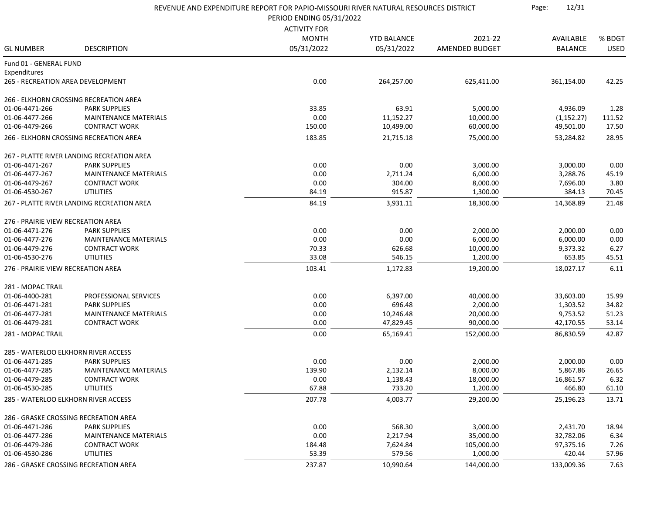|                                    |                                            | REVENUE AND EXPENDITURE REPORT FOR PAPIO-MISSOURI RIVER NATURAL RESOURCES DISTRICT |                          |                |                |             |
|------------------------------------|--------------------------------------------|------------------------------------------------------------------------------------|--------------------------|----------------|----------------|-------------|
|                                    |                                            |                                                                                    | PERIOD ENDING 05/31/2022 |                |                |             |
|                                    |                                            | <b>ACTIVITY FOR</b>                                                                |                          |                |                |             |
|                                    |                                            | <b>MONTH</b>                                                                       | <b>YTD BALANCE</b>       | 2021-22        | AVAILABLE      | % BDGT      |
| <b>GL NUMBER</b>                   | <b>DESCRIPTION</b>                         | 05/31/2022                                                                         | 05/31/2022               | AMENDED BUDGET | <b>BALANCE</b> | <b>USED</b> |
| Fund 01 - GENERAL FUND             |                                            |                                                                                    |                          |                |                |             |
| Expenditures                       |                                            |                                                                                    |                          |                |                |             |
| 265 - RECREATION AREA DEVELOPMENT  |                                            | 0.00                                                                               | 264,257.00               | 625,411.00     | 361,154.00     | 42.25       |
|                                    | 266 - ELKHORN CROSSING RECREATION AREA     |                                                                                    |                          |                |                |             |
| 01-06-4471-266                     | <b>PARK SUPPLIES</b>                       | 33.85                                                                              | 63.91                    | 5,000.00       | 4,936.09       | 1.28        |
| 01-06-4477-266                     | <b>MAINTENANCE MATERIALS</b>               | 0.00                                                                               | 11,152.27                | 10,000.00      | (1, 152.27)    | 111.52      |
| 01-06-4479-266                     | <b>CONTRACT WORK</b>                       | 150.00                                                                             | 10,499.00                | 60,000.00      | 49,501.00      | 17.50       |
|                                    | 266 - ELKHORN CROSSING RECREATION AREA     | 183.85                                                                             | 21,715.18                | 75,000.00      | 53,284.82      | 28.95       |
|                                    | 267 - PLATTE RIVER LANDING RECREATION AREA |                                                                                    |                          |                |                |             |
| 01-06-4471-267                     | <b>PARK SUPPLIES</b>                       | 0.00                                                                               | 0.00                     | 3,000.00       | 3,000.00       | 0.00        |
| 01-06-4477-267                     | <b>MAINTENANCE MATERIALS</b>               | 0.00                                                                               | 2,711.24                 | 6,000.00       | 3,288.76       | 45.19       |
| 01-06-4479-267                     | <b>CONTRACT WORK</b>                       | 0.00                                                                               | 304.00                   | 8,000.00       | 7,696.00       | 3.80        |
| 01-06-4530-267                     | <b>UTILITIES</b>                           | 84.19                                                                              | 915.87                   | 1,300.00       | 384.13         | 70.45       |
|                                    | 267 - PLATTE RIVER LANDING RECREATION AREA | 84.19                                                                              | 3,931.11                 | 18,300.00      | 14,368.89      | 21.48       |
| 276 - PRAIRIE VIEW RECREATION AREA |                                            |                                                                                    |                          |                |                |             |
| 01-06-4471-276                     | <b>PARK SUPPLIES</b>                       | 0.00                                                                               | 0.00                     | 2,000.00       | 2,000.00       | 0.00        |
| 01-06-4477-276                     | <b>MAINTENANCE MATERIALS</b>               | 0.00                                                                               | 0.00                     | 6,000.00       | 6,000.00       | 0.00        |
| 01-06-4479-276                     | <b>CONTRACT WORK</b>                       | 70.33                                                                              | 626.68                   | 10,000.00      | 9,373.32       | 6.27        |
| 01-06-4530-276                     | <b>UTILITIES</b>                           | 33.08                                                                              | 546.15                   | 1,200.00       | 653.85         | 45.51       |
| 276 - PRAIRIE VIEW RECREATION AREA |                                            | 103.41                                                                             | 1,172.83                 | 19,200.00      | 18,027.17      | 6.11        |
| 281 - MOPAC TRAIL                  |                                            |                                                                                    |                          |                |                |             |
| 01-06-4400-281                     | PROFESSIONAL SERVICES                      | 0.00                                                                               | 6,397.00                 | 40,000.00      | 33,603.00      | 15.99       |
| 01-06-4471-281                     | <b>PARK SUPPLIES</b>                       | 0.00                                                                               | 696.48                   | 2,000.00       | 1,303.52       | 34.82       |
| 01-06-4477-281                     | <b>MAINTENANCE MATERIALS</b>               | 0.00                                                                               | 10,246.48                | 20,000.00      | 9,753.52       | 51.23       |
| 01-06-4479-281                     | <b>CONTRACT WORK</b>                       | 0.00                                                                               | 47,829.45                | 90,000.00      | 42,170.55      | 53.14       |
| 281 - MOPAC TRAIL                  |                                            | 0.00                                                                               | 65,169.41                | 152,000.00     | 86,830.59      | 42.87       |
|                                    | 285 - WATERLOO ELKHORN RIVER ACCESS        |                                                                                    |                          |                |                |             |
| 01-06-4471-285                     | <b>PARK SUPPLIES</b>                       | 0.00                                                                               | 0.00                     | 2,000.00       | 2,000.00       | 0.00        |
| 01-06-4477-285                     | <b>MAINTENANCE MATERIALS</b>               | 139.90                                                                             | 2,132.14                 | 8,000.00       | 5,867.86       | 26.65       |
| 01-06-4479-285                     | <b>CONTRACT WORK</b>                       | 0.00                                                                               | 1,138.43                 | 18,000.00      | 16,861.57      | 6.32        |
| 01-06-4530-285                     | <b>UTILITIES</b>                           | 67.88                                                                              | 733.20                   | 1,200.00       | 466.80         | 61.10       |
|                                    | 285 - WATERLOO ELKHORN RIVER ACCESS        | 207.78                                                                             | 4,003.77                 | 29,200.00      | 25,196.23      |             |
|                                    |                                            |                                                                                    |                          |                |                | 13.71       |
|                                    | 286 - GRASKE CROSSING RECREATION AREA      |                                                                                    |                          |                |                |             |
| 01-06-4471-286                     | <b>PARK SUPPLIES</b>                       | 0.00                                                                               | 568.30                   | 3,000.00       | 2,431.70       | 18.94       |
| 01-06-4477-286                     | <b>MAINTENANCE MATERIALS</b>               | 0.00                                                                               | 2,217.94                 | 35,000.00      | 32,782.06      | 6.34        |
| 01-06-4479-286                     | <b>CONTRACT WORK</b>                       | 184.48                                                                             | 7,624.84                 | 105,000.00     | 97,375.16      | 7.26        |
| 01-06-4530-286                     | <b>UTILITIES</b>                           | 53.39                                                                              | 579.56                   | 1,000.00       | 420.44         | 57.96       |
|                                    | 286 - GRASKE CROSSING RECREATION AREA      | 237.87                                                                             | 10,990.64                | 144,000.00     | 133,009.36     | 7.63        |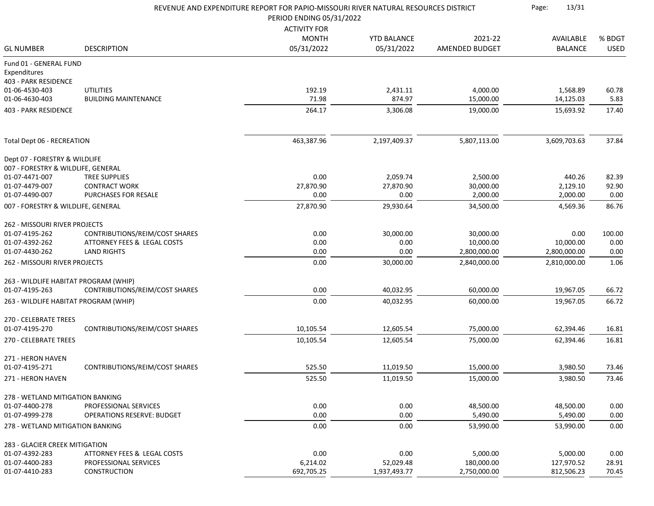|                                         | REVENUE AND EXPENDITURE REPORT FOR PAPIO-MISSOURI RIVER NATURAL RESOURCES DISTRICT<br>PERIOD ENDING 05/31/2022 |                     |                    |                |                |             |
|-----------------------------------------|----------------------------------------------------------------------------------------------------------------|---------------------|--------------------|----------------|----------------|-------------|
|                                         |                                                                                                                | <b>ACTIVITY FOR</b> |                    |                |                |             |
|                                         |                                                                                                                | <b>MONTH</b>        | <b>YTD BALANCE</b> | 2021-22        | AVAILABLE      | % BDGT      |
| <b>GL NUMBER</b>                        | <b>DESCRIPTION</b>                                                                                             | 05/31/2022          | 05/31/2022         | AMENDED BUDGET | <b>BALANCE</b> | <b>USED</b> |
| Fund 01 - GENERAL FUND                  |                                                                                                                |                     |                    |                |                |             |
| Expenditures                            |                                                                                                                |                     |                    |                |                |             |
| 403 - PARK RESIDENCE                    |                                                                                                                |                     |                    |                |                |             |
| 01-06-4530-403                          | <b>UTILITIES</b>                                                                                               | 192.19              | 2,431.11           | 4,000.00       | 1,568.89       | 60.78       |
| 01-06-4630-403                          | <b>BUILDING MAINTENANCE</b>                                                                                    | 71.98               | 874.97             | 15,000.00      | 14,125.03      | 5.83        |
| 403 - PARK RESIDENCE                    |                                                                                                                | 264.17              | 3,306.08           | 19,000.00      | 15,693.92      | 17.40       |
| Total Dept 06 - RECREATION              |                                                                                                                | 463,387.96          | 2,197,409.37       | 5,807,113.00   | 3,609,703.63   | 37.84       |
|                                         |                                                                                                                |                     |                    |                |                |             |
| Dept 07 - FORESTRY & WILDLIFE           |                                                                                                                |                     |                    |                |                |             |
| 007 - FORESTRY & WILDLIFE, GENERAL      |                                                                                                                |                     |                    |                |                |             |
| 01-07-4471-007                          | <b>TREE SUPPLIES</b>                                                                                           | 0.00                | 2,059.74           | 2,500.00       | 440.26         | 82.39       |
| 01-07-4479-007                          | <b>CONTRACT WORK</b>                                                                                           | 27,870.90           | 27,870.90          | 30,000.00      | 2,129.10       | 92.90       |
| 01-07-4490-007                          | PURCHASES FOR RESALE                                                                                           | 0.00                | 0.00               | 2,000.00       | 2,000.00       | 0.00        |
| 007 - FORESTRY & WILDLIFE, GENERAL      |                                                                                                                | 27,870.90           | 29,930.64          | 34,500.00      | 4,569.36       | 86.76       |
| 262 - MISSOURI RIVER PROJECTS           |                                                                                                                |                     |                    |                |                |             |
| 01-07-4195-262                          | CONTRIBUTIONS/REIM/COST SHARES                                                                                 | 0.00                | 30,000.00          | 30,000.00      | 0.00           | 100.00      |
| 01-07-4392-262                          | ATTORNEY FEES & LEGAL COSTS                                                                                    | 0.00                | 0.00               | 10,000.00      | 10,000.00      | 0.00        |
| 01-07-4430-262                          | <b>LAND RIGHTS</b>                                                                                             | 0.00                | 0.00               | 2,800,000.00   | 2,800,000.00   | 0.00        |
| 262 - MISSOURI RIVER PROJECTS           |                                                                                                                | 0.00                | 30,000.00          | 2,840,000.00   | 2,810,000.00   | 1.06        |
| 263 - WILDLIFE HABITAT PROGRAM (WHIP)   |                                                                                                                |                     |                    |                |                |             |
| 01-07-4195-263                          | CONTRIBUTIONS/REIM/COST SHARES                                                                                 | 0.00                | 40,032.95          | 60,000.00      | 19,967.05      | 66.72       |
| 263 - WILDLIFE HABITAT PROGRAM (WHIP)   |                                                                                                                | 0.00                | 40,032.95          | 60,000.00      | 19,967.05      | 66.72       |
|                                         |                                                                                                                |                     |                    |                |                |             |
| 270 - CELEBRATE TREES<br>01-07-4195-270 | CONTRIBUTIONS/REIM/COST SHARES                                                                                 | 10,105.54           | 12,605.54          | 75,000.00      |                |             |
|                                         |                                                                                                                |                     |                    |                | 62,394.46      | 16.81       |
| 270 - CELEBRATE TREES                   |                                                                                                                | 10,105.54           | 12,605.54          | 75,000.00      | 62,394.46      | 16.81       |
| 271 - HERON HAVEN                       |                                                                                                                |                     |                    |                |                |             |
| 01-07-4195-271                          | CONTRIBUTIONS/REIM/COST SHARES                                                                                 | 525.50              | 11,019.50          | 15,000.00      | 3,980.50       | 73.46       |
| 271 - HERON HAVEN                       |                                                                                                                | 525.50              | 11,019.50          | 15,000.00      | 3,980.50       | 73.46       |
| 278 - WETLAND MITIGATION BANKING        |                                                                                                                |                     |                    |                |                |             |
| 01-07-4400-278                          | PROFESSIONAL SERVICES                                                                                          | 0.00                | 0.00               | 48,500.00      | 48,500.00      | 0.00        |
| 01-07-4999-278                          | <b>OPERATIONS RESERVE: BUDGET</b>                                                                              | 0.00                | 0.00               | 5,490.00       | 5,490.00       | 0.00        |
| 278 - WETLAND MITIGATION BANKING        |                                                                                                                | 0.00                | 0.00               | 53,990.00      | 53,990.00      | 0.00        |
| 283 - GLACIER CREEK MITIGATION          |                                                                                                                |                     |                    |                |                |             |
| 01-07-4392-283                          | ATTORNEY FEES & LEGAL COSTS                                                                                    | 0.00                | 0.00               | 5,000.00       | 5,000.00       | 0.00        |
| 01-07-4400-283                          | PROFESSIONAL SERVICES                                                                                          | 6,214.02            | 52,029.48          | 180,000.00     | 127,970.52     | 28.91       |
| 01-07-4410-283                          | <b>CONSTRUCTION</b>                                                                                            | 692,705.25          | 1,937,493.77       | 2,750,000.00   | 812,506.23     | 70.45       |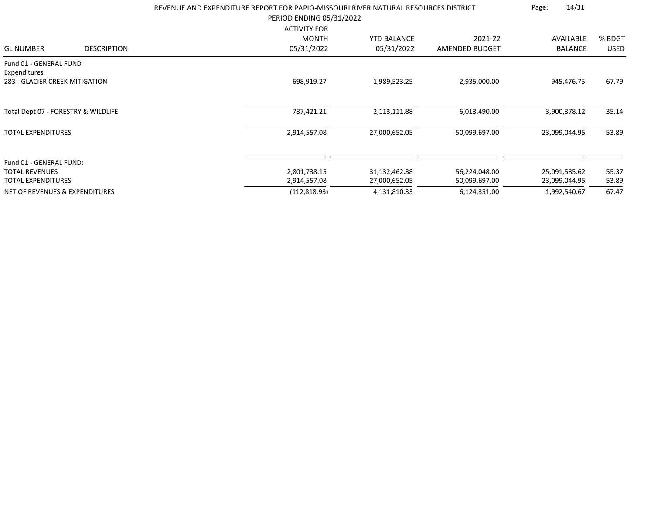|                                                                          |                    | REVENUE AND EXPENDITURE REPORT FOR PAPIO-MISSOURI RIVER NATURAL RESOURCES DISTRICT<br>PERIOD ENDING 05/31/2022 | 14/31<br>Page:     |                |                |             |
|--------------------------------------------------------------------------|--------------------|----------------------------------------------------------------------------------------------------------------|--------------------|----------------|----------------|-------------|
|                                                                          |                    | <b>ACTIVITY FOR</b>                                                                                            |                    |                |                |             |
|                                                                          |                    | <b>MONTH</b>                                                                                                   | <b>YTD BALANCE</b> | 2021-22        | AVAILABLE      | % BDGT      |
| <b>GL NUMBER</b>                                                         | <b>DESCRIPTION</b> | 05/31/2022                                                                                                     | 05/31/2022         | AMENDED BUDGET | <b>BALANCE</b> | <b>USED</b> |
| Fund 01 - GENERAL FUND<br>Expenditures<br>283 - GLACIER CREEK MITIGATION |                    | 698,919.27                                                                                                     | 1,989,523.25       | 2,935,000.00   | 945,476.75     | 67.79       |
| Total Dept 07 - FORESTRY & WILDLIFE                                      |                    | 737,421.21                                                                                                     | 2,113,111.88       | 6,013,490.00   | 3,900,378.12   | 35.14       |
| <b>TOTAL EXPENDITURES</b>                                                |                    | 2,914,557.08                                                                                                   | 27,000,652.05      | 50,099,697.00  | 23,099,044.95  | 53.89       |
| Fund 01 - GENERAL FUND:                                                  |                    |                                                                                                                |                    |                |                |             |
| <b>TOTAL REVENUES</b>                                                    |                    | 2,801,738.15                                                                                                   | 31,132,462.38      | 56,224,048.00  | 25,091,585.62  | 55.37       |
| <b>TOTAL EXPENDITURES</b>                                                |                    | 2,914,557.08                                                                                                   | 27,000,652.05      | 50,099,697.00  | 23,099,044.95  | 53.89       |
| <b>NET OF REVENUES &amp; EXPENDITURES</b>                                |                    | (112, 818.93)                                                                                                  | 4,131,810.33       | 6,124,351.00   | 1,992,540.67   | 67.47       |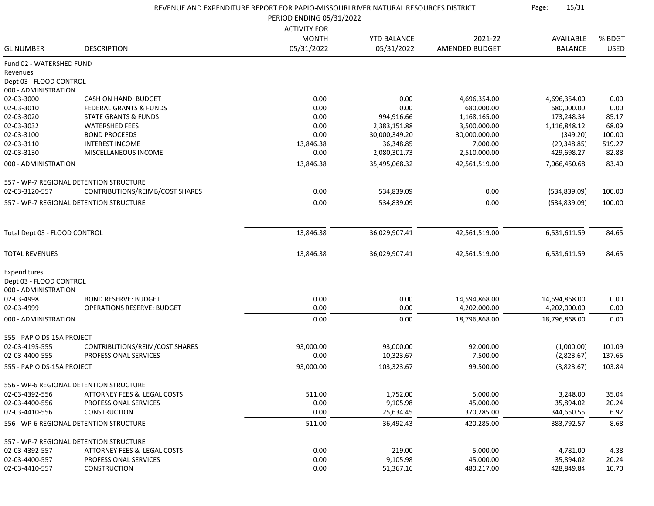| REVENUE AND EXPENDITURE REPORT FOR PAPIO-MISSOURI RIVER NATURAL RESOURCES DISTRICT<br>PERIOD ENDING 05/31/2022 |                                         |                            |                    |                | 15/31<br>Page: |             |
|----------------------------------------------------------------------------------------------------------------|-----------------------------------------|----------------------------|--------------------|----------------|----------------|-------------|
|                                                                                                                |                                         |                            |                    |                |                |             |
|                                                                                                                |                                         | <b>ACTIVITY FOR</b>        |                    |                |                |             |
|                                                                                                                |                                         | <b>MONTH</b><br>05/31/2022 | <b>YTD BALANCE</b> | 2021-22        | AVAILABLE      | % BDGT      |
| <b>GL NUMBER</b>                                                                                               | <b>DESCRIPTION</b>                      |                            | 05/31/2022         | AMENDED BUDGET | <b>BALANCE</b> | <b>USED</b> |
| Fund 02 - WATERSHED FUND                                                                                       |                                         |                            |                    |                |                |             |
| Revenues                                                                                                       |                                         |                            |                    |                |                |             |
| Dept 03 - FLOOD CONTROL                                                                                        |                                         |                            |                    |                |                |             |
| 000 - ADMINISTRATION                                                                                           |                                         |                            |                    |                |                |             |
| 02-03-3000                                                                                                     | CASH ON HAND: BUDGET                    | 0.00                       | 0.00               | 4,696,354.00   | 4,696,354.00   | 0.00        |
| 02-03-3010                                                                                                     | <b>FEDERAL GRANTS &amp; FUNDS</b>       | 0.00                       | 0.00               | 680,000.00     | 680,000.00     | 0.00        |
| 02-03-3020                                                                                                     | <b>STATE GRANTS &amp; FUNDS</b>         | 0.00                       | 994,916.66         | 1,168,165.00   | 173,248.34     | 85.17       |
| 02-03-3032                                                                                                     | <b>WATERSHED FEES</b>                   | 0.00                       | 2,383,151.88       | 3,500,000.00   | 1,116,848.12   | 68.09       |
| 02-03-3100                                                                                                     | <b>BOND PROCEEDS</b>                    | 0.00                       | 30,000,349.20      | 30,000,000.00  | (349.20)       | 100.00      |
| 02-03-3110                                                                                                     | <b>INTEREST INCOME</b>                  | 13,846.38                  | 36,348.85          | 7,000.00       | (29, 348.85)   | 519.27      |
| 02-03-3130                                                                                                     | MISCELLANEOUS INCOME                    | 0.00                       | 2,080,301.73       | 2,510,000.00   | 429,698.27     | 82.88       |
| 000 - ADMINISTRATION                                                                                           |                                         | 13,846.38                  | 35,495,068.32      | 42,561,519.00  | 7,066,450.68   | 83.40       |
|                                                                                                                | 557 - WP-7 REGIONAL DETENTION STRUCTURE |                            |                    |                |                |             |
| 02-03-3120-557                                                                                                 | CONTRIBUTIONS/REIMB/COST SHARES         | 0.00                       | 534,839.09         | 0.00           | (534, 839.09)  | 100.00      |
|                                                                                                                | 557 - WP-7 REGIONAL DETENTION STRUCTURE | 0.00                       | 534,839.09         | 0.00           | (534, 839.09)  | 100.00      |
|                                                                                                                |                                         |                            |                    |                |                |             |
| Total Dept 03 - FLOOD CONTROL                                                                                  |                                         | 13,846.38                  | 36,029,907.41      | 42,561,519.00  | 6,531,611.59   | 84.65       |
| <b>TOTAL REVENUES</b>                                                                                          |                                         | 13,846.38                  | 36,029,907.41      | 42,561,519.00  | 6,531,611.59   | 84.65       |
|                                                                                                                |                                         |                            |                    |                |                |             |
| Expenditures                                                                                                   |                                         |                            |                    |                |                |             |
| Dept 03 - FLOOD CONTROL                                                                                        |                                         |                            |                    |                |                |             |
| 000 - ADMINISTRATION                                                                                           |                                         |                            |                    |                |                |             |
| 02-03-4998                                                                                                     | <b>BOND RESERVE: BUDGET</b>             | 0.00                       | 0.00               | 14,594,868.00  | 14,594,868.00  | 0.00        |
| 02-03-4999                                                                                                     | <b>OPERATIONS RESERVE: BUDGET</b>       | 0.00                       | 0.00               | 4,202,000.00   | 4,202,000.00   | 0.00        |
| 000 - ADMINISTRATION                                                                                           |                                         | 0.00                       | 0.00               | 18,796,868.00  | 18,796,868.00  | 0.00        |
| 555 - PAPIO DS-15A PROJECT                                                                                     |                                         |                            |                    |                |                |             |
| 02-03-4195-555                                                                                                 | CONTRIBUTIONS/REIM/COST SHARES          | 93,000.00                  | 93,000.00          | 92,000.00      | (1,000.00)     | 101.09      |
| 02-03-4400-555                                                                                                 | PROFESSIONAL SERVICES                   | 0.00                       | 10,323.67          | 7,500.00       | (2,823.67)     | 137.65      |
| 555 - PAPIO DS-15A PROJECT                                                                                     |                                         | 93,000.00                  | 103,323.67         | 99,500.00      | (3,823.67)     | 103.84      |
|                                                                                                                |                                         |                            |                    |                |                |             |
|                                                                                                                | 556 - WP-6 REGIONAL DETENTION STRUCTURE |                            |                    |                |                |             |
| 02-03-4392-556                                                                                                 | ATTORNEY FEES & LEGAL COSTS             | 511.00                     | 1,752.00           | 5,000.00       | 3,248.00       | 35.04       |
| 02-03-4400-556                                                                                                 | PROFESSIONAL SERVICES                   | 0.00                       | 9,105.98           | 45,000.00      | 35,894.02      | 20.24       |
| 02-03-4410-556                                                                                                 | <b>CONSTRUCTION</b>                     | 0.00                       | 25,634.45          | 370,285.00     | 344,650.55     | 6.92        |
|                                                                                                                | 556 - WP-6 REGIONAL DETENTION STRUCTURE | 511.00                     | 36,492.43          | 420,285.00     | 383,792.57     | 8.68        |
|                                                                                                                | 557 - WP-7 REGIONAL DETENTION STRUCTURE |                            |                    |                |                |             |
| 02-03-4392-557                                                                                                 | ATTORNEY FEES & LEGAL COSTS             | 0.00                       | 219.00             | 5,000.00       | 4,781.00       | 4.38        |
| 02-03-4400-557                                                                                                 | PROFESSIONAL SERVICES                   | 0.00                       | 9,105.98           | 45,000.00      | 35,894.02      | 20.24       |
| 02-03-4410-557                                                                                                 | <b>CONSTRUCTION</b>                     | 0.00                       | 51,367.16          | 480,217.00     | 428,849.84     | 10.70       |
|                                                                                                                |                                         |                            |                    |                |                |             |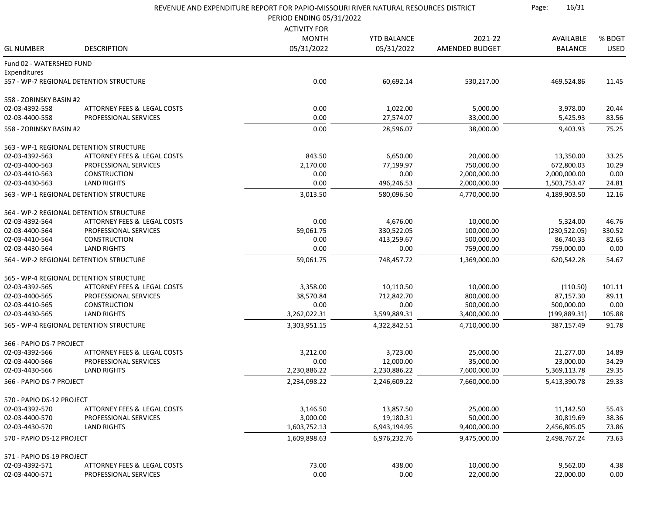|                           |                                         | REVENUE AND EXPENDITURE REPORT FOR PAPIO-MISSOURI RIVER NATURAL RESOURCES DISTRICT<br>PERIOD ENDING 05/31/2022 |                    |                |                |             |
|---------------------------|-----------------------------------------|----------------------------------------------------------------------------------------------------------------|--------------------|----------------|----------------|-------------|
|                           |                                         |                                                                                                                |                    |                |                |             |
|                           |                                         | <b>ACTIVITY FOR</b>                                                                                            |                    |                |                |             |
|                           |                                         | <b>MONTH</b>                                                                                                   | <b>YTD BALANCE</b> | 2021-22        | AVAILABLE      | % BDGT      |
| <b>GL NUMBER</b>          | <b>DESCRIPTION</b>                      | 05/31/2022                                                                                                     | 05/31/2022         | AMENDED BUDGET | <b>BALANCE</b> | <b>USED</b> |
| Fund 02 - WATERSHED FUND  |                                         |                                                                                                                |                    |                |                |             |
| Expenditures              |                                         |                                                                                                                |                    |                |                |             |
|                           | 557 - WP-7 REGIONAL DETENTION STRUCTURE | 0.00                                                                                                           | 60,692.14          | 530,217.00     | 469,524.86     | 11.45       |
| 558 - ZORINSKY BASIN #2   |                                         |                                                                                                                |                    |                |                |             |
| 02-03-4392-558            | ATTORNEY FEES & LEGAL COSTS             | 0.00                                                                                                           | 1,022.00           | 5,000.00       | 3,978.00       | 20.44       |
| 02-03-4400-558            | PROFESSIONAL SERVICES                   | 0.00                                                                                                           | 27,574.07          | 33,000.00      | 5,425.93       | 83.56       |
| 558 - ZORINSKY BASIN #2   |                                         | 0.00                                                                                                           | 28,596.07          | 38,000.00      | 9,403.93       | 75.25       |
|                           | 563 - WP-1 REGIONAL DETENTION STRUCTURE |                                                                                                                |                    |                |                |             |
| 02-03-4392-563            | ATTORNEY FEES & LEGAL COSTS             | 843.50                                                                                                         | 6,650.00           | 20,000.00      | 13,350.00      | 33.25       |
| 02-03-4400-563            | PROFESSIONAL SERVICES                   | 2,170.00                                                                                                       | 77,199.97          | 750,000.00     | 672,800.03     | 10.29       |
| 02-03-4410-563            | <b>CONSTRUCTION</b>                     | 0.00                                                                                                           | 0.00               | 2,000,000.00   | 2,000,000.00   | 0.00        |
| 02-03-4430-563            | <b>LAND RIGHTS</b>                      | 0.00                                                                                                           | 496,246.53         | 2,000,000.00   | 1,503,753.47   | 24.81       |
|                           | 563 - WP-1 REGIONAL DETENTION STRUCTURE |                                                                                                                | 580,096.50         |                |                | 12.16       |
|                           |                                         | 3,013.50                                                                                                       |                    | 4,770,000.00   | 4,189,903.50   |             |
|                           | 564 - WP-2 REGIONAL DETENTION STRUCTURE |                                                                                                                |                    |                |                |             |
| 02-03-4392-564            | ATTORNEY FEES & LEGAL COSTS             | 0.00                                                                                                           | 4,676.00           | 10,000.00      | 5,324.00       | 46.76       |
| 02-03-4400-564            | <b>PROFESSIONAL SERVICES</b>            | 59,061.75                                                                                                      | 330,522.05         | 100,000.00     | (230, 522.05)  | 330.52      |
| 02-03-4410-564            | <b>CONSTRUCTION</b>                     | 0.00                                                                                                           | 413,259.67         | 500,000.00     | 86,740.33      | 82.65       |
| 02-03-4430-564            | <b>LAND RIGHTS</b>                      | 0.00                                                                                                           | 0.00               | 759,000.00     | 759,000.00     | 0.00        |
|                           | 564 - WP-2 REGIONAL DETENTION STRUCTURE | 59,061.75                                                                                                      | 748,457.72         | 1,369,000.00   | 620,542.28     | 54.67       |
|                           | 565 - WP-4 REGIONAL DETENTION STRUCTURE |                                                                                                                |                    |                |                |             |
| 02-03-4392-565            | ATTORNEY FEES & LEGAL COSTS             | 3,358.00                                                                                                       | 10,110.50          | 10,000.00      | (110.50)       | 101.11      |
| 02-03-4400-565            | PROFESSIONAL SERVICES                   | 38,570.84                                                                                                      | 712,842.70         | 800,000.00     | 87,157.30      | 89.11       |
| 02-03-4410-565            | <b>CONSTRUCTION</b>                     | 0.00                                                                                                           | 0.00               | 500,000.00     | 500,000.00     | 0.00        |
| 02-03-4430-565            | <b>LAND RIGHTS</b>                      | 3,262,022.31                                                                                                   | 3,599,889.31       | 3,400,000.00   | (199, 889.31)  | 105.88      |
|                           | 565 - WP-4 REGIONAL DETENTION STRUCTURE | 3,303,951.15                                                                                                   | 4,322,842.51       | 4,710,000.00   | 387,157.49     | 91.78       |
|                           |                                         |                                                                                                                |                    |                |                |             |
| 566 - PAPIO DS-7 PROJECT  |                                         |                                                                                                                |                    |                |                |             |
| 02-03-4392-566            | ATTORNEY FEES & LEGAL COSTS             | 3,212.00                                                                                                       | 3,723.00           | 25,000.00      | 21,277.00      | 14.89       |
| 02-03-4400-566            | PROFESSIONAL SERVICES                   | 0.00                                                                                                           | 12,000.00          | 35,000.00      | 23,000.00      | 34.29       |
| 02-03-4430-566            | <b>LAND RIGHTS</b>                      | 2,230,886.22                                                                                                   | 2,230,886.22       | 7,600,000.00   | 5,369,113.78   | 29.35       |
| 566 - PAPIO DS-7 PROJECT  |                                         | 2,234,098.22                                                                                                   | 2,246,609.22       | 7,660,000.00   | 5,413,390.78   | 29.33       |
| 570 - PAPIO DS-12 PROJECT |                                         |                                                                                                                |                    |                |                |             |
| 02-03-4392-570            | ATTORNEY FEES & LEGAL COSTS             | 3,146.50                                                                                                       | 13,857.50          | 25,000.00      | 11,142.50      | 55.43       |
| 02-03-4400-570            | PROFESSIONAL SERVICES                   | 3,000.00                                                                                                       | 19,180.31          | 50,000.00      | 30,819.69      | 38.36       |
| 02-03-4430-570            | <b>LAND RIGHTS</b>                      | 1,603,752.13                                                                                                   | 6,943,194.95       | 9,400,000.00   | 2,456,805.05   | 73.86       |
| 570 - PAPIO DS-12 PROJECT |                                         | 1,609,898.63                                                                                                   | 6,976,232.76       | 9,475,000.00   | 2,498,767.24   | 73.63       |
| 571 - PAPIO DS-19 PROJECT |                                         |                                                                                                                |                    |                |                |             |
| 02-03-4392-571            | ATTORNEY FEES & LEGAL COSTS             | 73.00                                                                                                          | 438.00             | 10,000.00      | 9,562.00       | 4.38        |
| 02-03-4400-571            | PROFESSIONAL SERVICES                   | 0.00                                                                                                           | 0.00               | 22,000.00      | 22,000.00      | 0.00        |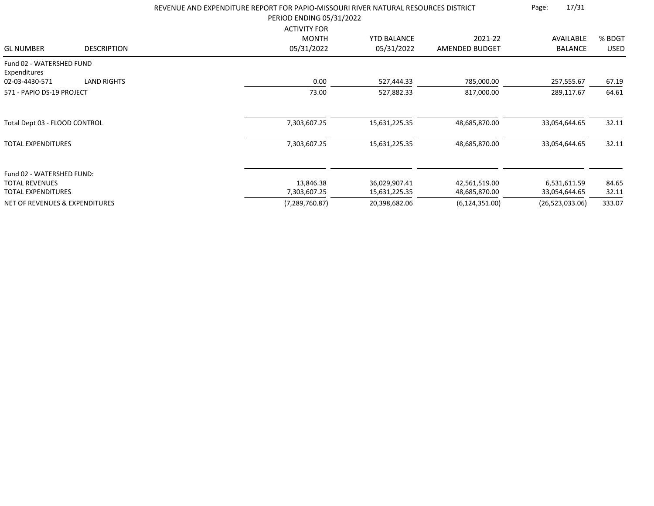|                                           |                    | REVENUE AND EXPENDITURE REPORT FOR PAPIO-MISSOURI RIVER NATURAL RESOURCES DISTRICT<br>PERIOD ENDING 05/31/2022 | 17/31<br>Page:     |                  |                 |             |
|-------------------------------------------|--------------------|----------------------------------------------------------------------------------------------------------------|--------------------|------------------|-----------------|-------------|
|                                           |                    | <b>ACTIVITY FOR</b>                                                                                            |                    |                  |                 |             |
|                                           |                    | <b>MONTH</b>                                                                                                   | <b>YTD BALANCE</b> | 2021-22          | AVAILABLE       | % BDGT      |
| <b>GL NUMBER</b>                          | <b>DESCRIPTION</b> | 05/31/2022                                                                                                     | 05/31/2022         | AMENDED BUDGET   | <b>BALANCE</b>  | <b>USED</b> |
| Fund 02 - WATERSHED FUND<br>Expenditures  |                    |                                                                                                                |                    |                  |                 |             |
| 02-03-4430-571                            | <b>LAND RIGHTS</b> | 0.00                                                                                                           | 527,444.33         | 785,000.00       | 257,555.67      | 67.19       |
| 571 - PAPIO DS-19 PROJECT                 |                    | 73.00                                                                                                          | 527,882.33         | 817,000.00       | 289,117.67      | 64.61       |
|                                           |                    |                                                                                                                |                    |                  |                 |             |
| Total Dept 03 - FLOOD CONTROL             |                    | 7,303,607.25                                                                                                   | 15,631,225.35      | 48,685,870.00    | 33,054,644.65   | 32.11       |
| <b>TOTAL EXPENDITURES</b>                 |                    | 7,303,607.25                                                                                                   | 15,631,225.35      | 48,685,870.00    | 33,054,644.65   | 32.11       |
| Fund 02 - WATERSHED FUND:                 |                    |                                                                                                                |                    |                  |                 |             |
| <b>TOTAL REVENUES</b>                     |                    | 13,846.38                                                                                                      | 36,029,907.41      | 42,561,519.00    | 6,531,611.59    | 84.65       |
| <b>TOTAL EXPENDITURES</b>                 |                    | 7,303,607.25                                                                                                   | 15,631,225.35      | 48,685,870.00    | 33,054,644.65   | 32.11       |
| <b>NET OF REVENUES &amp; EXPENDITURES</b> |                    | (7, 289, 760.87)                                                                                               | 20,398,682.06      | (6, 124, 351.00) | (26,523,033.06) | 333.07      |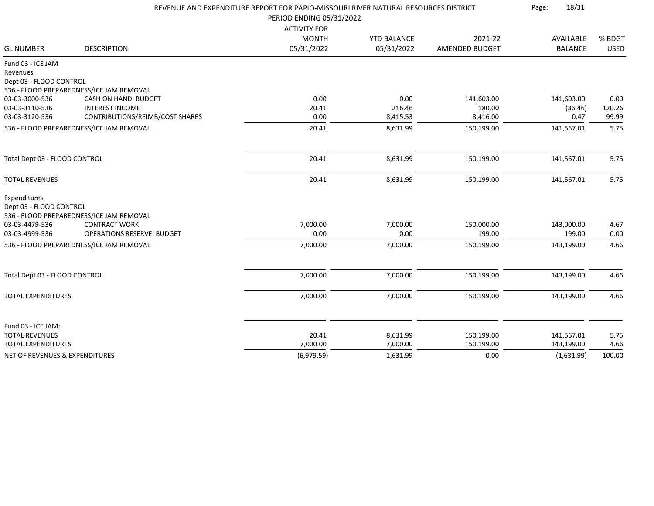|                                           |                                          | REVENUE AND EXPENDITURE REPORT FOR PAPIO-MISSOURI RIVER NATURAL RESOURCES DISTRICT<br>PERIOD ENDING 05/31/2022 |                    |                |                |             |
|-------------------------------------------|------------------------------------------|----------------------------------------------------------------------------------------------------------------|--------------------|----------------|----------------|-------------|
|                                           |                                          |                                                                                                                |                    |                |                |             |
|                                           |                                          | <b>ACTIVITY FOR</b>                                                                                            |                    |                |                |             |
|                                           |                                          | <b>MONTH</b>                                                                                                   | <b>YTD BALANCE</b> | 2021-22        | AVAILABLE      | % BDGT      |
| <b>GL NUMBER</b>                          | <b>DESCRIPTION</b>                       | 05/31/2022                                                                                                     | 05/31/2022         | AMENDED BUDGET | <b>BALANCE</b> | <b>USED</b> |
| Fund 03 - ICE JAM                         |                                          |                                                                                                                |                    |                |                |             |
| Revenues                                  |                                          |                                                                                                                |                    |                |                |             |
| Dept 03 - FLOOD CONTROL                   |                                          |                                                                                                                |                    |                |                |             |
|                                           | 536 - FLOOD PREPAREDNESS/ICE JAM REMOVAL |                                                                                                                |                    |                |                |             |
| 03-03-3000-536                            | <b>CASH ON HAND: BUDGET</b>              | 0.00                                                                                                           | 0.00               | 141,603.00     | 141,603.00     | 0.00        |
| 03-03-3110-536                            | <b>INTEREST INCOME</b>                   | 20.41                                                                                                          | 216.46             | 180.00         | (36.46)        | 120.26      |
| 03-03-3120-536                            | CONTRIBUTIONS/REIMB/COST SHARES          | 0.00                                                                                                           | 8,415.53           | 8,416.00       | 0.47           | 99.99       |
|                                           | 536 - FLOOD PREPAREDNESS/ICE JAM REMOVAL | 20.41                                                                                                          | 8,631.99           | 150,199.00     | 141,567.01     | 5.75        |
| Total Dept 03 - FLOOD CONTROL             |                                          | 20.41                                                                                                          | 8,631.99           | 150,199.00     | 141,567.01     | 5.75        |
| <b>TOTAL REVENUES</b>                     |                                          | 20.41                                                                                                          | 8,631.99           | 150,199.00     | 141,567.01     | 5.75        |
| Expenditures<br>Dept 03 - FLOOD CONTROL   | 536 - FLOOD PREPAREDNESS/ICE JAM REMOVAL |                                                                                                                |                    |                |                |             |
| 03-03-4479-536                            | <b>CONTRACT WORK</b>                     | 7,000.00                                                                                                       | 7,000.00           | 150,000.00     | 143,000.00     | 4.67        |
| 03-03-4999-536                            | <b>OPERATIONS RESERVE: BUDGET</b>        | 0.00                                                                                                           | 0.00               | 199.00         | 199.00         | 0.00        |
|                                           | 536 - FLOOD PREPAREDNESS/ICE JAM REMOVAL | 7,000.00                                                                                                       | 7,000.00           | 150,199.00     | 143,199.00     | 4.66        |
| Total Dept 03 - FLOOD CONTROL             |                                          | 7,000.00                                                                                                       | 7,000.00           | 150,199.00     | 143,199.00     | 4.66        |
| <b>TOTAL EXPENDITURES</b>                 |                                          | 7,000.00                                                                                                       | 7,000.00           | 150,199.00     | 143,199.00     | 4.66        |
|                                           |                                          |                                                                                                                |                    |                |                |             |
| Fund 03 - ICE JAM:                        |                                          |                                                                                                                |                    |                |                |             |
| <b>TOTAL REVENUES</b>                     |                                          | 20.41                                                                                                          | 8,631.99           | 150,199.00     | 141,567.01     | 5.75        |
| <b>TOTAL EXPENDITURES</b>                 |                                          | 7,000.00                                                                                                       | 7,000.00           | 150,199.00     | 143,199.00     | 4.66        |
| <b>NET OF REVENUES &amp; EXPENDITURES</b> |                                          | (6,979.59)                                                                                                     | 1,631.99           | 0.00           | (1,631.99)     | 100.00      |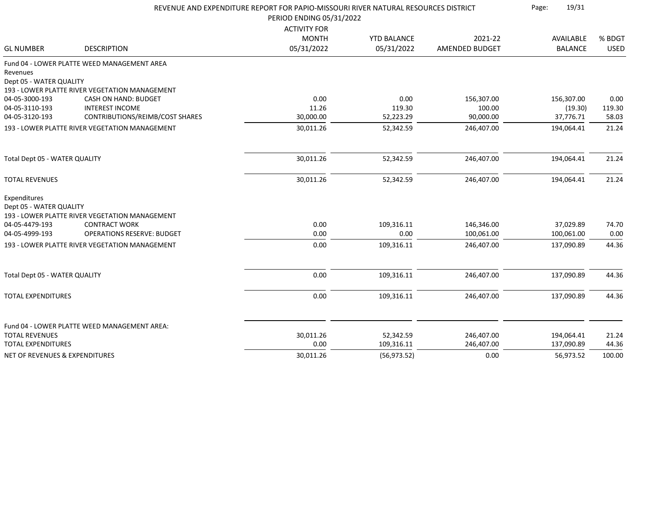|                                                    |                                                | REVENUE AND EXPENDITURE REPORT FOR PAPIO-MISSOURI RIVER NATURAL RESOURCES DISTRICT<br>PERIOD ENDING 05/31/2022 |                         |                          |                          |                |
|----------------------------------------------------|------------------------------------------------|----------------------------------------------------------------------------------------------------------------|-------------------------|--------------------------|--------------------------|----------------|
|                                                    |                                                | <b>ACTIVITY FOR</b>                                                                                            |                         |                          |                          |                |
|                                                    |                                                | <b>MONTH</b>                                                                                                   | <b>YTD BALANCE</b>      | 2021-22                  | AVAILABLE                | % BDGT         |
| <b>GL NUMBER</b>                                   | <b>DESCRIPTION</b>                             | 05/31/2022                                                                                                     | 05/31/2022              | <b>AMENDED BUDGET</b>    | <b>BALANCE</b>           | <b>USED</b>    |
|                                                    | Fund 04 - LOWER PLATTE WEED MANAGEMENT AREA    |                                                                                                                |                         |                          |                          |                |
| Revenues                                           |                                                |                                                                                                                |                         |                          |                          |                |
| Dept 05 - WATER QUALITY                            |                                                |                                                                                                                |                         |                          |                          |                |
|                                                    | 193 - LOWER PLATTE RIVER VEGETATION MANAGEMENT |                                                                                                                |                         |                          |                          |                |
| 04-05-3000-193                                     | CASH ON HAND: BUDGET                           | 0.00                                                                                                           | 0.00                    | 156,307.00               | 156,307.00               | 0.00           |
| 04-05-3110-193                                     | <b>INTEREST INCOME</b>                         | 11.26                                                                                                          | 119.30                  | 100.00                   | (19.30)                  | 119.30         |
| 04-05-3120-193                                     | CONTRIBUTIONS/REIMB/COST SHARES                | 30,000.00                                                                                                      | 52,223.29               | 90,000.00                | 37,776.71                | 58.03          |
|                                                    | 193 - LOWER PLATTE RIVER VEGETATION MANAGEMENT | 30,011.26                                                                                                      | 52,342.59               | 246,407.00               | 194,064.41               | 21.24          |
| Total Dept 05 - WATER QUALITY                      |                                                | 30,011.26                                                                                                      | 52,342.59               | 246,407.00               | 194,064.41               | 21.24          |
| <b>TOTAL REVENUES</b>                              |                                                | 30,011.26                                                                                                      | 52,342.59               | 246,407.00               | 194,064.41               | 21.24          |
| Expenditures<br>Dept 05 - WATER QUALITY            | 193 - LOWER PLATTE RIVER VEGETATION MANAGEMENT |                                                                                                                |                         |                          |                          |                |
| 04-05-4479-193                                     | <b>CONTRACT WORK</b>                           | 0.00                                                                                                           | 109,316.11              | 146,346.00               | 37,029.89                | 74.70          |
| 04-05-4999-193                                     | <b>OPERATIONS RESERVE: BUDGET</b>              | 0.00                                                                                                           | 0.00                    | 100,061.00               | 100,061.00               | 0.00           |
|                                                    | 193 - LOWER PLATTE RIVER VEGETATION MANAGEMENT | 0.00                                                                                                           | 109,316.11              | 246,407.00               | 137,090.89               | 44.36          |
|                                                    |                                                |                                                                                                                |                         |                          |                          |                |
| Total Dept 05 - WATER QUALITY                      |                                                | 0.00                                                                                                           | 109,316.11              | 246,407.00               | 137,090.89               | 44.36          |
| <b>TOTAL EXPENDITURES</b>                          |                                                | 0.00                                                                                                           | 109,316.11              | 246,407.00               | 137,090.89               | 44.36          |
|                                                    |                                                |                                                                                                                |                         |                          |                          |                |
|                                                    | Fund 04 - LOWER PLATTE WEED MANAGEMENT AREA:   |                                                                                                                |                         |                          |                          |                |
| <b>TOTAL REVENUES</b><br><b>TOTAL EXPENDITURES</b> |                                                | 30,011.26<br>0.00                                                                                              | 52,342.59<br>109,316.11 | 246,407.00<br>246,407.00 | 194,064.41<br>137,090.89 | 21.24<br>44.36 |
|                                                    |                                                | 30,011.26                                                                                                      |                         | 0.00                     | 56,973.52                | 100.00         |
| NET OF REVENUES & EXPENDITURES                     |                                                |                                                                                                                | (56, 973.52)            |                          |                          |                |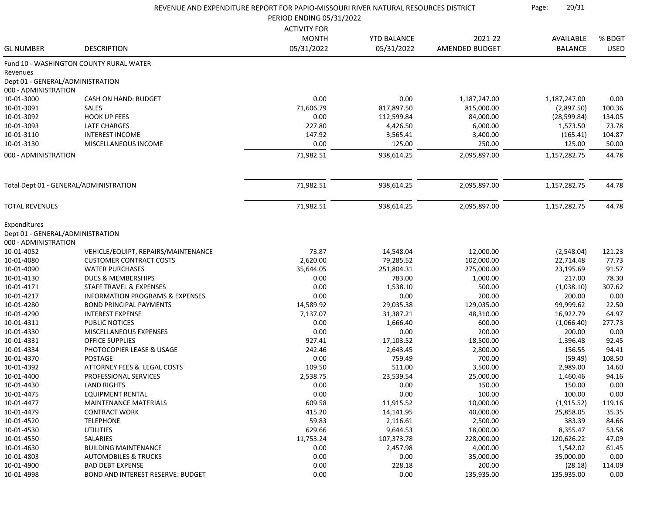|                                  |                                            |                          | REVENUE AND EXPENDITURE REPORT FOR PAPIO-MISSOURI RIVER NATURAL RESOURCES DISTRICT |                |                |             |
|----------------------------------|--------------------------------------------|--------------------------|------------------------------------------------------------------------------------|----------------|----------------|-------------|
|                                  |                                            | PERIOD ENDING 05/31/2022 |                                                                                    |                |                |             |
|                                  |                                            | <b>ACTIVITY FOR</b>      |                                                                                    |                |                |             |
|                                  |                                            | <b>MONTH</b>             | <b>YTD BALANCE</b>                                                                 | 2021-22        | AVAILABLE      | % BDGT      |
| <b>GL NUMBER</b>                 | <b>DESCRIPTION</b>                         | 05/31/2022               | 05/31/2022                                                                         | AMENDED BUDGET | <b>BALANCE</b> | <b>USED</b> |
|                                  | Fund 10 - WASHINGTON COUNTY RURAL WATER    |                          |                                                                                    |                |                |             |
| Revenues                         |                                            |                          |                                                                                    |                |                |             |
| Dept 01 - GENERAL/ADMINISTRATION |                                            |                          |                                                                                    |                |                |             |
| 000 - ADMINISTRATION             |                                            |                          |                                                                                    |                |                |             |
| 10-01-3000                       | CASH ON HAND: BUDGET                       | 0.00                     | 0.00                                                                               | 1,187,247.00   | 1,187,247.00   | 0.00        |
| 10-01-3091                       | <b>SALES</b>                               | 71,606.79                | 817,897.50                                                                         | 815,000.00     | (2,897.50)     | 100.36      |
| 10-01-3092                       | <b>HOOK UP FEES</b>                        | 0.00                     | 112,599.84                                                                         | 84,000.00      | (28, 599.84)   | 134.05      |
| 10-01-3093                       | <b>LATE CHARGES</b>                        | 227.80                   | 4,426.50                                                                           | 6,000.00       | 1,573.50       | 73.78       |
| 10-01-3110                       | <b>INTEREST INCOME</b>                     | 147.92                   | 3,565.41                                                                           | 3,400.00       | (165.41)       | 104.87      |
| 10-01-3130                       | MISCELLANEOUS INCOME                       | 0.00                     | 125.00                                                                             | 250.00         | 125.00         | 50.00       |
| 000 - ADMINISTRATION             |                                            | 71,982.51                | 938,614.25                                                                         | 2,095,897.00   | 1,157,282.75   | 44.78       |
|                                  |                                            |                          |                                                                                    |                |                |             |
|                                  | Total Dept 01 - GENERAL/ADMINISTRATION     | 71,982.51                | 938,614.25                                                                         | 2,095,897.00   | 1,157,282.75   | 44.78       |
| <b>TOTAL REVENUES</b>            |                                            | 71,982.51                | 938,614.25                                                                         | 2,095,897.00   | 1,157,282.75   | 44.78       |
| Expenditures                     |                                            |                          |                                                                                    |                |                |             |
| Dept 01 - GENERAL/ADMINISTRATION |                                            |                          |                                                                                    |                |                |             |
| 000 - ADMINISTRATION             |                                            |                          |                                                                                    |                |                |             |
| 10-01-4052                       | VEHICLE/EQUIPT, REPAIRS/MAINTENANCE        | 73.87                    | 14,548.04                                                                          | 12,000.00      | (2,548.04)     | 121.23      |
| 10-01-4080                       | <b>CUSTOMER CONTRACT COSTS</b>             | 2,620.00                 | 79,285.52                                                                          | 102,000.00     | 22,714.48      | 77.73       |
| 10-01-4090                       | <b>WATER PURCHASES</b>                     | 35,644.05                | 251,804.31                                                                         | 275,000.00     | 23,195.69      | 91.57       |
| 10-01-4130                       | <b>DUES &amp; MEMBERSHIPS</b>              | 0.00                     | 783.00                                                                             | 1,000.00       | 217.00         | 78.30       |
| 10-01-4171                       | STAFF TRAVEL & EXPENSES                    | 0.00                     | 1,538.10                                                                           | 500.00         | (1,038.10)     | 307.62      |
| 10-01-4217                       | <b>INFORMATION PROGRAMS &amp; EXPENSES</b> | 0.00                     | 0.00                                                                               | 200.00         | 200.00         | 0.00        |
| 10-01-4280                       | <b>BOND PRINCIPAL PAYMENTS</b>             | 14,589.92                | 29,035.38                                                                          | 129,035.00     | 99,999.62      | 22.50       |
| 10-01-4290                       | <b>INTEREST EXPENSE</b>                    | 7,137.07                 | 31,387.21                                                                          | 48,310.00      | 16,922.79      | 64.97       |
| 10-01-4311                       | <b>PUBLIC NOTICES</b>                      | 0.00                     | 1,666.40                                                                           | 600.00         | (1,066.40)     | 277.73      |
| 10-01-4330                       | MISCELLANEOUS EXPENSES                     | 0.00                     | 0.00                                                                               | 200.00         | 200.00         | 0.00        |
| 10-01-4331                       | <b>OFFICE SUPPLIES</b>                     | 927.41                   | 17,103.52                                                                          | 18,500.00      | 1,396.48       | 92.45       |
| 10-01-4334                       | PHOTOCOPIER LEASE & USAGE                  | 242.46                   | 2,643.45                                                                           | 2,800.00       | 156.55         | 94.41       |
| 10-01-4370                       | <b>POSTAGE</b>                             | 0.00                     | 759.49                                                                             | 700.00         | (59.49)        | 108.50      |
| 10-01-4392                       | ATTORNEY FEES & LEGAL COSTS                | 109.50                   | 511.00                                                                             | 3,500.00       | 2,989.00       | 14.60       |
| 10-01-4400                       | PROFESSIONAL SERVICES                      | 2,538.75                 | 23,539.54                                                                          | 25,000.00      | 1,460.46       | 94.16       |
| 10-01-4430                       | <b>LAND RIGHTS</b>                         | 0.00                     | 0.00                                                                               | 150.00         | 150.00         | 0.00        |
| 10-01-4475                       | <b>EQUIPMENT RENTAL</b>                    | 0.00                     | 0.00                                                                               | 100.00         | 100.00         | 0.00        |
| 10-01-4477                       | <b>MAINTENANCE MATERIALS</b>               | 609.58                   | 11,915.52                                                                          | 10,000.00      | (1,915.52)     | 119.16      |
| 10-01-4479                       | <b>CONTRACT WORK</b>                       | 415.20                   | 14,141.95                                                                          | 40,000.00      | 25,858.05      | 35.35       |
| 10-01-4520                       | <b>TELEPHONE</b>                           | 59.83                    | 2,116.61                                                                           | 2,500.00       | 383.39         | 84.66       |
| 10-01-4530                       | <b>UTILITIES</b>                           | 629.66                   | 9,644.53                                                                           | 18,000.00      | 8,355.47       | 53.58       |
| 10-01-4550                       | SALARIES                                   | 11,753.24                | 107,373.78                                                                         | 228,000.00     | 120,626.22     | 47.09       |
| 10-01-4630                       | <b>BUILDING MAINTENANCE</b>                | 0.00                     | 2,457.98                                                                           | 4,000.00       | 1,542.02       | 61.45       |
| 10-01-4803                       | <b>AUTOMOBILES &amp; TRUCKS</b>            | 0.00                     | 0.00                                                                               | 35,000.00      | 35,000.00      | 0.00        |
| 10-01-4900                       | <b>BAD DEBT EXPENSE</b>                    | 0.00                     | 228.18                                                                             | 200.00         | (28.18)        | 114.09      |
| 10-01-4998                       | BOND AND INTEREST RESERVE: BUDGET          | 0.00                     | 0.00                                                                               | 135,935.00     | 135,935.00     | 0.00        |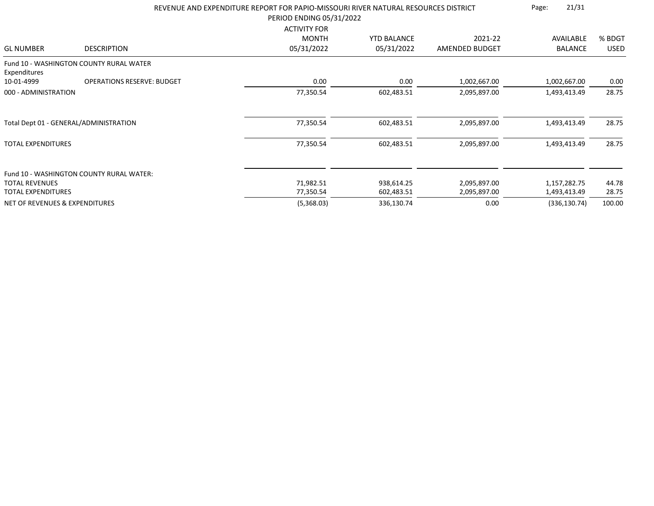|                                           |                                          | REVENUE AND EXPENDITURE REPORT FOR PAPIO-MISSOURI RIVER NATURAL RESOURCES DISTRICT<br>PERIOD ENDING 05/31/2022 |                                  |                           |                             |                       |
|-------------------------------------------|------------------------------------------|----------------------------------------------------------------------------------------------------------------|----------------------------------|---------------------------|-----------------------------|-----------------------|
| <b>GL NUMBER</b>                          | <b>DESCRIPTION</b>                       | <b>ACTIVITY FOR</b><br><b>MONTH</b><br>05/31/2022                                                              | <b>YTD BALANCE</b><br>05/31/2022 | 2021-22<br>AMENDED BUDGET | AVAILABLE<br><b>BALANCE</b> | % BDGT<br><b>USED</b> |
| Expenditures                              | Fund 10 - WASHINGTON COUNTY RURAL WATER  |                                                                                                                |                                  |                           |                             |                       |
| 10-01-4999                                | <b>OPERATIONS RESERVE: BUDGET</b>        | 0.00                                                                                                           | 0.00                             | 1,002,667.00              | 1,002,667.00                | 0.00                  |
| 000 - ADMINISTRATION                      |                                          | 77,350.54                                                                                                      | 602,483.51                       | 2,095,897.00              | 1,493,413.49                | 28.75                 |
|                                           | Total Dept 01 - GENERAL/ADMINISTRATION   | 77,350.54                                                                                                      | 602,483.51                       | 2,095,897.00              | 1,493,413.49                | 28.75                 |
| <b>TOTAL EXPENDITURES</b>                 |                                          | 77,350.54                                                                                                      | 602,483.51                       | 2,095,897.00              | 1,493,413.49                | 28.75                 |
|                                           | Fund 10 - WASHINGTON COUNTY RURAL WATER: |                                                                                                                |                                  |                           |                             |                       |
| <b>TOTAL REVENUES</b>                     |                                          | 71,982.51                                                                                                      | 938,614.25                       | 2,095,897.00              | 1,157,282.75                | 44.78                 |
| <b>TOTAL EXPENDITURES</b>                 |                                          | 77,350.54                                                                                                      | 602,483.51                       | 2,095,897.00              | 1,493,413.49                | 28.75                 |
| <b>NET OF REVENUES &amp; EXPENDITURES</b> |                                          | (5,368.03)                                                                                                     | 336,130.74                       | 0.00                      | (336, 130.74)               | 100.00                |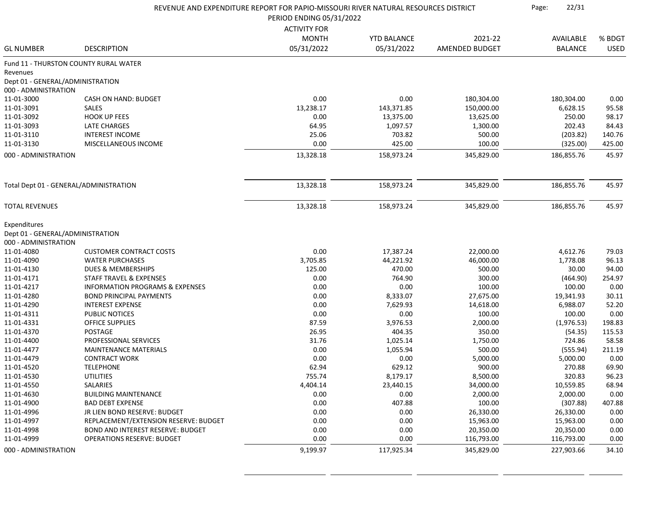|                                        |                                            | REVENUE AND EXPENDITURE REPORT FOR PAPIO-MISSOURI RIVER NATURAL RESOURCES DISTRICT |                    | 22/31<br>Page: |                |             |
|----------------------------------------|--------------------------------------------|------------------------------------------------------------------------------------|--------------------|----------------|----------------|-------------|
|                                        |                                            | PERIOD ENDING 05/31/2022                                                           |                    |                |                |             |
|                                        |                                            | <b>ACTIVITY FOR</b>                                                                |                    |                |                |             |
|                                        |                                            | <b>MONTH</b>                                                                       | <b>YTD BALANCE</b> | 2021-22        | AVAILABLE      | % BDGT      |
| <b>GL NUMBER</b>                       | <b>DESCRIPTION</b>                         | 05/31/2022                                                                         | 05/31/2022         | AMENDED BUDGET | <b>BALANCE</b> | <b>USED</b> |
|                                        | Fund 11 - THURSTON COUNTY RURAL WATER      |                                                                                    |                    |                |                |             |
| Revenues                               |                                            |                                                                                    |                    |                |                |             |
| Dept 01 - GENERAL/ADMINISTRATION       |                                            |                                                                                    |                    |                |                |             |
| 000 - ADMINISTRATION                   |                                            |                                                                                    |                    |                |                |             |
| 11-01-3000                             | <b>CASH ON HAND: BUDGET</b>                | 0.00                                                                               | 0.00               | 180,304.00     | 180,304.00     | 0.00        |
| 11-01-3091                             | <b>SALES</b>                               | 13,238.17                                                                          | 143,371.85         | 150,000.00     | 6,628.15       | 95.58       |
| 11-01-3092                             | <b>HOOK UP FEES</b>                        | 0.00                                                                               | 13,375.00          | 13,625.00      | 250.00         | 98.17       |
| 11-01-3093                             | <b>LATE CHARGES</b>                        | 64.95                                                                              | 1,097.57           | 1,300.00       | 202.43         | 84.43       |
| 11-01-3110                             | <b>INTEREST INCOME</b>                     | 25.06                                                                              | 703.82             | 500.00         | (203.82)       | 140.76      |
| 11-01-3130                             | MISCELLANEOUS INCOME                       | 0.00                                                                               | 425.00             | 100.00         | (325.00)       | 425.00      |
| 000 - ADMINISTRATION                   |                                            | 13,328.18                                                                          | 158,973.24         | 345,829.00     | 186,855.76     | 45.97       |
|                                        |                                            |                                                                                    |                    |                |                |             |
| Total Dept 01 - GENERAL/ADMINISTRATION |                                            | 13,328.18                                                                          | 158,973.24         | 345,829.00     | 186,855.76     | 45.97       |
| <b>TOTAL REVENUES</b>                  |                                            | 13,328.18                                                                          | 158,973.24         | 345,829.00     | 186,855.76     | 45.97       |
| Expenditures                           |                                            |                                                                                    |                    |                |                |             |
| Dept 01 - GENERAL/ADMINISTRATION       |                                            |                                                                                    |                    |                |                |             |
| 000 - ADMINISTRATION                   |                                            |                                                                                    |                    |                |                |             |
| 11-01-4080                             | <b>CUSTOMER CONTRACT COSTS</b>             | 0.00                                                                               | 17,387.24          | 22,000.00      | 4,612.76       | 79.03       |
| 11-01-4090                             | <b>WATER PURCHASES</b>                     | 3,705.85                                                                           | 44,221.92          | 46,000.00      | 1,778.08       | 96.13       |
| 11-01-4130                             | DUES & MEMBERSHIPS                         | 125.00                                                                             | 470.00             | 500.00         | 30.00          | 94.00       |
| 11-01-4171                             | STAFF TRAVEL & EXPENSES                    | 0.00                                                                               | 764.90             | 300.00         | (464.90)       | 254.97      |
| 11-01-4217                             | <b>INFORMATION PROGRAMS &amp; EXPENSES</b> | 0.00                                                                               | 0.00               | 100.00         | 100.00         | 0.00        |
| 11-01-4280                             | <b>BOND PRINCIPAL PAYMENTS</b>             | 0.00                                                                               | 8,333.07           | 27,675.00      | 19,341.93      | 30.11       |
| 11-01-4290                             | <b>INTEREST EXPENSE</b>                    | 0.00                                                                               | 7,629.93           | 14,618.00      | 6,988.07       | 52.20       |
| 11-01-4311                             | <b>PUBLIC NOTICES</b>                      | 0.00                                                                               | 0.00               | 100.00         | 100.00         | 0.00        |
| 11-01-4331                             | <b>OFFICE SUPPLIES</b>                     | 87.59                                                                              | 3,976.53           | 2,000.00       | (1,976.53)     | 198.83      |
| 11-01-4370                             | POSTAGE                                    | 26.95                                                                              | 404.35             | 350.00         | (54.35)        | 115.53      |
| 11-01-4400                             | PROFESSIONAL SERVICES                      | 31.76                                                                              | 1,025.14           | 1,750.00       | 724.86         | 58.58       |
| 11-01-4477                             | <b>MAINTENANCE MATERIALS</b>               | 0.00                                                                               | 1,055.94           | 500.00         | (555.94)       | 211.19      |
| 11-01-4479                             | <b>CONTRACT WORK</b>                       | 0.00                                                                               | 0.00               | 5,000.00       | 5,000.00       | 0.00        |
| 11-01-4520                             | <b>TELEPHONE</b>                           | 62.94                                                                              | 629.12             | 900.00         | 270.88         | 69.90       |
| 11-01-4530                             | UTILITIES                                  | 755.74                                                                             | 8,179.17           | 8,500.00       | 320.83         | 96.23       |
| 11-01-4550                             | SALARIES                                   | 4,404.14                                                                           | 23,440.15          | 34,000.00      | 10,559.85      | 68.94       |
| 11-01-4630                             | <b>BUILDING MAINTENANCE</b>                | 0.00                                                                               | 0.00               | 2,000.00       | 2,000.00       | 0.00        |
| 11-01-4900                             | <b>BAD DEBT EXPENSE</b>                    | 0.00                                                                               | 407.88             | 100.00         | (307.88)       | 407.88      |
| 11-01-4996                             | JR LIEN BOND RESERVE: BUDGET               | 0.00                                                                               | 0.00               | 26,330.00      | 26,330.00      | 0.00        |
| 11-01-4997                             | REPLACEMENT/EXTENSION RESERVE: BUDGET      | 0.00                                                                               | 0.00               | 15,963.00      | 15,963.00      | 0.00        |
| 11-01-4998                             | BOND AND INTEREST RESERVE: BUDGET          | 0.00                                                                               | 0.00               | 20,350.00      | 20,350.00      | 0.00        |
| 11-01-4999                             | <b>OPERATIONS RESERVE: BUDGET</b>          | 0.00                                                                               | 0.00               | 116,793.00     | 116,793.00     | 0.00        |
| 000 - ADMINISTRATION                   |                                            | 9,199.97                                                                           | 117,925.34         | 345,829.00     | 227,903.66     | 34.10       |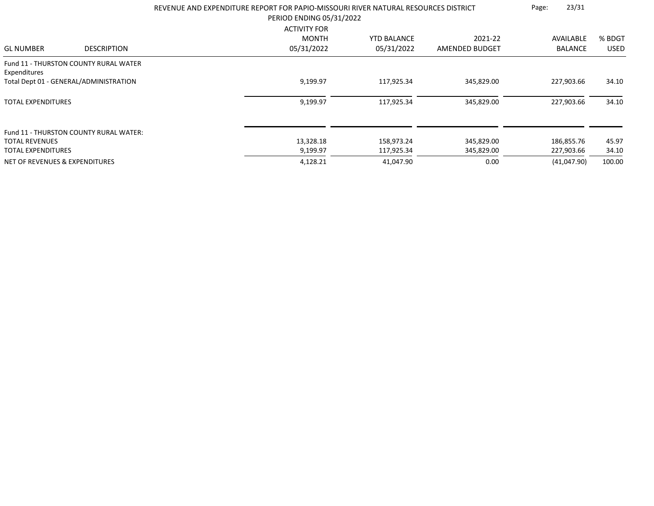|                                |                                              | REVENUE AND EXPENDITURE REPORT FOR PAPIO-MISSOURI RIVER NATURAL RESOURCES DISTRICT<br>PERIOD ENDING 05/31/2022 |                                  |                           | 23/31<br>Page:              |                       |
|--------------------------------|----------------------------------------------|----------------------------------------------------------------------------------------------------------------|----------------------------------|---------------------------|-----------------------------|-----------------------|
| <b>GL NUMBER</b>               | <b>DESCRIPTION</b>                           | <b>ACTIVITY FOR</b><br><b>MONTH</b><br>05/31/2022                                                              | <b>YTD BALANCE</b><br>05/31/2022 | 2021-22<br>AMENDED BUDGET | AVAILABLE<br><b>BALANCE</b> | % BDGT<br><b>USED</b> |
|                                |                                              |                                                                                                                |                                  |                           |                             |                       |
| Expenditures                   | <b>Fund 11 - THURSTON COUNTY RURAL WATER</b> |                                                                                                                |                                  |                           |                             |                       |
|                                | Total Dept 01 - GENERAL/ADMINISTRATION       | 9,199.97                                                                                                       | 117,925.34                       | 345,829.00                | 227,903.66                  | 34.10                 |
| <b>TOTAL EXPENDITURES</b>      |                                              | 9,199.97                                                                                                       | 117,925.34                       | 345,829.00                | 227,903.66                  | 34.10                 |
| <b>TOTAL REVENUES</b>          | Fund 11 - THURSTON COUNTY RURAL WATER:       | 13,328.18                                                                                                      | 158,973.24                       | 345,829.00                | 186,855.76                  | 45.97                 |
| <b>TOTAL EXPENDITURES</b>      |                                              | 9,199.97                                                                                                       | 117,925.34                       | 345,829.00                | 227,903.66                  | 34.10                 |
| NET OF REVENUES & EXPENDITURES |                                              | 4,128.21                                                                                                       | 41,047.90                        | 0.00                      | (41,047.90)                 | 100.00                |
|                                |                                              |                                                                                                                |                                  |                           |                             |                       |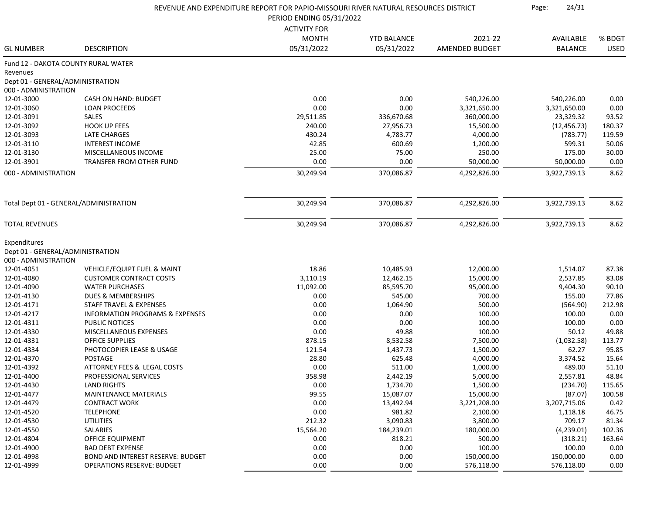|                                  |                                            | REVENUE AND EXPENDITURE REPORT FOR PAPIO-MISSOURI RIVER NATURAL RESOURCES DISTRICT |                    |                       | 24/31<br>Page: |             |
|----------------------------------|--------------------------------------------|------------------------------------------------------------------------------------|--------------------|-----------------------|----------------|-------------|
|                                  |                                            | PERIOD ENDING 05/31/2022                                                           |                    |                       |                |             |
|                                  |                                            | <b>ACTIVITY FOR</b>                                                                |                    |                       |                |             |
|                                  |                                            | <b>MONTH</b>                                                                       | <b>YTD BALANCE</b> | 2021-22               | AVAILABLE      | % BDGT      |
| <b>GL NUMBER</b>                 | <b>DESCRIPTION</b>                         | 05/31/2022                                                                         | 05/31/2022         | <b>AMENDED BUDGET</b> | <b>BALANCE</b> | <b>USED</b> |
|                                  | Fund 12 - DAKOTA COUNTY RURAL WATER        |                                                                                    |                    |                       |                |             |
| Revenues                         |                                            |                                                                                    |                    |                       |                |             |
| Dept 01 - GENERAL/ADMINISTRATION |                                            |                                                                                    |                    |                       |                |             |
| 000 - ADMINISTRATION             |                                            |                                                                                    |                    |                       |                |             |
| 12-01-3000                       | CASH ON HAND: BUDGET                       | 0.00                                                                               | 0.00               | 540,226.00            | 540,226.00     | 0.00        |
| 12-01-3060                       | <b>LOAN PROCEEDS</b>                       | 0.00                                                                               | 0.00               | 3,321,650.00          | 3,321,650.00   | 0.00        |
| 12-01-3091                       | SALES                                      | 29,511.85                                                                          | 336,670.68         | 360,000.00            | 23,329.32      | 93.52       |
| 12-01-3092                       | <b>HOOK UP FEES</b>                        | 240.00                                                                             | 27,956.73          | 15,500.00             | (12, 456.73)   | 180.37      |
| 12-01-3093                       | <b>LATE CHARGES</b>                        | 430.24                                                                             | 4,783.77           | 4,000.00              | (783.77)       | 119.59      |
| 12-01-3110                       | <b>INTEREST INCOME</b>                     | 42.85                                                                              | 600.69             | 1,200.00              | 599.31         | 50.06       |
| 12-01-3130                       | MISCELLANEOUS INCOME                       | 25.00                                                                              | 75.00              | 250.00                | 175.00         | 30.00       |
| 12-01-3901                       | <b>TRANSFER FROM OTHER FUND</b>            | 0.00                                                                               | 0.00               | 50,000.00             | 50,000.00      | 0.00        |
| 000 - ADMINISTRATION             |                                            | 30,249.94                                                                          | 370,086.87         | 4,292,826.00          | 3,922,739.13   | 8.62        |
|                                  | Total Dept 01 - GENERAL/ADMINISTRATION     | 30,249.94                                                                          | 370,086.87         | 4,292,826.00          | 3,922,739.13   | 8.62        |
|                                  |                                            |                                                                                    |                    |                       |                |             |
| <b>TOTAL REVENUES</b>            |                                            | 30,249.94                                                                          | 370,086.87         | 4,292,826.00          | 3,922,739.13   | 8.62        |
| Expenditures                     |                                            |                                                                                    |                    |                       |                |             |
| Dept 01 - GENERAL/ADMINISTRATION |                                            |                                                                                    |                    |                       |                |             |
| 000 - ADMINISTRATION             |                                            |                                                                                    |                    |                       |                |             |
| 12-01-4051                       | VEHICLE/EQUIPT FUEL & MAINT                | 18.86                                                                              | 10,485.93          | 12,000.00             | 1,514.07       | 87.38       |
| 12-01-4080                       | <b>CUSTOMER CONTRACT COSTS</b>             | 3,110.19                                                                           | 12,462.15          | 15,000.00             | 2,537.85       | 83.08       |
| 12-01-4090                       | <b>WATER PURCHASES</b>                     | 11,092.00                                                                          | 85,595.70          | 95,000.00             | 9,404.30       | 90.10       |
| 12-01-4130                       | <b>DUES &amp; MEMBERSHIPS</b>              | 0.00                                                                               | 545.00             | 700.00                | 155.00         | 77.86       |
| 12-01-4171                       | STAFF TRAVEL & EXPENSES                    | 0.00                                                                               | 1,064.90           | 500.00                | (564.90)       | 212.98      |
| 12-01-4217                       | <b>INFORMATION PROGRAMS &amp; EXPENSES</b> | 0.00                                                                               | 0.00               | 100.00                | 100.00         | 0.00        |
| 12-01-4311                       | PUBLIC NOTICES                             | 0.00                                                                               | 0.00               | 100.00                | 100.00         | 0.00        |
| 12-01-4330                       | MISCELLANEOUS EXPENSES                     | 0.00                                                                               | 49.88              | 100.00                | 50.12          | 49.88       |
| 12-01-4331                       | <b>OFFICE SUPPLIES</b>                     | 878.15                                                                             | 8,532.58           | 7,500.00              | (1,032.58)     | 113.77      |
| 12-01-4334                       | PHOTOCOPIER LEASE & USAGE                  | 121.54                                                                             | 1,437.73           | 1,500.00              | 62.27          | 95.85       |
| 12-01-4370                       | <b>POSTAGE</b>                             | 28.80                                                                              | 625.48             | 4,000.00              | 3,374.52       | 15.64       |
| 12-01-4392                       | ATTORNEY FEES & LEGAL COSTS                | 0.00                                                                               | 511.00             | 1,000.00              | 489.00         | 51.10       |
| 12-01-4400                       | PROFESSIONAL SERVICES                      | 358.98                                                                             | 2,442.19           | 5,000.00              | 2,557.81       | 48.84       |
| 12-01-4430                       | <b>LAND RIGHTS</b>                         | 0.00                                                                               | 1,734.70           | 1,500.00              | (234.70)       | 115.65      |
| 12-01-4477                       | <b>MAINTENANCE MATERIALS</b>               | 99.55                                                                              | 15,087.07          | 15,000.00             | (87.07)        | 100.58      |
| 12-01-4479                       | <b>CONTRACT WORK</b>                       | 0.00                                                                               | 13,492.94          | 3,221,208.00          | 3,207,715.06   | 0.42        |
| 12-01-4520                       | <b>TELEPHONE</b>                           | 0.00                                                                               | 981.82             | 2,100.00              | 1,118.18       | 46.75       |
| 12-01-4530                       | <b>UTILITIES</b>                           | 212.32                                                                             | 3,090.83           | 3,800.00              | 709.17         | 81.34       |
| 12-01-4550                       | SALARIES                                   | 15,564.20                                                                          | 184,239.01         | 180,000.00            | (4,239.01)     | 102.36      |
| 12-01-4804                       | OFFICE EQUIPMENT                           | 0.00                                                                               | 818.21             | 500.00                | (318.21)       | 163.64      |
| 12-01-4900                       | <b>BAD DEBT EXPENSE</b>                    | 0.00                                                                               | 0.00               | 100.00                | 100.00         | 0.00        |
| 12-01-4998                       | BOND AND INTEREST RESERVE: BUDGET          | 0.00                                                                               | 0.00               | 150,000.00            | 150,000.00     | 0.00        |
| 12-01-4999                       | <b>OPERATIONS RESERVE: BUDGET</b>          | 0.00                                                                               | 0.00               | 576,118.00            | 576,118.00     | 0.00        |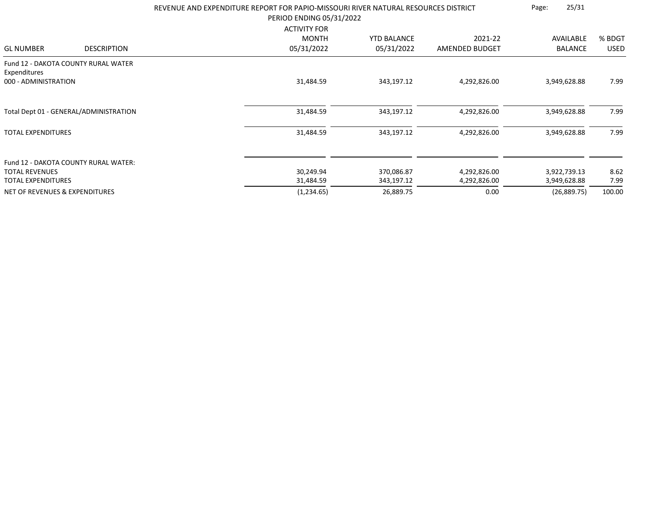|                                |                                        | REVENUE AND EXPENDITURE REPORT FOR PAPIO-MISSOURI RIVER NATURAL RESOURCES DISTRICT<br>PERIOD ENDING 05/31/2022<br><b>ACTIVITY FOR</b> | 25/31<br>Page:     |                |              |             |
|--------------------------------|----------------------------------------|---------------------------------------------------------------------------------------------------------------------------------------|--------------------|----------------|--------------|-------------|
|                                |                                        | <b>MONTH</b>                                                                                                                          | <b>YTD BALANCE</b> | 2021-22        | AVAILABLE    | % BDGT      |
| <b>GL NUMBER</b>               | <b>DESCRIPTION</b>                     | 05/31/2022                                                                                                                            | 05/31/2022         | AMENDED BUDGET | BALANCE      | <b>USED</b> |
| Expenditures                   | Fund 12 - DAKOTA COUNTY RURAL WATER    |                                                                                                                                       |                    |                |              |             |
| 000 - ADMINISTRATION           |                                        | 31,484.59                                                                                                                             | 343,197.12         | 4,292,826.00   | 3,949,628.88 | 7.99        |
|                                | Total Dept 01 - GENERAL/ADMINISTRATION | 31,484.59                                                                                                                             | 343,197.12         | 4,292,826.00   | 3,949,628.88 | 7.99        |
| <b>TOTAL EXPENDITURES</b>      |                                        | 31,484.59                                                                                                                             | 343,197.12         | 4,292,826.00   | 3,949,628.88 | 7.99        |
|                                | Fund 12 - DAKOTA COUNTY RURAL WATER:   |                                                                                                                                       |                    |                |              |             |
| <b>TOTAL REVENUES</b>          |                                        | 30,249.94                                                                                                                             | 370,086.87         | 4,292,826.00   | 3,922,739.13 | 8.62        |
| <b>TOTAL EXPENDITURES</b>      |                                        | 31,484.59                                                                                                                             | 343,197.12         | 4,292,826.00   | 3,949,628.88 | 7.99        |
| NET OF REVENUES & EXPENDITURES |                                        | (1,234.65)                                                                                                                            | 26,889.75          | 0.00           | (26,889.75)  | 100.00      |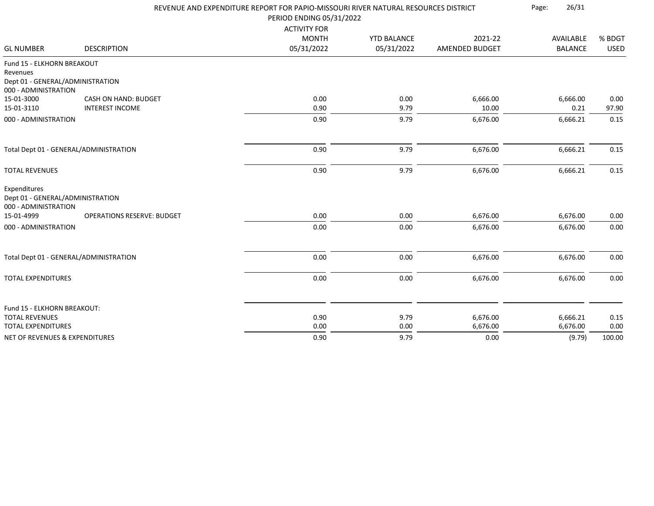|                                                                            |                                   | REVENUE AND EXPENDITURE REPORT FOR PAPIO-MISSOURI RIVER NATURAL RESOURCES DISTRICT |                    |                | Page:<br>26/31 |             |
|----------------------------------------------------------------------------|-----------------------------------|------------------------------------------------------------------------------------|--------------------|----------------|----------------|-------------|
|                                                                            |                                   | PERIOD ENDING 05/31/2022                                                           |                    |                |                |             |
|                                                                            |                                   | <b>ACTIVITY FOR</b>                                                                |                    |                |                |             |
|                                                                            |                                   | <b>MONTH</b>                                                                       | <b>YTD BALANCE</b> | 2021-22        | AVAILABLE      | % BDGT      |
| <b>GL NUMBER</b>                                                           | <b>DESCRIPTION</b>                | 05/31/2022                                                                         | 05/31/2022         | AMENDED BUDGET | <b>BALANCE</b> | <b>USED</b> |
| Fund 15 - ELKHORN BREAKOUT<br>Revenues<br>Dept 01 - GENERAL/ADMINISTRATION |                                   |                                                                                    |                    |                |                |             |
| 000 - ADMINISTRATION                                                       |                                   |                                                                                    |                    |                |                |             |
| 15-01-3000                                                                 | CASH ON HAND: BUDGET              | 0.00                                                                               | 0.00               | 6,666.00       | 6,666.00       | 0.00        |
| 15-01-3110                                                                 | <b>INTEREST INCOME</b>            | 0.90                                                                               | 9.79               | 10.00          | 0.21           | 97.90       |
| 000 - ADMINISTRATION                                                       |                                   | 0.90                                                                               | 9.79               | 6,676.00       | 6,666.21       | 0.15        |
| Total Dept 01 - GENERAL/ADMINISTRATION                                     |                                   | 0.90                                                                               | 9.79               | 6,676.00       | 6,666.21       | 0.15        |
| <b>TOTAL REVENUES</b>                                                      |                                   | 0.90                                                                               | 9.79               | 6,676.00       | 6,666.21       | 0.15        |
| Expenditures<br>Dept 01 - GENERAL/ADMINISTRATION<br>000 - ADMINISTRATION   |                                   |                                                                                    |                    |                |                |             |
| 15-01-4999                                                                 | <b>OPERATIONS RESERVE: BUDGET</b> | 0.00                                                                               | 0.00               | 6,676.00       | 6,676.00       | 0.00        |
| 000 - ADMINISTRATION                                                       |                                   | 0.00                                                                               | 0.00               | 6,676.00       | 6,676.00       | 0.00        |
| Total Dept 01 - GENERAL/ADMINISTRATION                                     |                                   | 0.00                                                                               | 0.00               | 6,676.00       | 6,676.00       | 0.00        |
| <b>TOTAL EXPENDITURES</b>                                                  |                                   | 0.00                                                                               | 0.00               | 6,676.00       | 6,676.00       | 0.00        |
|                                                                            |                                   |                                                                                    |                    |                |                |             |
| Fund 15 - ELKHORN BREAKOUT:                                                |                                   |                                                                                    |                    |                |                |             |
| <b>TOTAL REVENUES</b>                                                      |                                   | 0.90                                                                               | 9.79               | 6,676.00       | 6,666.21       | 0.15        |
| <b>TOTAL EXPENDITURES</b>                                                  |                                   | 0.00                                                                               | 0.00               | 6,676.00       | 6,676.00       | 0.00        |
| <b>NET OF REVENUES &amp; EXPENDITURES</b>                                  |                                   | 0.90                                                                               | 9.79               | 0.00           | (9.79)         | 100.00      |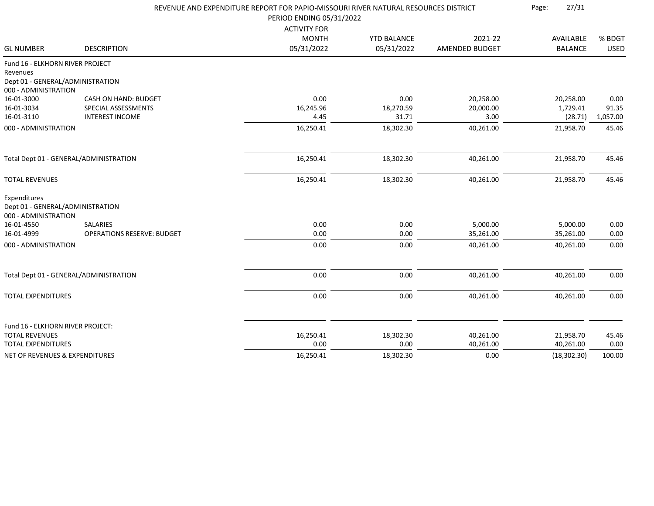|                                                  |                                                    | REVENUE AND EXPENDITURE REPORT FOR PAPIO-MISSOURI RIVER NATURAL RESOURCES DISTRICT |                    |                        | 27/31<br>Page:        |               |
|--------------------------------------------------|----------------------------------------------------|------------------------------------------------------------------------------------|--------------------|------------------------|-----------------------|---------------|
|                                                  |                                                    | PERIOD ENDING 05/31/2022                                                           |                    |                        |                       |               |
|                                                  |                                                    | <b>ACTIVITY FOR</b>                                                                |                    |                        |                       |               |
|                                                  |                                                    | <b>MONTH</b>                                                                       | <b>YTD BALANCE</b> | 2021-22                | AVAILABLE             | % BDGT        |
| <b>GL NUMBER</b>                                 | <b>DESCRIPTION</b>                                 | 05/31/2022                                                                         | 05/31/2022         | <b>AMENDED BUDGET</b>  | <b>BALANCE</b>        | <b>USED</b>   |
| Fund 16 - ELKHORN RIVER PROJECT                  |                                                    |                                                                                    |                    |                        |                       |               |
| Revenues                                         |                                                    |                                                                                    |                    |                        |                       |               |
| Dept 01 - GENERAL/ADMINISTRATION                 |                                                    |                                                                                    |                    |                        |                       |               |
| 000 - ADMINISTRATION                             |                                                    |                                                                                    |                    |                        |                       |               |
| 16-01-3000<br>16-01-3034                         | <b>CASH ON HAND: BUDGET</b><br>SPECIAL ASSESSMENTS | 0.00<br>16,245.96                                                                  | 0.00<br>18,270.59  | 20,258.00<br>20,000.00 | 20,258.00<br>1,729.41 | 0.00<br>91.35 |
| 16-01-3110                                       | <b>INTEREST INCOME</b>                             | 4.45                                                                               | 31.71              | 3.00                   | (28.71)               | 1,057.00      |
| 000 - ADMINISTRATION                             |                                                    | 16,250.41                                                                          | 18,302.30          | 40,261.00              | 21,958.70             | 45.46         |
|                                                  |                                                    |                                                                                    |                    |                        |                       |               |
|                                                  | Total Dept 01 - GENERAL/ADMINISTRATION             | 16,250.41                                                                          | 18,302.30          | 40,261.00              | 21,958.70             | 45.46         |
| <b>TOTAL REVENUES</b>                            |                                                    | 16,250.41                                                                          | 18,302.30          | 40,261.00              | 21,958.70             | 45.46         |
| Expenditures<br>Dept 01 - GENERAL/ADMINISTRATION |                                                    |                                                                                    |                    |                        |                       |               |
| 000 - ADMINISTRATION                             |                                                    |                                                                                    |                    |                        |                       |               |
| 16-01-4550                                       | <b>SALARIES</b>                                    | 0.00                                                                               | 0.00               | 5,000.00               | 5,000.00              | 0.00          |
| 16-01-4999                                       | <b>OPERATIONS RESERVE: BUDGET</b>                  | 0.00                                                                               | 0.00               | 35,261.00              | 35,261.00             | 0.00          |
| 000 - ADMINISTRATION                             |                                                    | 0.00                                                                               | 0.00               | 40,261.00              | 40,261.00             | 0.00          |
|                                                  | Total Dept 01 - GENERAL/ADMINISTRATION             | 0.00                                                                               | 0.00               | 40,261.00              | 40,261.00             | 0.00          |
|                                                  |                                                    |                                                                                    |                    |                        |                       |               |
| <b>TOTAL EXPENDITURES</b>                        |                                                    | 0.00                                                                               | 0.00               | 40,261.00              | 40,261.00             | 0.00          |
| Fund 16 - ELKHORN RIVER PROJECT:                 |                                                    |                                                                                    |                    |                        |                       |               |
| <b>TOTAL REVENUES</b>                            |                                                    | 16,250.41                                                                          | 18,302.30          | 40,261.00              | 21,958.70             | 45.46         |
| <b>TOTAL EXPENDITURES</b>                        |                                                    | 0.00                                                                               | 0.00               | 40,261.00              | 40,261.00             | 0.00          |
| <b>NET OF REVENUES &amp; EXPENDITURES</b>        |                                                    | 16,250.41                                                                          | 18,302.30          | 0.00                   | (18, 302.30)          | 100.00        |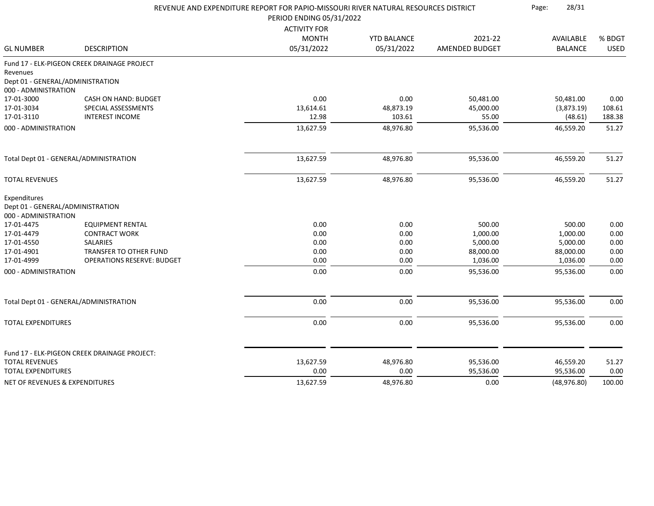|                                        |                                              | REVENUE AND EXPENDITURE REPORT FOR PAPIO-MISSOURI RIVER NATURAL RESOURCES DISTRICT |                    |                       |                    |              |
|----------------------------------------|----------------------------------------------|------------------------------------------------------------------------------------|--------------------|-----------------------|--------------------|--------------|
|                                        |                                              | PERIOD ENDING 05/31/2022                                                           |                    |                       |                    |              |
|                                        |                                              | <b>ACTIVITY FOR</b><br><b>MONTH</b>                                                | <b>YTD BALANCE</b> | 2021-22               | AVAILABLE          | % BDGT       |
| <b>GL NUMBER</b>                       | <b>DESCRIPTION</b>                           | 05/31/2022                                                                         | 05/31/2022         | <b>AMENDED BUDGET</b> | <b>BALANCE</b>     | <b>USED</b>  |
|                                        | Fund 17 - ELK-PIGEON CREEK DRAINAGE PROJECT  |                                                                                    |                    |                       |                    |              |
| Revenues                               |                                              |                                                                                    |                    |                       |                    |              |
| Dept 01 - GENERAL/ADMINISTRATION       |                                              |                                                                                    |                    |                       |                    |              |
| 000 - ADMINISTRATION                   |                                              |                                                                                    |                    |                       |                    |              |
| 17-01-3000                             | CASH ON HAND: BUDGET                         | 0.00                                                                               | 0.00               | 50,481.00             | 50,481.00          | 0.00         |
| 17-01-3034                             | SPECIAL ASSESSMENTS                          | 13,614.61                                                                          | 48,873.19          | 45,000.00             | (3,873.19)         | 108.61       |
| 17-01-3110                             | <b>INTEREST INCOME</b>                       | 12.98                                                                              | 103.61             | 55.00                 | (48.61)            | 188.38       |
| 000 - ADMINISTRATION                   |                                              | 13,627.59                                                                          | 48,976.80          | 95,536.00             | 46,559.20          | 51.27        |
| Total Dept 01 - GENERAL/ADMINISTRATION |                                              | 13,627.59                                                                          | 48,976.80          | 95,536.00             | 46,559.20          | 51.27        |
|                                        |                                              |                                                                                    |                    |                       |                    |              |
| <b>TOTAL REVENUES</b>                  |                                              | 13,627.59                                                                          | 48,976.80          | 95,536.00             | 46,559.20          | 51.27        |
| Expenditures                           |                                              |                                                                                    |                    |                       |                    |              |
| Dept 01 - GENERAL/ADMINISTRATION       |                                              |                                                                                    |                    |                       |                    |              |
| 000 - ADMINISTRATION                   |                                              |                                                                                    |                    |                       |                    |              |
| 17-01-4475<br>17-01-4479               | EQUIPMENT RENTAL<br><b>CONTRACT WORK</b>     | 0.00<br>0.00                                                                       | 0.00               | 500.00<br>1,000.00    | 500.00<br>1,000.00 | 0.00<br>0.00 |
| 17-01-4550                             | <b>SALARIES</b>                              | 0.00                                                                               | 0.00<br>0.00       | 5,000.00              | 5,000.00           | 0.00         |
| 17-01-4901                             | TRANSFER TO OTHER FUND                       | 0.00                                                                               | 0.00               | 88,000.00             | 88,000.00          | 0.00         |
| 17-01-4999                             | <b>OPERATIONS RESERVE: BUDGET</b>            | 0.00                                                                               | 0.00               | 1,036.00              | 1,036.00           | 0.00         |
| 000 - ADMINISTRATION                   |                                              | 0.00                                                                               | 0.00               | 95,536.00             | 95,536.00          | 0.00         |
|                                        |                                              |                                                                                    |                    |                       |                    |              |
| Total Dept 01 - GENERAL/ADMINISTRATION |                                              | 0.00                                                                               | 0.00               | 95,536.00             | 95,536.00          | 0.00         |
| <b>TOTAL EXPENDITURES</b>              |                                              | 0.00                                                                               | 0.00               | 95,536.00             | 95,536.00          | 0.00         |
|                                        |                                              |                                                                                    |                    |                       |                    |              |
| <b>TOTAL REVENUES</b>                  | Fund 17 - ELK-PIGEON CREEK DRAINAGE PROJECT: | 13,627.59                                                                          | 48,976.80          | 95,536.00             | 46,559.20          | 51.27        |
| <b>TOTAL EXPENDITURES</b>              |                                              | 0.00                                                                               | 0.00               | 95,536.00             | 95,536.00          | 0.00         |
| NET OF REVENUES & EXPENDITURES         |                                              | 13,627.59                                                                          | 48,976.80          | 0.00                  | (48, 976.80)       | 100.00       |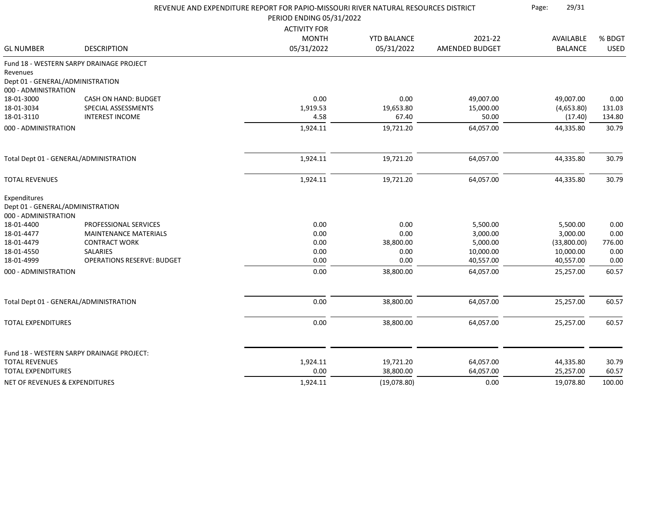|                                  |                                                       | REVENUE AND EXPENDITURE REPORT FOR PAPIO-MISSOURI RIVER NATURAL RESOURCES DISTRICT<br>PERIOD ENDING 05/31/2022 |                    |                      |                      |              |
|----------------------------------|-------------------------------------------------------|----------------------------------------------------------------------------------------------------------------|--------------------|----------------------|----------------------|--------------|
|                                  |                                                       | <b>ACTIVITY FOR</b>                                                                                            |                    |                      |                      |              |
|                                  |                                                       | <b>MONTH</b>                                                                                                   | <b>YTD BALANCE</b> | 2021-22              | AVAILABLE            | % BDGT       |
| <b>GL NUMBER</b>                 | <b>DESCRIPTION</b>                                    | 05/31/2022                                                                                                     | 05/31/2022         | AMENDED BUDGET       | <b>BALANCE</b>       | <b>USED</b>  |
|                                  | Fund 18 - WESTERN SARPY DRAINAGE PROJECT              |                                                                                                                |                    |                      |                      |              |
| Revenues                         |                                                       |                                                                                                                |                    |                      |                      |              |
| Dept 01 - GENERAL/ADMINISTRATION |                                                       |                                                                                                                |                    |                      |                      |              |
| 000 - ADMINISTRATION             |                                                       |                                                                                                                |                    |                      |                      |              |
| 18-01-3000                       | <b>CASH ON HAND: BUDGET</b>                           | 0.00                                                                                                           | 0.00               | 49,007.00            | 49,007.00            | 0.00         |
| 18-01-3034                       | SPECIAL ASSESSMENTS                                   | 1,919.53                                                                                                       | 19,653.80          | 15,000.00            | (4,653.80)           | 131.03       |
| 18-01-3110                       | <b>INTEREST INCOME</b>                                | 4.58                                                                                                           | 67.40              | 50.00                | (17.40)              | 134.80       |
| 000 - ADMINISTRATION             |                                                       | 1,924.11                                                                                                       | 19,721.20          | 64,057.00            | 44,335.80            | 30.79        |
|                                  | Total Dept 01 - GENERAL/ADMINISTRATION                | 1,924.11                                                                                                       | 19,721.20          | 64,057.00            | 44,335.80            | 30.79        |
|                                  |                                                       |                                                                                                                |                    |                      |                      |              |
| <b>TOTAL REVENUES</b>            |                                                       | 1,924.11                                                                                                       | 19,721.20          | 64,057.00            | 44,335.80            | 30.79        |
| Expenditures                     |                                                       |                                                                                                                |                    |                      |                      |              |
| Dept 01 - GENERAL/ADMINISTRATION |                                                       |                                                                                                                |                    |                      |                      |              |
| 000 - ADMINISTRATION             |                                                       |                                                                                                                |                    |                      |                      |              |
| 18-01-4400<br>18-01-4477         | PROFESSIONAL SERVICES<br><b>MAINTENANCE MATERIALS</b> | 0.00<br>0.00                                                                                                   | 0.00<br>0.00       | 5,500.00<br>3,000.00 | 5,500.00<br>3,000.00 | 0.00<br>0.00 |
| 18-01-4479                       | <b>CONTRACT WORK</b>                                  | 0.00                                                                                                           | 38,800.00          | 5,000.00             | (33,800.00)          | 776.00       |
| 18-01-4550                       | <b>SALARIES</b>                                       | 0.00                                                                                                           | 0.00               | 10,000.00            | 10,000.00            | 0.00         |
| 18-01-4999                       | <b>OPERATIONS RESERVE: BUDGET</b>                     | 0.00                                                                                                           | 0.00               | 40,557.00            | 40,557.00            | 0.00         |
| 000 - ADMINISTRATION             |                                                       | 0.00                                                                                                           | 38,800.00          | 64,057.00            | 25,257.00            | 60.57        |
|                                  |                                                       |                                                                                                                |                    |                      |                      |              |
|                                  | Total Dept 01 - GENERAL/ADMINISTRATION                | 0.00                                                                                                           | 38,800.00          | 64,057.00            | 25,257.00            | 60.57        |
| <b>TOTAL EXPENDITURES</b>        |                                                       | 0.00                                                                                                           | 38,800.00          | 64,057.00            | 25,257.00            | 60.57        |
|                                  |                                                       |                                                                                                                |                    |                      |                      |              |
|                                  | Fund 18 - WESTERN SARPY DRAINAGE PROJECT:             |                                                                                                                |                    |                      |                      |              |
| <b>TOTAL REVENUES</b>            |                                                       | 1,924.11                                                                                                       | 19,721.20          | 64,057.00            | 44,335.80            | 30.79        |
| <b>TOTAL EXPENDITURES</b>        |                                                       | 0.00                                                                                                           | 38,800.00          | 64,057.00            | 25,257.00            | 60.57        |
| NET OF REVENUES & EXPENDITURES   |                                                       | 1,924.11                                                                                                       | (19,078.80)        | 0.00                 | 19.078.80            | 100.00       |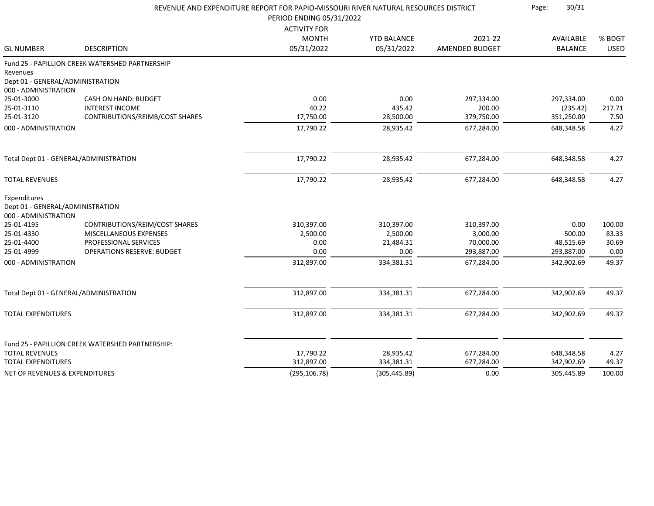|                                                                          |                                                  | REVENUE AND EXPENDITURE REPORT FOR PAPIO-MISSOURI RIVER NATURAL RESOURCES DISTRICT<br>PERIOD ENDING 05/31/2022 |                                  |                                  | 30/31<br>Page:              |                       |  |
|--------------------------------------------------------------------------|--------------------------------------------------|----------------------------------------------------------------------------------------------------------------|----------------------------------|----------------------------------|-----------------------------|-----------------------|--|
| <b>GL NUMBER</b>                                                         | <b>DESCRIPTION</b>                               | <b>ACTIVITY FOR</b><br><b>MONTH</b><br>05/31/2022                                                              | <b>YTD BALANCE</b><br>05/31/2022 | 2021-22<br><b>AMENDED BUDGET</b> | AVAILABLE<br><b>BALANCE</b> | % BDGT<br><b>USED</b> |  |
| Revenues<br>Dept 01 - GENERAL/ADMINISTRATION<br>000 - ADMINISTRATION     | Fund 25 - PAPILLION CREEK WATERSHED PARTNERSHIP  |                                                                                                                |                                  |                                  |                             |                       |  |
| 25-01-3000                                                               | CASH ON HAND: BUDGET                             | 0.00                                                                                                           | 0.00                             | 297,334.00                       | 297,334.00                  | 0.00                  |  |
| 25-01-3110                                                               | <b>INTEREST INCOME</b>                           | 40.22                                                                                                          | 435.42                           | 200.00                           | (235.42)                    | 217.71                |  |
| 25-01-3120                                                               | CONTRIBUTIONS/REIMB/COST SHARES                  | 17,750.00                                                                                                      | 28,500.00                        | 379,750.00                       | 351,250.00                  | 7.50                  |  |
| 000 - ADMINISTRATION                                                     |                                                  | 17,790.22                                                                                                      | 28,935.42                        | 677,284.00                       | 648,348.58                  | 4.27                  |  |
| Total Dept 01 - GENERAL/ADMINISTRATION                                   |                                                  | 17,790.22                                                                                                      | 28,935.42                        | 677,284.00                       | 648,348.58                  | 4.27                  |  |
| <b>TOTAL REVENUES</b>                                                    |                                                  | 17,790.22                                                                                                      | 28,935.42                        | 677,284.00                       | 648,348.58                  | 4.27                  |  |
| Expenditures<br>Dept 01 - GENERAL/ADMINISTRATION<br>000 - ADMINISTRATION |                                                  |                                                                                                                |                                  |                                  |                             |                       |  |
| 25-01-4195                                                               | CONTRIBUTIONS/REIM/COST SHARES                   | 310,397.00                                                                                                     | 310,397.00                       | 310,397.00                       | 0.00                        | 100.00                |  |
| 25-01-4330                                                               | MISCELLANEOUS EXPENSES                           | 2,500.00                                                                                                       | 2,500.00                         | 3,000.00                         | 500.00                      | 83.33                 |  |
| 25-01-4400                                                               | PROFESSIONAL SERVICES                            | 0.00                                                                                                           | 21,484.31                        | 70,000.00                        | 48,515.69                   | 30.69                 |  |
| 25-01-4999                                                               | <b>OPERATIONS RESERVE: BUDGET</b>                | 0.00                                                                                                           | 0.00                             | 293,887.00                       | 293,887.00                  | 0.00                  |  |
| 000 - ADMINISTRATION                                                     |                                                  | 312,897.00                                                                                                     | 334,381.31                       | 677,284.00                       | 342,902.69                  | 49.37                 |  |
| Total Dept 01 - GENERAL/ADMINISTRATION                                   |                                                  | 312,897.00                                                                                                     | 334,381.31                       | 677,284.00                       | 342,902.69                  | 49.37                 |  |
| <b>TOTAL EXPENDITURES</b>                                                |                                                  | 312,897.00                                                                                                     | 334,381.31                       | 677,284.00                       | 342,902.69                  | 49.37                 |  |
|                                                                          | Fund 25 - PAPILLION CREEK WATERSHED PARTNERSHIP: |                                                                                                                |                                  |                                  |                             |                       |  |
| <b>TOTAL REVENUES</b>                                                    |                                                  | 17,790.22                                                                                                      | 28,935.42                        | 677,284.00                       | 648,348.58                  | 4.27                  |  |
| <b>TOTAL EXPENDITURES</b>                                                |                                                  | 312,897.00                                                                                                     | 334,381.31                       | 677,284.00                       | 342,902.69                  | 49.37                 |  |
| <b>NET OF REVENUES &amp; EXPENDITURES</b>                                |                                                  | (295, 106.78)                                                                                                  | (305, 445.89)                    | 0.00                             | 305,445.89                  | 100.00                |  |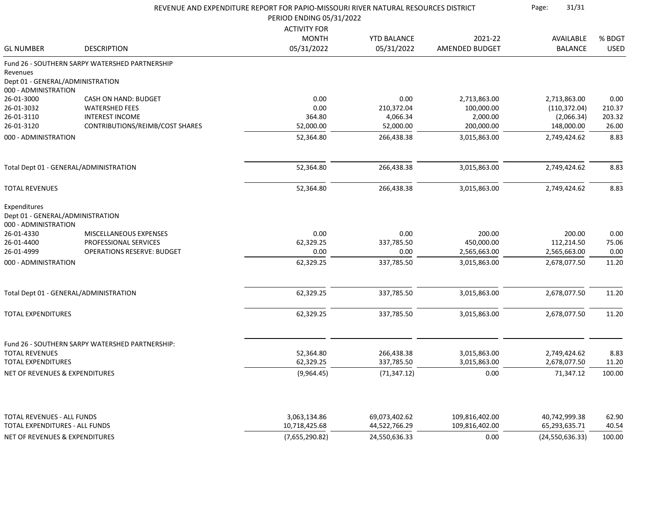|                                                                          |                                                 | REVENUE AND EXPENDITURE REPORT FOR PAPIO-MISSOURI RIVER NATURAL RESOURCES DISTRICT |                                |                                  | 31/31<br>Page:                 |                 |  |
|--------------------------------------------------------------------------|-------------------------------------------------|------------------------------------------------------------------------------------|--------------------------------|----------------------------------|--------------------------------|-----------------|--|
|                                                                          |                                                 | PERIOD ENDING 05/31/2022<br><b>ACTIVITY FOR</b>                                    |                                |                                  |                                |                 |  |
|                                                                          |                                                 | <b>MONTH</b>                                                                       | <b>YTD BALANCE</b>             | 2021-22                          | AVAILABLE                      | % BDGT          |  |
| <b>GL NUMBER</b>                                                         | <b>DESCRIPTION</b>                              | 05/31/2022                                                                         | 05/31/2022                     | AMENDED BUDGET                   | <b>BALANCE</b>                 | <b>USED</b>     |  |
|                                                                          | Fund 26 - SOUTHERN SARPY WATERSHED PARTNERSHIP  |                                                                                    |                                |                                  |                                |                 |  |
| Revenues                                                                 |                                                 |                                                                                    |                                |                                  |                                |                 |  |
| Dept 01 - GENERAL/ADMINISTRATION                                         |                                                 |                                                                                    |                                |                                  |                                |                 |  |
| 000 - ADMINISTRATION                                                     |                                                 |                                                                                    |                                |                                  |                                |                 |  |
| 26-01-3000                                                               | CASH ON HAND: BUDGET                            | 0.00                                                                               | 0.00                           | 2,713,863.00                     | 2,713,863.00                   | 0.00            |  |
| 26-01-3032                                                               | <b>WATERSHED FEES</b><br><b>INTEREST INCOME</b> | 0.00                                                                               | 210,372.04                     | 100,000.00                       | (110, 372.04)                  | 210.37          |  |
| 26-01-3110<br>26-01-3120                                                 | CONTRIBUTIONS/REIMB/COST SHARES                 | 364.80<br>52,000.00                                                                | 4,066.34<br>52,000.00          | 2,000.00<br>200,000.00           | (2,066.34)<br>148,000.00       | 203.32<br>26.00 |  |
| 000 - ADMINISTRATION                                                     |                                                 | 52,364.80                                                                          | 266,438.38                     | 3,015,863.00                     | 2,749,424.62                   | 8.83            |  |
|                                                                          |                                                 |                                                                                    |                                |                                  |                                |                 |  |
|                                                                          | Total Dept 01 - GENERAL/ADMINISTRATION          | 52,364.80                                                                          | 266,438.38                     | 3,015,863.00                     | 2,749,424.62                   | 8.83            |  |
| <b>TOTAL REVENUES</b>                                                    |                                                 | 52,364.80                                                                          | 266,438.38                     | 3,015,863.00                     | 2,749,424.62                   | 8.83            |  |
| Expenditures<br>Dept 01 - GENERAL/ADMINISTRATION<br>000 - ADMINISTRATION |                                                 |                                                                                    |                                |                                  |                                |                 |  |
| 26-01-4330                                                               | MISCELLANEOUS EXPENSES                          | 0.00                                                                               | 0.00                           | 200.00                           | 200.00                         | 0.00            |  |
| 26-01-4400                                                               | PROFESSIONAL SERVICES                           | 62,329.25                                                                          | 337,785.50                     | 450,000.00                       | 112,214.50                     | 75.06           |  |
| 26-01-4999                                                               | <b>OPERATIONS RESERVE: BUDGET</b>               | 0.00                                                                               | 0.00                           | 2,565,663.00                     | 2,565,663.00                   | 0.00            |  |
| 000 - ADMINISTRATION                                                     |                                                 | 62,329.25                                                                          | 337,785.50                     | 3,015,863.00                     | 2,678,077.50                   | 11.20           |  |
|                                                                          | Total Dept 01 - GENERAL/ADMINISTRATION          | 62,329.25                                                                          | 337,785.50                     | 3,015,863.00                     | 2,678,077.50                   | 11.20           |  |
| <b>TOTAL EXPENDITURES</b>                                                |                                                 | 62,329.25                                                                          | 337,785.50                     | 3,015,863.00                     | 2,678,077.50                   | 11.20           |  |
|                                                                          |                                                 |                                                                                    |                                |                                  |                                |                 |  |
|                                                                          | Fund 26 - SOUTHERN SARPY WATERSHED PARTNERSHIP: |                                                                                    |                                |                                  |                                |                 |  |
| <b>TOTAL REVENUES</b>                                                    |                                                 | 52,364.80                                                                          | 266,438.38                     | 3,015,863.00                     | 2,749,424.62                   | 8.83            |  |
| <b>TOTAL EXPENDITURES</b>                                                |                                                 | 62,329.25                                                                          | 337,785.50                     | 3,015,863.00                     | 2,678,077.50                   | 11.20           |  |
| NET OF REVENUES & EXPENDITURES                                           |                                                 | (9,964.45)                                                                         | (71, 347.12)                   | 0.00                             | 71,347.12                      | 100.00          |  |
|                                                                          |                                                 |                                                                                    |                                |                                  |                                |                 |  |
| <b>TOTAL REVENUES - ALL FUNDS</b><br>TOTAL EXPENDITURES - ALL FUNDS      |                                                 | 3,063,134.86<br>10,718,425.68                                                      | 69,073,402.62<br>44,522,766.29 | 109,816,402.00<br>109,816,402.00 | 40,742,999.38<br>65,293,635.71 | 62.90<br>40.54  |  |
|                                                                          |                                                 |                                                                                    |                                |                                  |                                |                 |  |
| NET OF REVENUES & EXPENDITURES                                           |                                                 | (7,655,290.82)                                                                     | 24,550,636.33                  | 0.00                             | (24, 550, 636.33)              | 100.00          |  |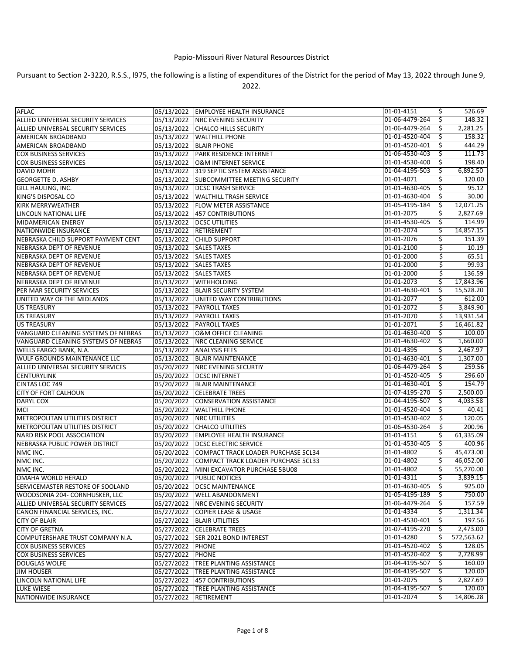## Papio‑Missouri River Natural Resources District

Pursuant to Section 2‑3220, R.S.S., l975, the following is a listing of expenditures of the District for the period of May 13, 2022 through June 9, 2022.

| <b>AFLAC</b>                        |                        | 05/13/2022 EMPLOYEE HEALTH INSURANCE           | 01-01-4151     | \$  | 526.69     |
|-------------------------------------|------------------------|------------------------------------------------|----------------|-----|------------|
| ALLIED UNIVERSAL SECURITY SERVICES  |                        | 05/13/2022 NRC EVENING SECURITY                | 01-06-4479-264 | \$  | 148.32     |
| ALLIED UNIVERSAL SECURITY SERVICES  | 05/13/2022             | <b>CHALCO HILLS SECURITY</b>                   | 01-06-4479-264 | \$  | 2,281.25   |
| AMERICAN BROADBAND                  |                        | 05/13/2022   WALTHILL PHONE                    | 01-01-4520-404 | \$  | 158.32     |
| AMERICAN BROADBAND                  |                        | 05/13/2022 BLAIR PHONE                         | 01-01-4520-401 | S   | 444.29     |
| <b>COX BUSINESS SERVICES</b>        |                        | 05/13/2022 PARK RESIDENCE INTERNET             | 01-06-4530-403 | \$. | 111.73     |
| <b>COX BUSINESS SERVICES</b>        |                        | 05/13/2022 O&M INTERNET SERVICE                | 01-01-4530-400 | \$. | 198.40     |
| DAVID MOHR                          |                        | 05/13/2022 319 SEPTIC SYSTEM ASSISTANCE        | 01-04-4195-503 | \$  | 6,892.50   |
| <b>GEORGETTE D. ASHBY</b>           |                        | 05/13/2022 SUBCOMMITTEE MEETING SECURITY       | 01-01-4071     | \$  | 120.00     |
| GILL HAULING, INC.                  |                        | 05/13/2022   DCSC TRASH SERVICE                | 01-01-4630-405 | \$. | 95.12      |
| KING'S DISPOSAL CO                  |                        | 05/13/2022 WALTHILL TRASH SERVICE              | 01-01-4630-404 | \$  | 30.00      |
| KIRK MERRYWEATHER                   |                        | 05/13/2022 FLOW METER ASSISTANCE               | 01-05-4195-184 | \$  | 12,071.25  |
| LINCOLN NATIONAL LIFE               |                        | 05/13/2022 457 CONTRIBUTIONS                   | 01-01-2075     | \$  | 2,827.69   |
| MIDAMERICAN ENERGY                  |                        | 05/13/2022   DCSC UTILITIES                    | 01-01-4530-405 | \$  | 114.99     |
| NATIONWIDE INSURANCE                |                        | 05/13/2022 RETIREMENT                          | 01-01-2074     | \$  | 14,857.15  |
| NEBRASKA CHILD SUPPORT PAYMENT CENT |                        | 05/13/2022 CHILD SUPPORT                       | 01-01-2076     | \$  | 151.39     |
| NEBRASKA DEPT OF REVENUE            | 05/13/2022 SALES TAXES |                                                | 01-01-2100     | Ś.  | 10.19      |
| NEBRASKA DEPT OF REVENUE            | 05/13/2022 SALES TAXES |                                                | 01-01-2000     | \$  | 65.51      |
| NEBRASKA DEPT OF REVENUE            | 05/13/2022 SALES TAXES |                                                | 01-01-2000     | \$  | 99.93      |
| NEBRASKA DEPT OF REVENUE            | 05/13/2022 SALES TAXES |                                                | 01-01-2000     | Ś   | 136.59     |
| NEBRASKA DEPT OF REVENUE            | 05/13/2022             | <b>WITHHOLDING</b>                             | 01-01-2073     | \$  | 17,843.96  |
| PER MAR SECURITY SERVICES           |                        | 05/13/2022 BLAIR SECURITY SYSTEM               | 01-01-4630-401 | \$, | 15,528.20  |
| UNITED WAY OF THE MIDLANDS          |                        | 05/13/2022 UNITED WAY CONTRIBUTIONS            | 01-01-2077     | S   | 612.00     |
| <b>US TREASURY</b>                  |                        | 05/13/2022 PAYROLL TAXES                       | 01-01-2072     | Ŝ.  | 3,849.90   |
| <b>US TREASURY</b>                  |                        | 05/13/2022 PAYROLL TAXES                       | 01-01-2070     | \$  | 13,931.54  |
| <b>US TREASURY</b>                  |                        | 05/13/2022 PAYROLL TAXES                       | 01-01-2071     | \$  | 16,461.82  |
| VANGUARD CLEANING SYSTEMS OF NEBRAS | 05/13/2022             | O&M OFFICE CLEANING                            | 01-01-4630-400 | \$  | 100.00     |
| VANGUARD CLEANING SYSTEMS OF NEBRAS |                        | 05/13/2022 NRC CLEANING SERVICE                | 01-01-4630-402 | \$  | 1,660.00   |
| <b>WELLS FARGO BANK, N.A.</b>       | 05/13/2022             | <b>ANALYSIS FEES</b>                           | 01-01-4395     | \$  | 2,467.97   |
| WULF GROUNDS MAINTENANCE LLC        |                        | 05/13/2022 BLAIR MAINTENANCE                   | 01-01-4630-401 | Ŝ.  | 1,307.00   |
| ALLIED UNIVERSAL SECURITY SERVICES  |                        | 05/20/2022 NRC EVENING SECURTIY                | 01-06-4479-264 | Ŝ.  | 259.56     |
| <b>CENTURYLINK</b>                  | 05/20/2022             | <b>DCSC INTERNET</b>                           | 01-01-4520-405 | \$. | 296.60     |
| CINTAS LOC 749                      |                        | 05/20/2022 BLAIR MAINTENANCE                   | 01-01-4630-401 | \$  | 154.79     |
| <b>CITY OF FORT CALHOUN</b>         |                        | 05/20/2022 CELEBRATE TREES                     | 01-07-4195-270 | \$  | 2,500.00   |
| <b>DARYL COX</b>                    | 05/20/2022             | <b>CONSERVATION ASSISTANCE</b>                 | 01-04-4195-507 | \$  | 4,033.58   |
| MCI                                 | 05/20/2022             | <b>WALTHILL PHONE</b>                          | 01-01-4520-404 | \$  | 40.41      |
| METROPOLITAN UTILITIES DISTRICT     |                        | 05/20/2022 NRC UTILITIES                       | 01-01-4530-402 | \$  | 120.05     |
| METROPOLITAN UTILITIES DISTRICT     |                        | 05/20/2022 CHALCO UTILITIES                    | 01-06-4530-264 | \$  | 200.96     |
| NARD RISK POOL ASSOCIATION          | 05/20/2022             | <b>EMPLOYEE HEALTH INSURANCE</b>               | 01-01-4151     | \$. | 61,335.09  |
| NEBRASKA PUBLIC POWER DISTRICT      |                        | 05/20/2022 DCSC ELECTRIC SERVICE               | 01-01-4530-405 | -\$ | 400.96     |
| NMC INC.                            |                        | 05/20/2022 COMPACT TRACK LOADER PURCHASE 5CL34 | 01-01-4802     | \$. | 45,473.00  |
| NMC INC.                            | 05/20/2022             | COMPACT TRACK LOADER PURCHASE 5CL33            | 01-01-4802     | \$  | 46,052.00  |
| NMC INC.                            |                        | 05/20/2022 MINI EXCAVATOR PURCHASE 5BU08       | 01-01-4802     | \$  | 55,270.00  |
| OMAHA WORLD HERALD                  |                        | 05/20/2022 PUBLIC NOTICES                      | 01-01-4311     |     | 3,839.15   |
| SERVICEMASTER RESTORE OF SOOLAND    |                        | 05/20/2022   DCSC MAINTENANCE                  | 01-01-4630-405 | Ŝ.  | 925.00     |
| WOODSONIA 204- CORNHUSKER, LLC      |                        | 05/20/2022 WELL ABANDONMENT                    | 01-05-4195-189 | -\$ | 750.00     |
| ALLIED UNIVERSAL SECURITY SERVICES  |                        | 05/27/2022 NRC EVENING SECURITY                | 01-06-4479-264 | \$  | 157.59     |
| CANON FINANCIAL SERVICES, INC.      |                        | 05/27/2022 COPIER LEASE & USAGE                | 01-01-4334     | S   | 1,311.34   |
| <b>CITY OF BLAIR</b>                |                        | 05/27/2022 BLAIR UTILITIES                     | 01-01-4530-401 | \$  | 197.56     |
| <b>CITY OF GRETNA</b>               |                        | 05/27/2022 CELEBRATE TREES                     | 01-07-4195-270 | \$. | 2,473.00   |
| COMPUTERSHARE TRUST COMPANY N.A.    |                        | 05/27/2022 SER 2021 BOND INTEREST              | 01-01-4280     | \$  | 572,563.62 |
| <b>COX BUSINESS SERVICES</b>        | 05/27/2022 PHONE       |                                                | 01-01-4520-402 | Ŝ.  | 128.05     |
| <b>COX BUSINESS SERVICES</b>        | 05/27/2022 PHONE       |                                                | 01-01-4520-402 | \$  | 2,728.99   |
| DOUGLAS WOLFE                       |                        | 05/27/2022 TREE PLANTING ASSISTANCE            | 01-04-4195-507 | -\$ | 160.00     |
| <b>JIM HOUSER</b>                   |                        | 05/27/2022 TREE PLANTING ASSISTANCE            | 01-04-4195-507 | \$  | 120.00     |
| LINCOLN NATIONAL LIFE               |                        | 05/27/2022 457 CONTRIBUTIONS                   | 01-01-2075     | S   | 2,827.69   |
| <b>LUKE WIESE</b>                   |                        | 05/27/2022 TREE PLANTING ASSISTANCE            | 01-04-4195-507 | -\$ | 120.00     |
| NATIONWIDE INSURANCE                |                        | 05/27/2022 RETIREMENT                          | 01-01-2074     | \$  | 14,806.28  |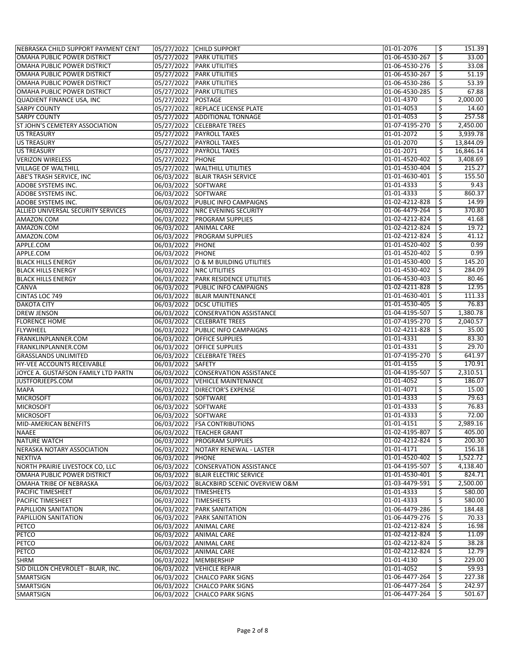| NEBRASKA CHILD SUPPORT PAYMENT CENT |                       | 05/27/2022 CHILD SUPPORT                  | 01-01-2076     | \$  | 151.39    |
|-------------------------------------|-----------------------|-------------------------------------------|----------------|-----|-----------|
| OMAHA PUBLIC POWER DISTRICT         |                       | 05/27/2022 PARK UTILITIES                 | 01-06-4530-267 | \$  | 33.00     |
| OMAHA PUBLIC POWER DISTRICT         |                       | 05/27/2022 PARK UTILITIES                 | 01-06-4530-276 |     | 33.08     |
|                                     |                       |                                           |                | \$  |           |
| OMAHA PUBLIC POWER DISTRICT         |                       | 05/27/2022 PARK UTILITIES                 | 01-06-4530-267 | \$  | 51.19     |
| OMAHA PUBLIC POWER DISTRICT         |                       | 05/27/2022 PARK UTILITIES                 | 01-06-4530-286 | \$  | 53.39     |
| OMAHA PUBLIC POWER DISTRICT         |                       | 05/27/2022 PARK UTILITIES                 | 01-06-4530-285 | \$  | 67.88     |
| QUADIENT FINANCE USA, INC           | 05/27/2022 POSTAGE    |                                           | 01-01-4370     | \$  | 2,000.00  |
| <b>SARPY COUNTY</b>                 |                       | 05/27/2022 REPLACE LICENSE PLATE          | 01-01-4053     | \$  | 14.60     |
| <b>SARPY COUNTY</b>                 |                       | 05/27/2022 ADDITIONAL TONNAGE             | 01-01-4053     | \$  | 257.58    |
| ST JOHN'S CEMETERY ASSOCIATION      |                       | 05/27/2022 CELEBRATE TREES                | 01-07-4195-270 | \$  | 2,450.00  |
| <b>US TREASURY</b>                  |                       | 05/27/2022 PAYROLL TAXES                  | 01-01-2072     | \$  | 3,939.78  |
| <b>US TREASURY</b>                  |                       | 05/27/2022 PAYROLL TAXES                  | 01-01-2070     | \$  | 13,844.09 |
| <b>US TREASURY</b>                  |                       | 05/27/2022 PAYROLL TAXES                  | 01-01-2071     | \$  | 16,846.14 |
|                                     |                       |                                           |                |     |           |
| <b>VERIZON WIRELESS</b>             | 05/27/2022 PHONE      |                                           | 01-01-4520-402 | \$  | 3,408.69  |
| <b>VILLAGE OF WALTHILL</b>          |                       | 05/27/2022 WALTHILL UTILITIES             | 01-01-4530-404 | \$  | 215.27    |
| <b>ABE'S TRASH SERVICE, INC</b>     |                       | 06/03/2022 BLAIR TRASH SERVICE            | 01-01-4630-401 | \$  | 155.50    |
| ADOBE SYSTEMS INC.                  | 06/03/2022 SOFTWARE   |                                           | 01-01-4333     | \$  | 9.43      |
| ADOBE SYSTEMS INC.                  | 06/03/2022 SOFTWARE   |                                           | 01-01-4333     | \$  | 860.37    |
| ADOBE SYSTEMS INC.                  |                       | 06/03/2022 PUBLIC INFO CAMPAIGNS          | 01-02-4212-828 | \$  | 14.99     |
| ALLIED UNIVERSAL SECURITY SERVICES  |                       | 06/03/2022 NRC EVENING SECURITY           | 01-06-4479-264 | \$  | 370.80    |
| AMAZON.COM                          |                       | 06/03/2022 PROGRAM SUPPLIES               | 01-02-4212-824 | \$  | 41.68     |
| AMAZON.COM                          |                       | 06/03/2022 ANIMAL CARE                    | 01-02-4212-824 | \$  | 19.72     |
|                                     |                       |                                           |                |     |           |
| AMAZON.COM                          |                       | 06/03/2022 PROGRAM SUPPLIES               | 01-02-4212-824 | \$  | 41.12     |
| APPLE.COM                           | 06/03/2022 PHONE      |                                           | 01-01-4520-402 | \$  | 0.99      |
| APPLE.COM                           | 06/03/2022 PHONE      |                                           | 01-01-4520-402 | \$  | 0.99      |
| <b>BLACK HILLS ENERGY</b>           |                       | 06/03/2022 O & M BUILDING UTILITIES       | 01-01-4530-400 | \$  | 145.20    |
| <b>BLACK HILLS ENERGY</b>           |                       | 06/03/2022 NRC UTILITIES                  | 01-01-4530-402 | \$  | 284.09    |
| <b>BLACK HILLS ENERGY</b>           |                       | 06/03/2022 PARK RESIDENCE UTILITIES       | 01-06-4530-403 | \$  | 80.46     |
| CANVA                               |                       | 06/03/2022 PUBLIC INFO CAMPAIGNS          | 01-02-4211-828 | \$  | 12.95     |
| CINTAS LOC 749                      |                       | 06/03/2022 BLAIR MAINTENANCE              | 01-01-4630-401 | \$  | 111.33    |
| <b>DAKOTA CITY</b>                  |                       | 06/03/2022   DCSC UTILITIES               | 01-01-4530-405 | \$  | 76.83     |
| <b>DREW JENSON</b>                  |                       | 06/03/2022 CONSERVATION ASSISTANCE        | 01-04-4195-507 | \$  | 1,380.78  |
|                                     |                       |                                           |                |     | 2,040.57  |
| <b>FLORENCE HOME</b>                |                       | 06/03/2022 CELEBRATE TREES                | 01-07-4195-270 | \$  |           |
| <b>FLYWHEEL</b>                     |                       | 06/03/2022 PUBLIC INFO CAMPAIGNS          | 01-02-4211-828 | \$  | 35.00     |
| FRANKLINPLANNER.COM                 |                       | 06/03/2022 OFFICE SUPPLIES                | 01-01-4331     | \$  | 83.30     |
| FRANKLINPLANNER.COM                 | 06/03/2022            | <b>OFFICE SUPPLIES</b>                    | 01-01-4331     | \$  | 29.70     |
| <b>GRASSLANDS UNLIMITED</b>         |                       | 06/03/2022 CELEBRATE TREES                | 01-07-4195-270 | \$  | 641.97    |
| <b>HY-VEE ACCOUNTS RECEIVABLE</b>   | 06/03/2022 SAFETY     |                                           | 01-01-4155     | \$  | 170.91    |
| JOYCE A. GUSTAFSON FAMILY LTD PARTN |                       | 06/03/2022 CONSERVATION ASSISTANCE        | 01-04-4195-507 | \$  | 2,310.51  |
| JUSTFORJEEPS.COM                    |                       | 06/03/2022 VEHICLE MAINTENANCE            | 01-01-4052     | \$  | 186.07    |
| <b>MAPA</b>                         |                       | 06/03/2022 DIRECTOR'S EXPENSE             | 01-01-4071     | \$  | 15.00     |
| <b>MICROSOFT</b>                    | 06/03/2022 SOFTWARE   |                                           | 01-01-4333     | \$  | 79.63     |
| <b>MICROSOFT</b>                    | 06/03/2022 SOFTWARE   |                                           | 01-01-4333     | \$  | 76.83     |
|                                     |                       |                                           |                |     |           |
| MICROSOFT                           | 06/03/2022 SOFTWARE   |                                           | 01-01-4333     |     | 72.00     |
| MID-AMERICAN BENEFITS               |                       | 06/03/2022 FSA CONTRIBUTIONS              | 01-01-4151     | \$  | 2,989.16  |
| <b>NAAEE</b>                        |                       | 06/03/2022   TEACHER GRANT                | 01-02-4195-807 | \$  | 405.00    |
| <b>NATURE WATCH</b>                 |                       | 06/03/2022 PROGRAM SUPPLIES               | 01-02-4212-824 | \$. | 200.30    |
| NERASKA NOTARY ASSOCIATION          |                       | 06/03/2022 NOTARY RENEWAL - LASTER        | 01-01-4171     | \$  | 156.18    |
| <b>NEXTIVA</b>                      | 06/03/2022 PHONE      |                                           | 01-01-4520-402 | \$  | 1,522.72  |
| NORTH PRAIRIE LIVESTOCK CO, LLC     |                       | 06/03/2022 CONSERVATION ASSISTANCE        | 01-04-4195-507 | \$  | 4,138.40  |
| OMAHA PUBLIC POWER DISTRICT         |                       | 06/03/2022 BLAIR ELECTRIC SERVICE         | 01-01-4530-401 | \$. | 824.71    |
| OMAHA TRIBE OF NEBRASKA             |                       | 06/03/2022  BLACKBIRD SCENIC OVERVIEW O&M | 01-03-4479-591 | \$  | 2,500.00  |
| <b>PACIFIC TIMESHEET</b>            | 06/03/2022 TIMESHEETS |                                           | 01-01-4333     | \$  | 580.00    |
|                                     |                       |                                           |                |     |           |
| PACIFIC TIMESHEET                   | 06/03/2022 TIMESHEETS |                                           | 01-01-4333     | \$  | 580.00    |
| <b>PAPILLION SANITATION</b>         |                       | 06/03/2022 PARK SANITATION                | 01-06-4479-286 | \$  | 184.48    |
| <b>PAPILLION SANITATION</b>         |                       | 06/03/2022 PARK SANITATION                | 01-06-4479-276 | \$. | 70.33     |
| <b>PETCO</b>                        |                       | 06/03/2022 ANIMAL CARE                    | 01-02-4212-824 | \$  | 16.98     |
| <b>PETCO</b>                        |                       | 06/03/2022 ANIMAL CARE                    | 01-02-4212-824 | s   | 11.09     |
| <b>PETCO</b>                        |                       | 06/03/2022 ANIMAL CARE                    | 01-02-4212-824 | \$  | 38.28     |
| <b>PETCO</b>                        |                       | 06/03/2022 ANIMAL CARE                    | 01-02-4212-824 | \$  | 12.79     |
| <b>SHRM</b>                         |                       | 06/03/2022 MEMBERSHIP                     | 01-01-4130     | \$  | 229.00    |
| SID DILLON CHEVROLET - BLAIR, INC.  |                       | 06/03/2022 VEHICLE REPAIR                 | 01-01-4052     | \$  | 59.93     |
| <b>SMARTSIGN</b>                    |                       | 06/03/2022 CHALCO PARK SIGNS              | 01-06-4477-264 | \$  | 227.38    |
|                                     |                       |                                           |                |     |           |
| <b>SMARTSIGN</b>                    |                       | 06/03/2022 CHALCO PARK SIGNS              | 01-06-4477-264 | \$  | 242.97    |
| <b>SMARTSIGN</b>                    | 06/03/2022            | <b>CHALCO PARK SIGNS</b>                  | 01-06-4477-264 | \$  | 501.67    |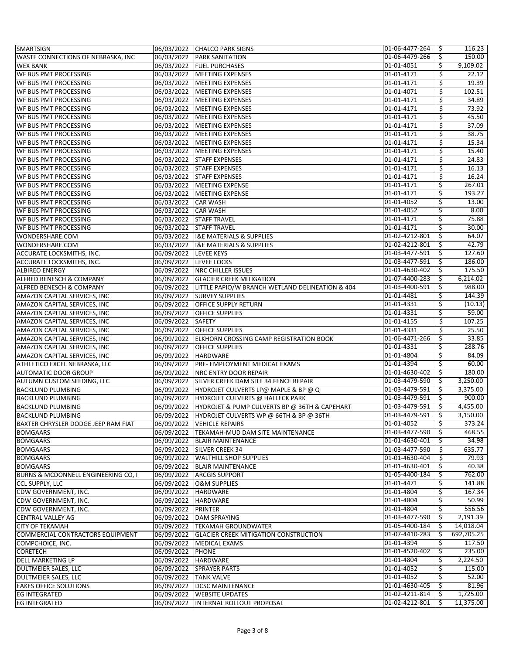| <b>SMARTSIGN</b>                                           |                       | 06/03/2022 CHALCO PARK SIGNS                               | 01-06-4477-264           | \$  | 116.23     |
|------------------------------------------------------------|-----------------------|------------------------------------------------------------|--------------------------|-----|------------|
| WASTE CONNECTIONS OF NEBRASKA, INC                         |                       | 06/03/2022 PARK SANITATION                                 | 01-06-4479-266           | \$  | 150.00     |
| <b>WEX BANK</b>                                            |                       | 06/03/2022 FUEL PURCHASES                                  | 01-01-4051               | \$  | 9,109.02   |
| <b>WF BUS PMT PROCESSING</b>                               |                       | 06/03/2022   MEETING EXPENSES                              | 01-01-4171               | \$  | 22.12      |
| WF BUS PMT PROCESSING                                      |                       | 06/03/2022 MEETING EXPENSES                                | 01-01-4171               | \$  | 19.39      |
| WF BUS PMT PROCESSING                                      |                       | 06/03/2022 MEETING EXPENSES                                | 01-01-4071               | \$  | 102.51     |
| WF BUS PMT PROCESSING                                      | 06/03/2022            | MEETING EXPENSES                                           | 01-01-4171               | \$  | 34.89      |
| WF BUS PMT PROCESSING                                      | 06/03/2022            | MEETING EXPENSES                                           | 01-01-4171               | \$  | 73.92      |
| WF BUS PMT PROCESSING                                      |                       | 06/03/2022 MEETING EXPENSES                                | 01-01-4171               | \$  | 45.50      |
| WF BUS PMT PROCESSING                                      |                       | 06/03/2022 MEETING EXPENSES                                | 01-01-4171               | \$  | 37.09      |
| WF BUS PMT PROCESSING                                      |                       | 06/03/2022 MEETING EXPENSES                                | 01-01-4171               | \$  | 38.75      |
| WF BUS PMT PROCESSING                                      |                       | 06/03/2022 MEETING EXPENSES                                | 01-01-4171               | \$  | 15.34      |
| <b>WF BUS PMT PROCESSING</b>                               |                       | 06/03/2022 MEETING EXPENSES                                | 01-01-4171               | \$  | 15.40      |
| WF BUS PMT PROCESSING                                      |                       | 06/03/2022 STAFF EXPENSES                                  | $\overline{01}$ -01-4171 | \$  | 24.83      |
| WF BUS PMT PROCESSING                                      |                       | 06/03/2022 STAFF EXPENSES                                  | 01-01-4171               | \$  | 16.13      |
| WF BUS PMT PROCESSING                                      |                       | 06/03/2022 STAFF EXPENSES                                  | 01-01-4171               | \$  | 16.24      |
| WF BUS PMT PROCESSING                                      |                       | 06/03/2022 MEETING EXPENSE                                 | 01-01-4171               | \$  | 267.01     |
| WF BUS PMT PROCESSING                                      |                       | 06/03/2022 MEETING EXPENSE                                 | $01 - 01 - 4171$         | \$  | 193.27     |
| WF BUS PMT PROCESSING                                      | 06/03/2022 CAR WASH   |                                                            | 01-01-4052               | \$  | 13.00      |
| WF BUS PMT PROCESSING                                      | 06/03/2022 CAR WASH   |                                                            | 01-01-4052               | \$  | 8.00       |
|                                                            |                       | 06/03/2022 STAFF TRAVEL                                    | 01-01-4171               | \$  | 75.88      |
| WF BUS PMT PROCESSING                                      | 06/03/2022            |                                                            |                          | \$  | 30.00      |
| WF BUS PMT PROCESSING                                      |                       | <b>STAFF TRAVEL</b>                                        | 01-01-4171               |     |            |
| WONDERSHARE.COM                                            |                       | 06/03/2022 I&E MATERIALS & SUPPLIES                        | 01-02-4212-801           | \$  | 64.07      |
| WONDERSHARE.COM                                            |                       | 06/03/2022   I&E MATERIALS & SUPPLIES                      | 01-02-4212-801           | \$  | 42.79      |
| ACCURATE LOCKSMITHS, INC.                                  | 06/09/2022 LEVEE KEYS |                                                            | 01-03-4477-591           | \$  | 127.60     |
| ACCURATE LOCKSMITHS, INC.                                  |                       | 06/09/2022 LEVEE LOCKS                                     | 01-03-4477-591           | \$  | 186.00     |
| <b>ALBIREO ENERGY</b>                                      |                       | 06/09/2022 NRC CHILLER ISSUES                              | 01-01-4630-402           | \$  | 175.50     |
| ALFRED BENESCH & COMPANY                                   |                       | 06/09/2022 GLACIER CREEK MITIGATION                        | 01-07-4400-283           | \$  | 6,214.02   |
| ALFRED BENESCH & COMPANY                                   |                       | 06/09/2022 LITTLE PAPIO/W BRANCH WETLAND DELINEATION & 404 | 01-03-4400-591           | \$, | 988.00     |
| AMAZON CAPITAL SERVICES, INC                               |                       | 06/09/2022 SURVEY SUPPLIES                                 | 01-01-4481               | \$  | 144.39     |
| AMAZON CAPITAL SERVICES, INC                               |                       | 06/09/2022 OFFICE SUPPLY RETURN                            | 01-01-4331               | \$  | (10.13)    |
| AMAZON CAPITAL SERVICES, INC                               | 06/09/2022            | <b>OFFICE SUPPLIES</b>                                     | 01-01-4331               | \$  | 59.00      |
| AMAZON CAPITAL SERVICES, INC                               | 06/09/2022            | <b>SAFETY</b>                                              | 01-01-4155               | \$  | 107.25     |
| AMAZON CAPITAL SERVICES, INC                               | 06/09/2022            | <b>OFFICE SUPPLIES</b>                                     | 01-01-4331               | \$  | 25.50      |
| AMAZON CAPITAL SERVICES, INC                               | 06/09/2022            | <b>ELKHORN CROSSING CAMP REGISTRATION BOOK</b>             | 01-06-4471-266           | \$  | 33.85      |
| AMAZON CAPITAL SERVICES, INC                               | 06/09/2022            | <b>OFFICE SUPPLIES</b>                                     | 01-01-4331               | \$. | 288.76     |
| AMAZON CAPITAL SERVICES, INC                               | 06/09/2022 HARDWARE   |                                                            | 01-01-4804               | \$  | 84.09      |
| ATHLETICO EXCEL NEBRASKA, LLC                              |                       | 06/09/2022 PRE- EMPLOYMENT MEDICAL EXAMS                   | 01-01-4394               | \$  | 60.00      |
| <b>AUTOMATIC DOOR GROUP</b>                                |                       | 06/09/2022 NRC ENTRY DOOR REPAIR                           | 01-01-4630-402           | \$  | 180.00     |
| AUTUMN CUSTOM SEEDING, LLC                                 | 06/09/2022            | SILVER CREEK DAM SITE 34 FENCE REPAIR                      | 01-03-4479-590           | \$  | 3,250.00   |
| <b>BACKLUND PLUMBING</b>                                   |                       | 06/09/2022 HYDROJET CULVERTS LP@ MAPLE & BP @ Q            | 01-03-4479-591           | \$  | 3,375.00   |
| <b>BACKLUND PLUMBING</b>                                   |                       | 06/09/2022   HYDROJET CULVERTS @ HALLECK PARK              | 01-03-4479-591           | \$  | 900.00     |
| <b>BACKLUND PLUMBING</b>                                   |                       | 06/09/2022 HYDROJET & PUMP CULVERTS BP @ 36TH & CAPEHART   | 01-03-4479-591           | \$  | 4,455.00   |
| BACKLUND PLUMBING                                          |                       | 06/09/2022 HYDROJET CULVERTS WP @ 66TH & BP @ 36TH         | 01-03-4479-591           | →   | 3,150.00   |
| BAXTER CHRYSLER DODGE JEEP RAM FIAT                        |                       | 06/09/2022 VEHICLE REPAIRS                                 | 01-01-4052               | \$  | 373.24     |
| <b>BOMGAARS</b>                                            |                       | 06/09/2022 TEKAMAH-MUD DAM SITE MAINTENANCE                | 01-03-4477-590           | Ŝ.  | 468.55     |
| <b>BOMGAARS</b>                                            |                       | 06/09/2022 BLAIR MAINTENANCE                               | 01-01-4630-401           | -Ş  | 34.98      |
| <b>BOMGAARS</b>                                            |                       | 06/09/2022 SILVER CREEK 34                                 | 01-03-4477-590           | \$  | 635.77     |
| <b>BOMGAARS</b>                                            |                       | 06/09/2022 WALTHILL SHOP SUPPLIES                          | 01-01-4630-404           | \$  | 79.93      |
| <b>BOMGAARS</b>                                            |                       | 06/09/2022 BLAIR MAINTENANCE                               | 01-01-4630-401           | Ŝ.  | 40.38      |
| BURNS & MCDONNELL ENGINEERING CO, I                        | 06/09/2022            | <b>ARCGIS SUPPORT</b>                                      | 01-05-4400-184           | \$  | 762.00     |
| <b>CCL SUPPLY, LLC</b>                                     |                       | 06/09/2022   O&M SUPPLIES                                  | 01-01-4471               | \$. | 141.88     |
| CDW GOVERNMENT, INC.                                       | 06/09/2022 HARDWARE   |                                                            | 01-01-4804               | \$  | 167.34     |
| CDW GOVERNMENT, INC.                                       | 06/09/2022 HARDWARE   |                                                            | 01-01-4804               | \$. | 50.99      |
| CDW GOVERNMENT, INC.                                       | 06/09/2022 PRINTER    |                                                            | 01-01-4804               | \$  | 556.56     |
| <b>CENTRAL VALLEY AG</b>                                   |                       | 06/09/2022 DAM SPRAYING                                    | 01-03-4477-590           | Ŝ   | 2,191.39   |
|                                                            |                       | 06/09/2022 TEKAMAH GROUNDWATER                             | 01-05-4400-184           | Ŝ.  | 14,018.04  |
| <b>CITY OF TEKAMAH</b><br>COMMERCIAL CONTRACTORS EQUIPMENT | 06/09/2022            | <b>GLACIER CREEK MITIGATION CONSTRUCTION</b>               | 01-07-4410-283           | \$. | 692,705.25 |
|                                                            |                       |                                                            |                          |     |            |
| COMPCHOICE, INC.                                           |                       | 06/09/2022   MEDICAL EXAMS                                 | 01-01-4394               | \$  | 117.50     |
| <b>CORETECH</b>                                            | 06/09/2022            | <b>PHONE</b>                                               | 01-01-4520-402           | \$  | 235.00     |
| <b>DELL MARKETING LP</b>                                   | 06/09/2022 HARDWARE   |                                                            | 01-01-4804               | \$  | 2,224.50   |
| DULTMEIER SALES, LLC                                       |                       | 06/09/2022 SPRAYER PARTS                                   | 01-01-4052               | \$  | 115.00     |
| DULTMEIER SALES, LLC                                       | 06/09/2022 TANK VALVE |                                                            | 01-01-4052               | Ŝ   | 52.00      |
| <b>EAKES OFFICE SOLUTIONS</b>                              |                       | 06/09/2022   DCSC MAINTENANCE                              | 01-01-4630-405           | -S  | 81.96      |
| <b>EG INTEGRATED</b>                                       | 06/09/2022            | <b>WEBSITE UPDATES</b>                                     | 01-02-4211-814           | \$  | 1,725.00   |
| <b>EG INTEGRATED</b>                                       | 06/09/2022            | <b>INTERNAL ROLLOUT PROPOSAL</b>                           | 01-02-4212-801           |     | 11,375.00  |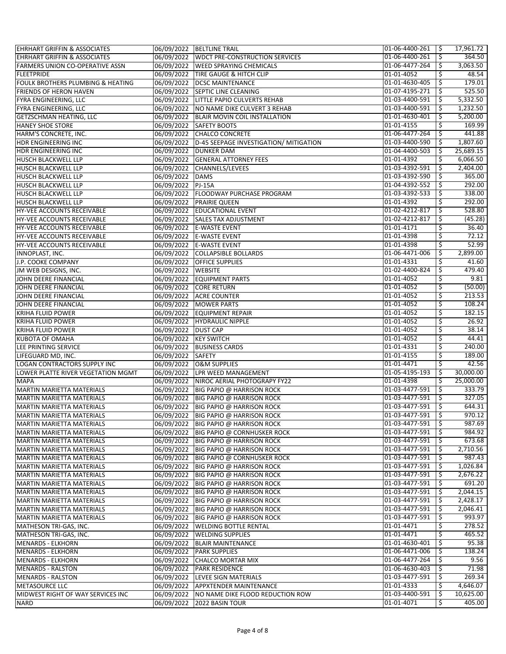| <b>EHRHART GRIFFIN &amp; ASSOCIATES</b> |                       | 06/09/2022 BELTLINE TRAIL                         | 01-06-4400-261 | -\$ | 17,961.72 |
|-----------------------------------------|-----------------------|---------------------------------------------------|----------------|-----|-----------|
| <b>EHRHART GRIFFIN &amp; ASSOCIATES</b> |                       | 06/09/2022 WDCT PRE-CONSTRUCTION SERVICES         | 01-06-4400-261 | \$  | 364.50    |
| <b>FARMERS UNION CO-OPERATIVE ASSN</b>  |                       | 06/09/2022 WEED SPRAYING CHEMICALS                | 01-06-4477-264 | \$  | 3,063.50  |
| <b>FLEETPRIDE</b>                       |                       | 06/09/2022 TIRE GAUGE & HITCH CLIP                | 01-01-4052     | \$  | 48.54     |
| FOULK BROTHERS PLUMBING & HEATING       |                       | 06/09/2022 DCSC MAINTENANCE                       | 01-01-4630-405 | \$  | 179.01    |
| <b>FRIENDS OF HERON HAVEN</b>           |                       | 06/09/2022 SEPTIC LINE CLEANING                   | 01-07-4195-271 | \$  | 525.50    |
| FYRA ENGINEERING, LLC                   |                       | 06/09/2022 LITTLE PAPIO CULVERTS REHAB            | 01-03-4400-591 | \$  | 5,332.50  |
| FYRA ENGINEERING, LLC                   |                       | 06/09/2022   NO NAME DIKE CULVERT 3 REHAB         | 01-03-4400-591 | \$  | 1,232.50  |
| GETZSCHMAN HEATING, LLC                 |                       | 06/09/2022 BLAIR MOVIN COIL INSTALLATION          | 01-01-4630-401 | \$  | 5,200.00  |
| <b>HANEY SHOE STORE</b>                 |                       | 06/09/2022 SAFETY BOOTS                           | 01-01-4155     | \$  | 169.99    |
| HARM'S CONCRETE, INC.                   |                       | 06/09/2022 CHALCO CONCRETE                        | 01-06-4477-264 | \$. | 441.88    |
| HDR ENGINEERING INC                     |                       | 06/09/2022 D-45 SEEPAGE INVESTIGATION/ MITIGATION | 01-03-4400-590 | \$  | 1,807.60  |
| HDR ENGINEERING INC                     |                       | 06/09/2022 DUNKER DAM                             | 01-04-4400-503 | \$  | 25,689.15 |
| <b>HUSCH BLACKWELL LLP</b>              |                       | 06/09/2022 GENERAL ATTORNEY FEES                  | 01-01-4392     | \$  | 6,066.50  |
| <b>HUSCH BLACKWELL LLP</b>              |                       | 06/09/2022 CHANNELS/LEVEES                        | 01-03-4392-591 | \$  | 2,404.00  |
| <b>HUSCH BLACKWELL LLP</b>              | 06/09/2022 DAMS       |                                                   | 01-03-4392-590 | \$  | 365.00    |
|                                         |                       |                                                   | 01-04-4392-552 | \$  | 292.00    |
| <b>HUSCH BLACKWELL LLP</b>              | 06/09/2022 PJ-15A     |                                                   | 01-03-4392-533 |     | 338.00    |
| <b>HUSCH BLACKWELL LLP</b>              |                       | 06/09/2022 FLOODWAY PURCHASE PROGRAM              | 01-01-4392     | \$  | 292.00    |
| <b>HUSCH BLACKWELL LLP</b>              |                       | 06/09/2022 PRAIRIE QUEEN                          |                | \$  |           |
| HY-VEE ACCOUNTS RECEIVABLE              |                       | 06/09/2022 EDUCATIONAL EVENT                      | 01-02-4212-817 | \$  | 528.80    |
| <b>HY-VEE ACCOUNTS RECEIVABLE</b>       |                       | 06/09/2022 SALES TAX ADJUSTMENT                   | 01-02-4212-817 | \$  | (45.28)   |
| HY-VEE ACCOUNTS RECEIVABLE              |                       | 06/09/2022 E-WASTE EVENT                          | 01-01-4171     | \$  | 36.40     |
| <b>HY-VEE ACCOUNTS RECEIVABLE</b>       |                       | 06/09/2022 E-WASTE EVENT                          | 01-01-4398     | \$  | 72.12     |
| HY-VEE ACCOUNTS RECEIVABLE              |                       | 06/09/2022 E-WASTE EVENT                          | 01-01-4398     | \$  | 52.99     |
| INNOPLAST, INC.                         |                       | 06/09/2022 COLLAPSIBLE BOLLARDS                   | 01-06-4471-006 | \$  | 2,899.00  |
| J.P. COOKE COMPANY                      |                       | 06/09/2022 OFFICE SUPPLIES                        | 01-01-4331     | \$  | 41.60     |
| JM WEB DESIGNS, INC.                    | 06/09/2022 WEBSITE    |                                                   | 01-02-4400-824 | \$  | 479.40    |
| JOHN DEERE FINANCIAL                    |                       | 06/09/2022 EQUIPMENT PARTS                        | 01-01-4052     | \$  | 9.81      |
| JOHN DEERE FINANCIAL                    |                       | 06/09/2022 CORE RETURN                            | 01-01-4052     | \$  | (50.00)   |
| JOHN DEERE FINANCIAL                    |                       | 06/09/2022 ACRE COUNTER                           | 01-01-4052     | \$  | 213.53    |
| JOHN DEERE FINANCIAL                    |                       | 06/09/2022 MOWER PARTS                            | 01-01-4052     | \$  | 108.24    |
| <b>KRIHA FLUID POWER</b>                |                       | 06/09/2022 EQUIPMENT REPAIR                       | 01-01-4052     | \$  | 182.15    |
| <b>KRIHA FLUID POWER</b>                |                       | 06/09/2022 HYDRAULIC NIPPLE                       | 01-01-4052     | \$  | 26.92     |
| <b>KRIHA FLUID POWER</b>                | 06/09/2022 DUST CAP   |                                                   | 01-01-4052     | \$  | 38.14     |
| KUBOTA OF OMAHA                         | 06/09/2022 KEY SWITCH |                                                   | 01-01-4052     | \$  | 44.41     |
| LEE PRINTING SERVICE                    |                       | 06/09/2022 BUSINESS CARDS                         | 01-01-4331     | \$  | 240.00    |
| LIFEGUARD MD, INC.                      | 06/09/2022 SAFETY     |                                                   | 01-01-4155     | \$  | 189.00    |
| <b>LOGAN CONTRACTORS SUPPLY INC</b>     |                       | 06/09/2022 O&M SUPPLIES                           | 01-01-4471     | \$  | 42.56     |
| LOWER PLATTE RIVER VEGETATION MGMT      |                       | 06/09/2022 LPR WEED MANAGEMENT                    | 01-05-4195-193 | \$  | 30,000.00 |
| <b>MAPA</b>                             |                       | 06/09/2022   NIROC AERIAL PHOTOGRAPY FY22         | 01-01-4398     | \$  | 25,000.00 |
| <b>MARTIN MARIETTA MATERIALS</b>        |                       | 06/09/2022 BIG PAPIO @ HARRISON ROCK              | 01-03-4477-591 | \$  | 333.79    |
| <b>MARTIN MARIETTA MATERIALS</b>        |                       | 06/09/2022 BIG PAPIO @ HARRISON ROCK              | 01-03-4477-591 | \$  | 327.05    |
| <b>MARTIN MARIETTA MATERIALS</b>        |                       | 06/09/2022 BIG PAPIO @ HARRISON ROCK              | 01-03-4477-591 | \$  | 644.31    |
| MARTIN MARIETTA MATERIALS               |                       | 06/09/2022 BIG PAPIO @ HARRISON ROCK              | 01-03-4477-591 | ∍   | 970.12    |
| MARTIN MARIETTA MATERIALS               |                       | 06/09/2022 BIG PAPIO @ HARRISON ROCK              | 01-03-4477-591 | \$  | 987.69    |
| <b>MARTIN MARIETTA MATERIALS</b>        |                       | 06/09/2022 BIG PAPIO @ CORNHUSKER ROCK            | 01-03-4477-591 | -S  | 984.92    |
| MARTIN MARIETTA MATERIALS               |                       | 06/09/2022 BIG PAPIO @ HARRISON ROCK              | 01-03-4477-591 | \$, | 673.68    |
| <b>MARTIN MARIETTA MATERIALS</b>        |                       | 06/09/2022 BIG PAPIO @ HARRISON ROCK              | 01-03-4477-591 | \$  | 2,710.56  |
| <b>MARTIN MARIETTA MATERIALS</b>        |                       | 06/09/2022 BIG PAPIO @ CORNHUSKER ROCK            | 01-03-4477-591 | -\$ | 987.43    |
| MARTIN MARIETTA MATERIALS               |                       | 06/09/2022 BIG PAPIO @ HARRISON ROCK              | 01-03-4477-591 | \$  | 1,026.84  |
| MARTIN MARIETTA MATERIALS               |                       | 06/09/2022 BIG PAPIO @ HARRISON ROCK              | 01-03-4477-591 | \$  | 2,676.22  |
| <b>MARTIN MARIETTA MATERIALS</b>        |                       | 06/09/2022 BIG PAPIO @ HARRISON ROCK              | 01-03-4477-591 | \$  | 691.20    |
| <b>MARTIN MARIETTA MATERIALS</b>        |                       | 06/09/2022 BIG PAPIO @ HARRISON ROCK              | 01-03-4477-591 | Ŝ.  | 2,044.15  |
|                                         |                       |                                                   | 01-03-4477-591 |     | 2,428.17  |
| MARTIN MARIETTA MATERIALS               |                       | 06/09/2022 BIG PAPIO @ HARRISON ROCK              |                | -\$ |           |
| MARTIN MARIETTA MATERIALS               |                       | 06/09/2022 BIG PAPIO @ HARRISON ROCK              | 01-03-4477-591 | \$  | 2,046.41  |
| <b>MARTIN MARIETTA MATERIALS</b>        |                       | 06/09/2022 BIG PAPIO @ HARRISON ROCK              | 01-03-4477-591 | \$  | 993.97    |
| MATHESON TRI-GAS, INC.                  | 06/09/2022            | <b>WELDING BOTTLE RENTAL</b>                      | 01-01-4471     | \$  | 278.52    |
| MATHESON TRI-GAS, INC.                  | 06/09/2022            | <b>WELDING SUPPLIES</b>                           | 01-01-4471     | \$  | 465.52    |
| MENARDS - ELKHORN                       |                       | 06/09/2022 BLAIR MAINTENANCE                      | 01-01-4630-401 | \$  | 95.38     |
| MENARDS - ELKHORN                       |                       | 06/09/2022 PARK SUPPLIES                          | 01-06-4471-006 | \$  | 138.24    |
| MENARDS - ELKHORN                       | 06/09/2022            | <b>CHALCO MORTAR MIX</b>                          | 01-06-4477-264 | \$  | 9.56      |
| <b>MENARDS - RALSTON</b>                |                       | 06/09/2022 PARK RESIDENCE                         | 01-06-4630-403 | -\$ | 71.98     |
| <b>MENARDS - RALSTON</b>                |                       | 06/09/2022 LEVEE SIGN MATERIALS                   | 01-03-4477-591 | \$  | 269.34    |
| <b>METASOURCE LLC</b>                   |                       | 06/09/2022 APPXTENDER MAINTENANCE                 | 01-01-4333     | \$. | 4,646.07  |
| MIDWEST RIGHT OF WAY SERVICES INC       |                       | 06/09/2022   NO NAME DIKE FLOOD REDUCTION ROW     | 01-03-4400-591 | \$  | 10,625.00 |
| <b>NARD</b>                             | 06/09/2022            | 2022 BASIN TOUR                                   | 01-01-4071     | \$  | 405.00    |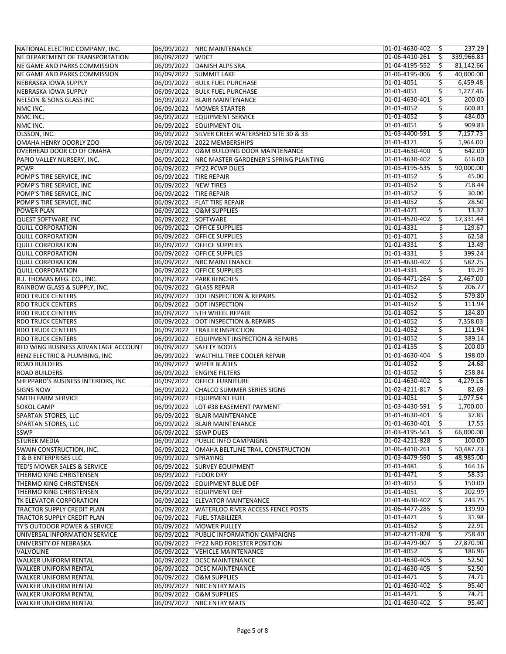| NATIONAL ELECTRIC COMPANY, INC.                               |                        | 06/09/2022 NRC MAINTENANCE                                         | 01-01-4630-402 | l Ş | 237.29     |
|---------------------------------------------------------------|------------------------|--------------------------------------------------------------------|----------------|-----|------------|
| NE DEPARTMENT OF TRANSPORTATION                               | 06/09/2022 WDCT        |                                                                    | 01-06-4410-261 | \$  | 339,966.83 |
| NE GAME AND PARKS COMMISSION                                  |                        | 06/09/2022 DANISH ALPS SRA                                         | 01-04-4195-552 | \$  | 81,142.66  |
| NE GAME AND PARKS COMMISSION                                  |                        | 06/09/2022 SUMMIT LAKE                                             | 01-06-4195-006 | \$  | 40,000.00  |
| NEBRASKA IOWA SUPPLY                                          |                        | 06/09/2022 BULK FUEL PURCHASE                                      | 01-01-4051     | \$  | 6,459.48   |
| NEBRASKA IOWA SUPPLY                                          |                        | 06/09/2022 BULK FUEL PURCHASE                                      | 01-01-4051     | \$  | 1,277.46   |
| <b>NELSON &amp; SONS GLASS INC</b>                            |                        | 06/09/2022 BLAIR MAINTENANCE                                       | 01-01-4630-401 | \$  | 200.00     |
| NMC INC.                                                      |                        | 06/09/2022   MOWER STARTER                                         | 01-01-4052     | \$  | 600.81     |
| NMC INC.                                                      |                        | 06/09/2022 EQUIPMENT SERVICE                                       | 01-01-4052     | \$  | 484.00     |
| NMC INC.                                                      |                        | 06/09/2022 EQUIPMENT OIL                                           | 01-01-4051     | \$  | 909.83     |
| OLSSON, INC.                                                  |                        | 06/09/2022 SILVER CREEK WATERSHED SITE 30 & 33                     | 01-03-4400-591 | -Ş  | 7,157.73   |
| OMAHA HENRY DOORLY ZOO                                        |                        | 06/09/2022 2022 MEMBERSHIPS                                        | 01-01-4171     | -\$ | 1,964.00   |
| OVERHEAD DOOR CO OF OMAHA                                     |                        | 06/09/2022 O&M BUILDING DOOR MAINTENANCE                           | 01-01-4630-400 | \$  | 642.00     |
| PAPIO VALLEY NURSERY, INC.                                    |                        | 06/09/2022 NRC MASTER GARDENER'S SPRING PLANTING                   | 01-01-4630-402 | Ŝ.  | 616.00     |
| <b>PCWP</b>                                                   |                        | 06/09/2022   FY22 PCWP DUES                                        | 01-03-4195-535 | \$  | 90,000.00  |
| POMP'S TIRE SERVICE, INC                                      | 06/09/2022 TIRE REPAIR |                                                                    | 01-01-4052     | \$  | 45.00      |
| POMP'S TIRE SERVICE, INC                                      | 06/09/2022 NEW TIRES   |                                                                    | 01-01-4052     |     | 718.44     |
| POMP'S TIRE SERVICE, INC                                      | 06/09/2022 TIRE REPAIR |                                                                    | 01-01-4052     | \$  | 30.00      |
| POMP'S TIRE SERVICE, INC                                      |                        | 06/09/2022   FLAT TIRE REPAIR                                      | 01-01-4052     | \$  | 28.50      |
| <b>POWER PLAN</b>                                             |                        | 06/09/2022 O&M SUPPLIES                                            | 01-01-4471     | -\$ | 13.37      |
| <b>QUEST SOFTWARE INC</b>                                     |                        |                                                                    | 01-01-4520-402 | -\$ | 17,331.44  |
|                                                               | 06/09/2022 SOFTWARE    | 06/09/2022 OFFICE SUPPLIES                                         |                |     | 129.67     |
| <b>QUILL CORPORATION</b>                                      |                        |                                                                    | 01-01-4331     | \$  |            |
| <b>QUILL CORPORATION</b>                                      |                        | 06/09/2022 OFFICE SUPPLIES                                         | 01-01-4071     | \$  | 62.58      |
| <b>QUILL CORPORATION</b>                                      |                        | 06/09/2022 OFFICE SUPPLIES                                         | 01-01-4331     | Ś   | 13.49      |
| <b>QUILL CORPORATION</b>                                      |                        | 06/09/2022 OFFICE SUPPLIES                                         | 01-01-4331     | \$  | 399.24     |
| <b>QUILL CORPORATION</b>                                      |                        | 06/09/2022 NRC MAINTENANCE                                         | 01-01-4630-402 | \$  | 582.25     |
| <b>QUILL CORPORATION</b>                                      |                        | 06/09/2022 OFFICE SUPPLIES                                         | 01-01-4331     | -\$ | 19.29      |
| R.J. THOMAS MFG. CO., INC.                                    |                        | 06/09/2022 PARK BENCHES                                            | 01-06-4471-264 | \$  | 2,467.00   |
| RAINBOW GLASS & SUPPLY, INC.                                  |                        | 06/09/2022 GLASS REPAIR                                            | 01-01-4052     | \$  | 206.77     |
| <b>RDO TRUCK CENTERS</b>                                      |                        | 06/09/2022 DOT INSPECTION & REPAIRS                                | 01-01-4052     | \$  | 579.80     |
| <b>RDO TRUCK CENTERS</b>                                      |                        | 06/09/2022 DOT INSPECTION                                          | 01-01-4052     | \$  | 111.94     |
| <b>RDO TRUCK CENTERS</b>                                      |                        | 06/09/2022 5TH WHEEL REPAIR                                        | 01-01-4052     | \$  | 184.80     |
| <b>RDO TRUCK CENTERS</b>                                      |                        | 06/09/2022   DOT INSPECTION & REPAIRS                              | 01-01-4052     | \$  | 7,358.03   |
| <b>RDO TRUCK CENTERS</b>                                      |                        | 06/09/2022 TRAILER INSPECTION                                      | 01-01-4052     | \$  | 111.94     |
| <b>RDO TRUCK CENTERS</b>                                      |                        | 06/09/2022 EQUIPMENT INSPECTION & REPAIRS                          | 01-01-4052     | \$  | 389.14     |
| RED WING BUSINESS ADVANTAGE ACCOUNT                           |                        | 06/09/2022 SAFETY BOOTS                                            | 01-01-4155     | -Ş  | 200.00     |
| <b>RENZ ELECTRIC &amp; PLUMBING, INC</b>                      |                        | 06/09/2022 WALTHILL TREE COOLER REPAIR                             | 01-01-4630-404 | -\$ | 198.00     |
| <b>ROAD BUILDERS</b>                                          |                        | 06/09/2022 WIPER BLADES                                            | 01-01-4052     | \$  | 24.68      |
| <b>ROAD BUILDERS</b>                                          |                        | 06/09/2022 ENGINE FILTERS                                          | 01-01-4052     | \$  | 258.84     |
| SHEPPARD'S BUSINESS INTERIORS, INC                            |                        | 06/09/2022 OFFICE FURNITURE                                        | 01-01-4630-402 | \$  | 4,279.16   |
| <b>SIGNS NOW</b>                                              |                        | 06/09/2022 CHALCO SUMMER SERIES SIGNS                              | 01-02-4211-817 | \$  | 82.69      |
| <b>SMITH FARM SERVICE</b>                                     | 06/09/2022             | <b>EQUIPMENT FUEL</b>                                              | 01-01-4051     | \$  | 1,977.54   |
| <b>SOKOL CAMP</b>                                             |                        | 06/09/2022 LOT #38 EASEMENT PAYMENT                                | 01-03-4430-591 | \$  | 1,700.00   |
| SPARTAN STORES, LLC                                           |                        | 06/09/2022 BLAIR MAINTENANCE                                       | 01-01-4630-401 | ١Ş  | 37.85      |
| <b>SPARTAN STORES, LLC</b>                                    |                        | 06/09/2022 BLAIR MAINTENANCE                                       | 01-01-4630-401 | \$  | 17.55      |
| <b>SSWP</b>                                                   | 06/09/2022 SSWP DUES   |                                                                    | 01-03-4195-561 | -S  | 66,000.00  |
| <b>STUREK MEDIA</b>                                           |                        | 06/09/2022 PUBLIC INFO CAMPAIGNS                                   | 01-02-4211-828 | -\$ | 100.00     |
| <b>SWAIN CONSTRUCTION, INC.</b>                               |                        | 06/09/2022 OMAHA BELTLINE TRAIL CONSTRUCTION                       | 01-06-4410-261 | S   | 50,487.73  |
| <b>T &amp; B ENTERPRISES LLC</b>                              | 06/09/2022 SPRAYING    |                                                                    | 01-03-4479-590 | -\$ | 48,985.00  |
| TED'S MOWER SALES & SERVICE                                   |                        | 06/09/2022 SURVEY EQUIPMENT                                        | 01-01-4481     | S   | 164.16     |
| THERMO KING CHRISTENSEN                                       | 06/09/2022 FLOOR DRY   |                                                                    | 01-01-4471     | \$  | 58.35      |
| THERMO KING CHRISTENSEN                                       |                        | 06/09/2022 EQUIPMENT BLUE DEF                                      | 01-01-4051     | \$  | 150.00     |
| THERMO KING CHRISTENSEN                                       |                        | 06/09/2022 EQUIPMENT DEF                                           | 01-01-4051     | \$  | 202.99     |
| TK ELEVATOR CORPORATION                                       |                        | 06/09/2022 ELEVATOR MAINTENANCE                                    | 01-01-4630-402 | -\$ | 243.75     |
| TRACTOR SUPPLY CREDIT PLAN                                    |                        | 06/09/2022 WATERLOO RIVER ACCESS FENCE POSTS                       | 01-06-4477-285 | Ŝ.  | 139.90     |
| TRACTOR SUPPLY CREDIT PLAN                                    |                        | 06/09/2022   FUEL STABILIZER                                       | 01-01-4471     | S   | 31.98      |
|                                                               |                        |                                                                    | 01-01-4052     | \$  | 22.91      |
| TY'S OUTDOOR POWER & SERVICE<br>UNIVERSAL INFORMATION SERVICE |                        | 06/09/2022 MOWER PULLEY<br>06/09/2022 PUBLIC INFORMATION CAMPAIGNS | 01-02-4211-828 | -\$ | 758.40     |
|                                                               |                        |                                                                    |                |     |            |
| UNIVERSITY OF NEBRASKA                                        |                        | 06/09/2022   FY22 NRD FORESTER POSITION                            | 01-07-4479-007 | -\$ | 27,870.90  |
| VALVOLINE                                                     |                        | 06/09/2022 VEHICLE MAINTENANCE                                     | 01-01-4052     | .s  | 186.96     |
| WALKER UNIFORM RENTAL                                         |                        | 06/09/2022   DCSC MAINTENANCE                                      | 01-01-4630-405 | \$  | 52.50      |
| <b>WALKER UNIFORM RENTAL</b>                                  |                        | 06/09/2022   DCSC MAINTENANCE                                      | 01-01-4630-405 | -\$ | 52.50      |
| <b>WALKER UNIFORM RENTAL</b>                                  |                        | 06/09/2022 O&M SUPPLIES                                            | 01-01-4471     |     | 74.71      |
| WALKER UNIFORM RENTAL                                         |                        | 06/09/2022   NRC ENTRY MATS                                        | 01-01-4630-402 | -\$ | 95.40      |
| <b>WALKER UNIFORM RENTAL</b>                                  | 06/09/2022             | <b>O&amp;M SUPPLIES</b>                                            | 01-01-4471     | \$. | 74.71      |
| <b>WALKER UNIFORM RENTAL</b>                                  |                        | 06/09/2022 NRC ENTRY MATS                                          | 01-01-4630-402 | \$  | 95.40      |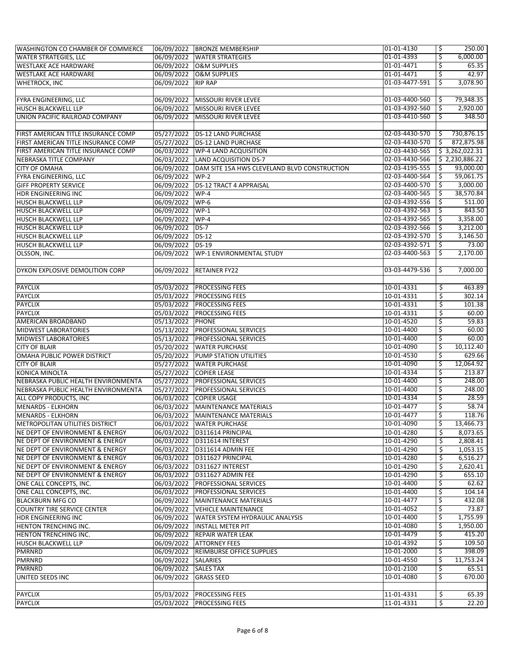| <b>WASHINGTON CO CHAMBER OF COMMERCE</b>   |                      | 06/09/2022 BRONZE MEMBERSHIP                 | 01-01-4130     | 250.00<br>\$      |
|--------------------------------------------|----------------------|----------------------------------------------|----------------|-------------------|
| <b>WATER STRATEGIES, LLC</b>               | 06/09/2022           | <b>WATER STRATEGIES</b>                      | 01-01-4393     | \$<br>6,000.00    |
| <b>WESTLAKE ACE HARDWARE</b>               |                      | 06/09/2022 O&M SUPPLIES                      | 01-01-4471     | \$<br>65.35       |
| <b>WESTLAKE ACE HARDWARE</b>               |                      | 06/09/2022 O&M SUPPLIES                      | 01-01-4471     | 42.97<br>\$       |
| <b>WHETROCK, INC</b>                       | 06/09/2022           | <b>RIP RAP</b>                               | 01-03-4477-591 | 3,078.90<br>\$    |
|                                            |                      |                                              |                |                   |
| FYRA ENGINEERING, LLC                      |                      | 06/09/2022 MISSOURI RIVER LEVEE              | 01-03-4400-560 | 79,348.35<br>-\$  |
| HUSCH BLACKWELL LLP                        |                      | 06/09/2022 MISSOURI RIVER LEVEE              | 01-03-4392-560 | 2,920.00<br>\$    |
| UNION PACIFIC RAILROAD COMPANY             |                      | 06/09/2022 MISSOURI RIVER LEVEE              | 01-03-4410-560 | 348.50<br>S       |
|                                            |                      |                                              |                |                   |
| FIRST AMERICAN TITLE INSURANCE COMP        | 05/27/2022           | <b>DS-12 LAND PURCHASE</b>                   | 02-03-4430-570 | 730,876.15<br>\$. |
| FIRST AMERICAN TITLE INSURANCE COMP        |                      | 05/27/2022 DS-12 LAND PURCHASE               | 02-03-4430-570 | \$<br>872,875.98  |
| FIRST AMERICAN TITLE INSURANCE COMP        | 06/03/2022           | WP-4 LAND ACQUISITION                        | 02-03-4430-565 | \$3,262,022.31    |
| NEBRASKA TITLE COMPANY                     |                      | 06/03/2022 LAND ACQUISITION DS-7             | 02-03-4430-566 | \$2,230,886.22    |
| <b>CITY OF OMAHA</b>                       | 06/09/2022           | DAM SITE 15A HWS CLEVELAND BLVD CONSTRUCTION | 02-03-4195-555 | 93,000.00<br>\$   |
| FYRA ENGINEERING, LLC                      | 06/09/2022           | $WP-2$                                       | 02-03-4400-564 | 59,061.75<br>\$   |
| <b>GIFF PROPERTY SERVICE</b>               | 06/09/2022           | <b>DS-12 TRACT 4 APPRAISAL</b>               | 02-03-4400-570 | 3,000.00<br>\$    |
| HDR ENGINEERING INC                        | 06/09/2022           | WP-4                                         | 02-03-4400-565 | 38,570.84<br>\$,  |
| HUSCH BLACKWELL LLP                        | 06/09/2022           | $WP-6$                                       | 02-03-4392-556 | \$<br>511.00      |
| <b>HUSCH BLACKWELL LLP</b>                 | 06/09/2022           | $WP-1$                                       | 02-03-4392-563 | 843.50<br>\$      |
| HUSCH BLACKWELL LLP                        | 06/09/2022           | $WP-4$                                       | 02-03-4392-565 | 3,358.00<br>\$    |
| HUSCH BLACKWELL LLP                        | 06/09/2022           | $DS-7$                                       | 02-03-4392-566 | 3,212.00<br>\$    |
| <b>HUSCH BLACKWELL LLP</b>                 | 06/09/2022           | <b>DS-12</b>                                 | 02-03-4392-570 | 3,146.50<br>\$    |
| <b>HUSCH BLACKWELL LLP</b>                 | 06/09/2022           | $DS-19$                                      | 02-03-4392-571 | 73.00<br>\$       |
| OLSSON, INC.                               | 06/09/2022           | WP-1 ENVIRONMENTAL STUDY                     | 02-03-4400-563 | 2,170.00<br>\$.   |
|                                            |                      |                                              |                |                   |
| DYKON EXPLOSIVE DEMOLITION CORP            |                      | 06/09/2022 RETAINER FY22                     | 03-03-4479-536 | 7,000.00<br>\$.   |
|                                            |                      |                                              |                |                   |
| <b>PAYCLIX</b>                             |                      | 05/03/2022 PROCESSING FEES                   | 10-01-4331     | 463.89<br>\$.     |
| <b>PAYCLIX</b>                             |                      | 05/03/2022 PROCESSING FEES                   | 10-01-4331     | \$<br>302.14      |
| <b>PAYCLIX</b>                             | 05/03/2022           | <b>PROCESSING FEES</b>                       | 10-01-4331     | \$<br>101.38      |
| <b>PAYCLIX</b>                             | 05/03/2022           | <b>PROCESSING FEES</b>                       | 10-01-4331     | \$<br>60.00       |
| AMERICAN BROADBAND                         | 05/13/2022           | <b>PHONE</b>                                 | 10-01-4520     | 59.83<br>\$       |
| <b>MIDWEST LABORATORIES</b>                |                      | 05/13/2022 PROFESSIONAL SERVICES             | 10-01-4400     | 60.00<br>\$       |
| <b>MIDWEST LABORATORIES</b>                | 05/13/2022           | <b>PROFESSIONAL SERVICES</b>                 | 10-01-4400     | \$<br>60.00       |
| <b>CITY OF BLAIR</b>                       | 05/20/2022           | <b>WATER PURCHASE</b>                        | 10-01-4090     | 10,112.40<br>\$   |
| OMAHA PUBLIC POWER DISTRICT                | 05/20/2022           | <b>PUMP STATION UTILITIES</b>                | 10-01-4530     | \$<br>629.66      |
| <b>CITY OF BLAIR</b>                       | 05/27/2022           | <b>WATER PURCHASE</b>                        | 10-01-4090     | \$<br>12,064.92   |
| KONICA MINOLTA                             | 05/27/2022           | <b>COPIER LEASE</b>                          | 10-01-4334     | \$<br>213.87      |
| NEBRASKA PUBLIC HEALTH ENVIRONMENTA        | 05/27/2022           | <b>PROFESSIONAL SERVICES</b>                 | 10-01-4400     | 248.00<br>\$      |
| NEBRASKA PUBLIC HEALTH ENVIRONMENTA        |                      | 05/27/2022 PROFESSIONAL SERVICES             | 10-01-4400     | 248.00<br>\$      |
| ALL COPY PRODUCTS, INC                     | 06/03/2022           | <b>COPIER USAGE</b>                          | 10-01-4334     | \$<br>28.59       |
| <b>MENARDS - ELKHORN</b>                   | 06/03/2022           | MAINTENANCE MATERIALS                        | 10-01-4477     | 58.74<br>\$       |
| <b>MENARDS - ELKHORN</b>                   |                      | 06/03/2022   MAINTENANCE MATERIALS           | 10-01-4477     | 118.76<br>₹       |
| METROPOLITAN UTILITIES DISTRICT            |                      | 06/03/2022   WATER PURCHASE                  | 10-01-4090     | \$<br>13,466.73   |
| <b>NE DEPT OF ENVIRONMENT &amp; ENERGY</b> |                      | 06/03/2022 D311614 PRINCIPAL                 | 10-01-4280     | \$<br>8,073.65    |
| NE DEPT OF ENVIRONMENT & ENERGY            |                      | 06/03/2022 D311614 INTEREST                  | 10-01-4290     | \$<br>2,808.41    |
| NE DEPT OF ENVIRONMENT & ENERGY            |                      | 06/03/2022 D311614 ADMIN FEE                 | 10-01-4290     | \$<br>1,053.15    |
| NE DEPT OF ENVIRONMENT & ENERGY            |                      | 06/03/2022 D311627 PRINCIPAL                 | 10-01-4280     | \$<br>6,516.27    |
| NE DEPT OF ENVIRONMENT & ENERGY            |                      | 06/03/2022 D311627 INTEREST                  | 10-01-4290     | \$<br>2,620.41    |
| NE DEPT OF ENVIRONMENT & ENERGY            |                      | 06/03/2022 D311627 ADMIN FEE                 | 10-01-4290     | \$<br>655.10      |
| ONE CALL CONCEPTS, INC.                    |                      | 06/03/2022   PROFESSIONAL SERVICES           | 10-01-4400     | \$<br>62.62       |
| ONE CALL CONCEPTS, INC.                    |                      | 06/03/2022 PROFESSIONAL SERVICES             | 10-01-4400     | \$<br>104.14      |
| <b>BLACKBURN MFG CO</b>                    |                      | 06/09/2022 MAINTENANCE MATERIALS             | 10-01-4477     | 432.08<br>\$      |
| <b>COUNTRY TIRE SERVICE CENTER</b>         |                      | 06/09/2022 VEHICLE MAINTENANCE               | 10-01-4052     | 73.87<br>\$       |
| HDR ENGINEERING INC                        |                      | 06/09/2022 WATER SYSTEM HYDRAULIC ANALYSIS   | 10-01-4400     | 1,755.99<br>\$    |
| HENTON TRENCHING INC.                      |                      | 06/09/2022   INSTALL METER PIT               | 10-01-4080     | 1,950.00<br>\$    |
| HENTON TRENCHING INC.                      |                      | 06/09/2022 REPAIR WATER LEAK                 | 10-01-4479     | 415.20<br>\$      |
| HUSCH BLACKWELL LLP                        |                      | 06/09/2022 ATTORNEY FEES                     | 10-01-4392     | 109.50<br>\$      |
| PMRNRD                                     |                      | 06/09/2022 REIMBURSE OFFICE SUPPLIES         | 10-01-2000     | 398.09<br>\$.     |
| <b>PMRNRD</b>                              | 06/09/2022 SALARIES  |                                              | 10-01-4550     | 11,753.24<br>\$   |
| <b>PMRNRD</b>                              | 06/09/2022 SALES TAX |                                              | 10-01-2100     | 65.51<br>\$       |
| UNITED SEEDS INC                           | 06/09/2022           | <b>GRASS SEED</b>                            | 10-01-4080     | 670.00            |
|                                            |                      |                                              |                |                   |
| <b>PAYCLIX</b>                             |                      | 05/03/2022 PROCESSING FEES                   | 11-01-4331     | 65.39<br>\$       |
| <b>PAYCLIX</b>                             | 05/03/2022           | <b>PROCESSING FEES</b>                       | 11-01-4331     | \$<br>22.20       |
|                                            |                      |                                              |                |                   |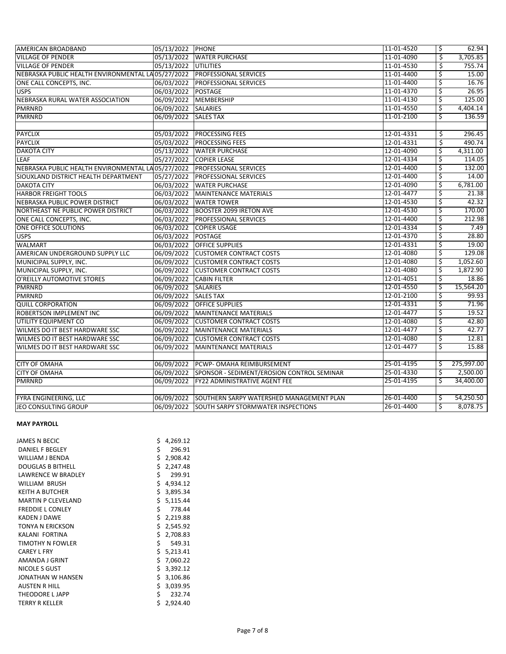| AMERICAN BROADBAND                                                         | 05/13/2022 PHONE     |                                                       | 11-01-4520 | \$  | 62.94      |
|----------------------------------------------------------------------------|----------------------|-------------------------------------------------------|------------|-----|------------|
| <b>VILLAGE OF PENDER</b>                                                   |                      | 05/13/2022 WATER PURCHASE                             | 11-01-4090 | \$  | 3,705.85   |
| <b>VILLAGE OF PENDER</b>                                                   | 05/13/2022 UTILITIES |                                                       | 11-01-4530 | Ś.  | 755.74     |
| NEBRASKA PUBLIC HEALTH ENVIRONMENTAL LA 05/27/2022   PROFESSIONAL SERVICES |                      |                                                       | 11-01-4400 | \$  | 15.00      |
| ONE CALL CONCEPTS, INC.                                                    |                      | 06/03/2022 PROFESSIONAL SERVICES                      | 11-01-4400 | \$  | 16.76      |
| <b>USPS</b>                                                                | 06/03/2022 POSTAGE   |                                                       | 11-01-4370 | \$  | 26.95      |
| NEBRASKA RURAL WATER ASSOCIATION                                           | 06/09/2022           | MEMBERSHIP                                            | 11-01-4130 | \$  | 125.00     |
| <b>PMRNRD</b>                                                              | 06/09/2022           | <b>SALARIES</b>                                       | 11-01-4550 | \$  | 4,404.14   |
| <b>PMRNRD</b>                                                              | 06/09/2022           | <b>SALES TAX</b>                                      | 11-01-2100 | Ŝ   | 136.59     |
|                                                                            |                      |                                                       |            |     |            |
| <b>PAYCLIX</b>                                                             | 05/03/2022           | <b>PROCESSING FEES</b>                                | 12-01-4331 | \$  | 296.45     |
| <b>PAYCLIX</b>                                                             | 05/03/2022           | <b>PROCESSING FEES</b>                                | 12-01-4331 | \$  | 490.74     |
| <b>DAKOTA CITY</b>                                                         |                      | 05/13/2022 WATER PURCHASE                             | 12-01-4090 | Ŝ   | 4,311.00   |
| <b>LEAF</b>                                                                | 05/27/2022           | <b>COPIER LEASE</b>                                   | 12-01-4334 | Ŝ   | 114.05     |
| NEBRASKA PUBLIC HEALTH ENVIRONMENTAL LA05/27/2022 PROFESSIONAL SERVICES    |                      |                                                       | 12-01-4400 | \$  | 132.00     |
| SIOUXLAND DISTRICT HEALTH DEPARTMENT                                       |                      | 05/27/2022 PROFESSIONAL SERVICES                      | 12-01-4400 | \$  | 14.00      |
| <b>DAKOTA CITY</b>                                                         | 06/03/2022           | <b>WATER PURCHASE</b>                                 | 12-01-4090 | \$  | 6,781.00   |
| <b>HARBOR FREIGHT TOOLS</b>                                                | 06/03/2022           | <b>MAINTENANCE MATERIALS</b>                          | 12-01-4477 | Ŝ.  | 21.38      |
| NEBRASKA PUBLIC POWER DISTRICT                                             | 06/03/2022           | <b>WATER TOWER</b>                                    | 12-01-4530 | Ŝ   | 42.32      |
| NORTHEAST NE PUBLIC POWER DISTRICT                                         | 06/03/2022           | <b>BOOSTER 2099 IRETON AVE</b>                        | 12-01-4530 | \$  | 170.00     |
| ONE CALL CONCEPTS, INC.                                                    | 06/03/2022           | <b>PROFESSIONAL SERVICES</b>                          | 12-01-4400 | Ś.  | 212.98     |
| <b>ONE OFFICE SOLUTIONS</b>                                                | 06/03/2022           | <b>COPIER USAGE</b>                                   | 12-01-4334 | \$  | 7.49       |
| <b>USPS</b>                                                                | 06/03/2022           | <b>POSTAGE</b>                                        | 12-01-4370 | \$  | 28.80      |
| <b>WALMART</b>                                                             | 06/03/2022           | <b>OFFICE SUPPLIES</b>                                | 12-01-4331 | \$  | 19.00      |
| AMERICAN UNDERGROUND SUPPLY LLC                                            |                      | 06/09/2022 CUSTOMER CONTRACT COSTS                    | 12-01-4080 | \$  | 129.08     |
| MUNICIPAL SUPPLY, INC.                                                     | 06/09/2022           | <b>CUSTOMER CONTRACT COSTS</b>                        | 12-01-4080 | \$  | 1,052.60   |
| MUNICIPAL SUPPLY, INC.                                                     |                      | 06/09/2022 CUSTOMER CONTRACT COSTS                    | 12-01-4080 | \$  | 1,872.90   |
| O'REILLY AUTOMOTIVE STORES                                                 |                      | 06/09/2022 CABIN FILTER                               | 12-01-4051 | Ś   | 18.86      |
| PMRNRD                                                                     | 06/09/2022 SALARIES  |                                                       | 12-01-4550 | Ś.  | 15,564.20  |
| <b>PMRNRD</b>                                                              | 06/09/2022 SALES TAX |                                                       | 12-01-2100 | \$  | 99.93      |
| <b>QUILL CORPORATION</b>                                                   | 06/09/2022           | <b>OFFICE SUPPLIES</b>                                | 12-01-4331 | \$  | 71.96      |
| <b>ROBERTSON IMPLEMENT INC</b>                                             |                      | 06/09/2022 MAINTENANCE MATERIALS                      | 12-01-4477 | \$  | 19.52      |
| UTILITY EQUIPMENT CO                                                       | 06/09/2022           | <b>CUSTOMER CONTRACT COSTS</b>                        | 12-01-4080 | \$  | 42.80      |
| WILMES DO IT BEST HARDWARE SSC                                             | 06/09/2022           | MAINTENANCE MATERIALS                                 | 12-01-4477 | \$  | 42.77      |
| WILMES DO IT BEST HARDWARE SSC                                             |                      | 06/09/2022 CUSTOMER CONTRACT COSTS                    | 12-01-4080 | \$  | 12.81      |
| WILMES DO IT BEST HARDWARE SSC                                             | 06/09/2022           | MAINTENANCE MATERIALS                                 | 12-01-4477 | Ś   | 15.88      |
| <b>CITY OF OMAHA</b>                                                       |                      | 06/09/2022 PCWP- OMAHA REIMBURSEMENT                  | 25-01-4195 | \$. | 275,997.00 |
| <b>CITY OF OMAHA</b>                                                       |                      | 06/09/2022 SPONSOR - SEDIMENT/EROSION CONTROL SEMINAR | 25-01-4330 | Ŝ   | 2,500.00   |
| <b>PMRNRD</b>                                                              |                      | 06/09/2022   FY22 ADMINISTRATIVE AGENT FEE            | 25-01-4195 | Ŝ.  | 34,400.00  |
|                                                                            |                      |                                                       |            |     |            |
| FYRA ENGINEERING, LLC                                                      |                      | 06/09/2022 SOUTHERN SARPY WATERSHED MANAGEMENT PLAN   | 26-01-4400 | \$  | 54,250.50  |
| JEO CONSULTING GROUP                                                       |                      | 06/09/2022 SOUTH SARPY STORMWATER INSPECTIONS         | 26-01-4400 | Ŝ   | 8,078.75   |
|                                                                            |                      |                                                       |            |     |            |

## **MAY PAYROLL**

| <b>JAMES N BECIC</b>      | \$<br>4,269.12 |
|---------------------------|----------------|
| <b>DANIEL F BEGLEY</b>    | \$<br>296.91   |
| WILLIAM J BENDA           | \$<br>2,908.42 |
| <b>DOUGLAS B BITHELL</b>  | \$<br>2,247.48 |
| <b>LAWRENCE W BRADLEY</b> | \$<br>299.91   |
| <b>WILLIAM BRUSH</b>      | \$<br>4,934.12 |
| <b>KEITH A BUTCHER</b>    | \$<br>3,895.34 |
| <b>MARTIN P CLEVELAND</b> | \$<br>5,115.44 |
| <b>FREDDIE L CONLEY</b>   | \$<br>778.44   |
| <b>KADEN J DAWE</b>       | \$2,219.88     |
| TONYA N ERICKSON          | \$2,545.92     |
| KALANI FORTINA            | \$<br>2,708.83 |
| TIMOTHY N FOWLER          | \$<br>549.31   |
| <b>CAREY L FRY</b>        | \$<br>5,213.41 |
| AMANDA J GRINT            | \$<br>7,060.22 |
| NICOLE S GUST             | \$3,392.12     |
| JONATHAN W HANSEN         | \$3,106.86     |
| <b>AUSTEN R HILL</b>      | \$<br>3,039.95 |
| THEODORE L JAPP           | \$<br>232.74   |
| <b>TERRY R KELLER</b>     | \$<br>2,924.40 |